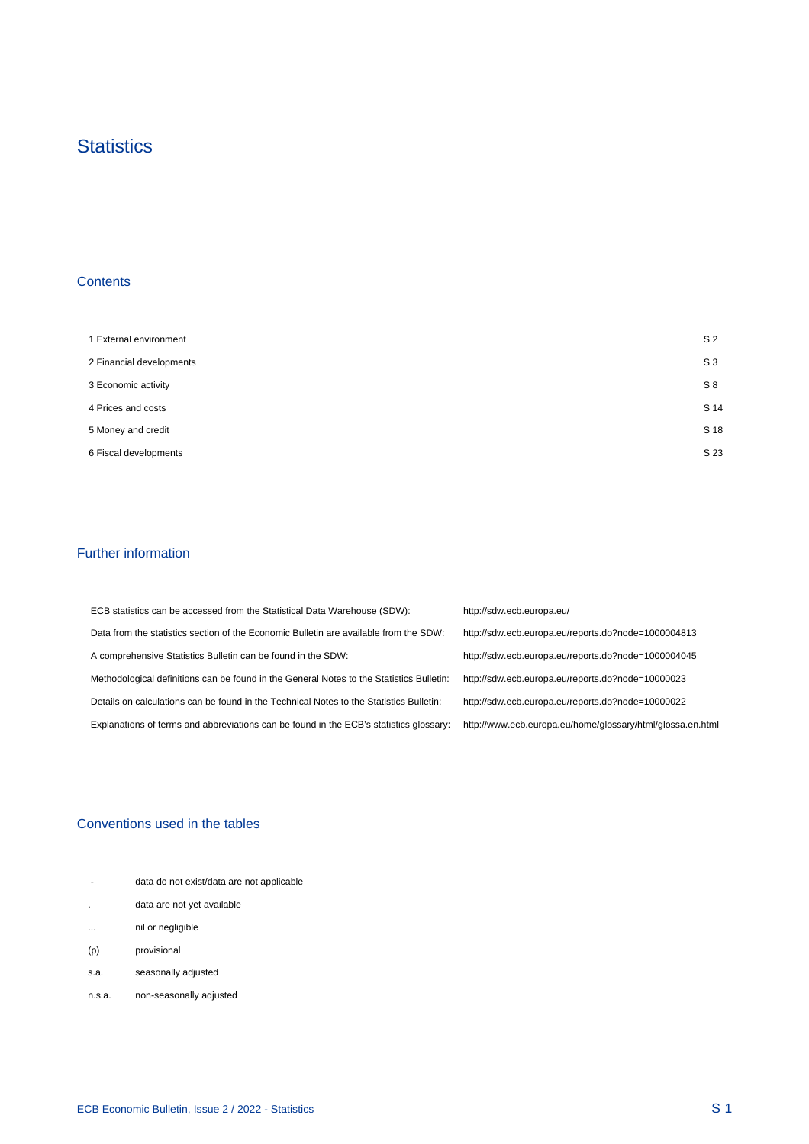## **Statistics**

## **Contents**

 $\mathcal{A}^{\mathcal{A}}$ 

| 1 External environment   | S <sub>2</sub> |
|--------------------------|----------------|
| 2 Financial developments | S <sub>3</sub> |
| 3 Economic activity      | S8             |
| 4 Prices and costs       | S 14           |
| 5 Money and credit       | S 18           |
| 6 Fiscal developments    | S 23           |

## Further information

 $\mathcal{A}^{\mathcal{A}}$ 

| ECB statistics can be accessed from the Statistical Data Warehouse (SDW):                | http://sdw.ecb.europa.eu/                                  |
|------------------------------------------------------------------------------------------|------------------------------------------------------------|
| Data from the statistics section of the Economic Bulletin are available from the SDW:    | http://sdw.ecb.europa.eu/reports.do?node=1000004813        |
| A comprehensive Statistics Bulletin can be found in the SDW:                             | http://sdw.ecb.europa.eu/reports.do?node=1000004045        |
| Methodological definitions can be found in the General Notes to the Statistics Bulletin: | http://sdw.ecb.europa.eu/reports.do?node=10000023          |
| Details on calculations can be found in the Technical Notes to the Statistics Bulletin:  | http://sdw.ecb.europa.eu/reports.do?node=10000022          |
| Explanations of terms and abbreviations can be found in the ECB's statistics glossary:   | http://www.ecb.europa.eu/home/glossary/html/glossa.en.html |

## Conventions used in the tables

| $\overline{\phantom{a}}$ | data do not exist/data are not applicable |  |
|--------------------------|-------------------------------------------|--|
|                          | data are not yet available                |  |
| $\cdots$                 | nil or negligible                         |  |
| (p)                      | provisional                               |  |
| s.a.                     | seasonally adjusted                       |  |
| n.s.a.                   | non-seasonally adjusted                   |  |

 $\frac{1}{2}$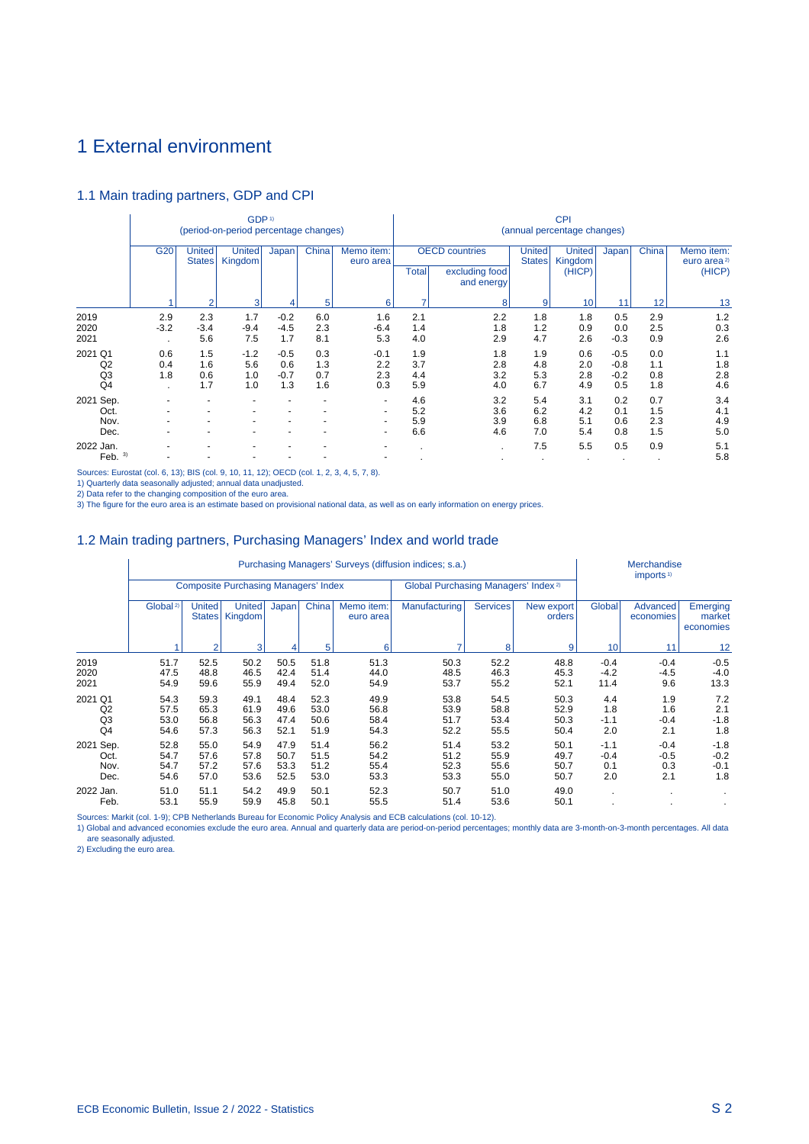# 1 External environment

## 1.1 Main trading partners, GDP and CPI

|                                       |                              |                          | GDP <sup>1)</sup><br>(period-on-period percentage changes) |                                |                          |                               | <b>CPI</b><br>(annual percentage changes) |                                                       |                          |                                    |                                   |                          |                                                 |  |  |
|---------------------------------------|------------------------------|--------------------------|------------------------------------------------------------|--------------------------------|--------------------------|-------------------------------|-------------------------------------------|-------------------------------------------------------|--------------------------|------------------------------------|-----------------------------------|--------------------------|-------------------------------------------------|--|--|
|                                       | G <sub>20</sub>              | United<br><b>States</b>  | United<br>Kingdom                                          | Japan                          | China                    | Memo item:<br>euro area       | <b>Total</b>                              | <b>OECD</b> countries<br>excluding food<br>and energy | United<br><b>States</b>  | <b>United</b><br>Kingdom<br>(HICP) | Japan                             | China                    | Memo item:<br>euro area <sup>2)</sup><br>(HICP) |  |  |
|                                       |                              | $\overline{2}$           | 3                                                          |                                | 5                        | 6                             |                                           | 8                                                     | 9                        | 10                                 | 11                                | 12                       | 13                                              |  |  |
| 2019<br>2020<br>2021                  | 2.9<br>$-3.2$                | 2.3<br>$-3.4$<br>5.6     | 1.7<br>$-9.4$<br>7.5                                       | $-0.2$<br>$-4.5$<br>1.7        | 6.0<br>2.3<br>8.1        | 1.6<br>$-6.4$<br>5.3          | 2.1<br>1.4<br>4.0                         | 2.2<br>1.8<br>2.9                                     | 1.8<br>1.2<br>4.7        | 1.8<br>0.9<br>2.6                  | 0.5<br>0.0<br>$-0.3$              | 2.9<br>2.5<br>0.9        | 1.2<br>0.3<br>2.6                               |  |  |
| 2021 Q1<br>Q <sub>2</sub><br>Q3<br>Q4 | 0.6<br>0.4<br>1.8<br>$\cdot$ | 1.5<br>1.6<br>0.6<br>1.7 | $-1.2$<br>5.6<br>1.0<br>1.0                                | $-0.5$<br>0.6<br>$-0.7$<br>1.3 | 0.3<br>1.3<br>0.7<br>1.6 | $-0.1$<br>2.2<br>2.3<br>0.3   | 1.9<br>3.7<br>4.4<br>5.9                  | 1.8<br>2.8<br>3.2<br>4.0                              | 1.9<br>4.8<br>5.3<br>6.7 | 0.6<br>2.0<br>2.8<br>4.9           | $-0.5$<br>$-0.8$<br>$-0.2$<br>0.5 | 0.0<br>1.1<br>0.8<br>1.8 | 1.1<br>1.8<br>2.8<br>4.6                        |  |  |
| 2021 Sep.<br>Oct.<br>Nov.<br>Dec.     |                              |                          |                                                            |                                |                          | -<br>$\overline{\phantom{0}}$ | 4.6<br>5.2<br>5.9<br>6.6                  | 3.2<br>3.6<br>3.9<br>4.6                              | 5.4<br>6.2<br>6.8<br>7.0 | 3.1<br>4.2<br>5.1<br>5.4           | 0.2<br>0.1<br>0.6<br>0.8          | 0.7<br>1.5<br>2.3<br>1.5 | 3.4<br>4.1<br>4.9<br>5.0                        |  |  |
| 2022 Jan.<br>3)<br>Feb.               |                              |                          |                                                            |                                |                          |                               | $\mathbf{r}$                              | $\cdot$                                               | 7.5                      | 5.5                                | 0.5                               | 0.9                      | 5.1<br>5.8                                      |  |  |

Sources: Eurostat (col. 6, 13); BIS (col. 9, 10, 11, 12); OECD (col. 1, 2, 3, 4, 5, 7, 8).

1) Quarterly data seasonally adjusted; annual data unadjusted.<br>2) Data refer to the changing composition of the euro area.<br>3) The figure for the euro area is an estimate based on provisional national data, as well as on ea

## 1.2 Main trading partners, Purchasing Managers' Index and world trade

|                                       |                              |                                |                                             |                              |                              |                              | Purchasing Managers' Surveys (diffusion indices; s.a.) |                              |                              |                                | Merchandise<br>imports $1$     |                                   |
|---------------------------------------|------------------------------|--------------------------------|---------------------------------------------|------------------------------|------------------------------|------------------------------|--------------------------------------------------------|------------------------------|------------------------------|--------------------------------|--------------------------------|-----------------------------------|
|                                       |                              |                                | <b>Composite Purchasing Managers' Index</b> |                              |                              |                              | Global Purchasing Managers' Index <sup>2)</sup>        |                              |                              |                                |                                |                                   |
|                                       | Global <sup>2)</sup>         | <b>United</b><br><b>States</b> | <b>United</b><br>Kingdom                    | Japan                        | China                        | Memo item:<br>euro area      | Manufacturing                                          | <b>Services</b>              | New export<br>orders         | Global                         | Advanced<br>economies          | Emerging<br>market<br>economies   |
|                                       |                              | $\overline{2}$                 | 3                                           |                              | 5                            | 6                            |                                                        | 8                            | 9                            | 10                             | 11                             | 12                                |
| 2019<br>2020<br>2021                  | 51.7<br>47.5<br>54.9         | 52.5<br>48.8<br>59.6           | 50.2<br>46.5<br>55.9                        | 50.5<br>42.4<br>49.4         | 51.8<br>51.4<br>52.0         | 51.3<br>44.0<br>54.9         | 50.3<br>48.5<br>53.7                                   | 52.2<br>46.3<br>55.2         | 48.8<br>45.3<br>52.1         | $-0.4$<br>$-4.2$<br>11.4       | $-0.4$<br>$-4.5$<br>9.6        | $-0.5$<br>$-4.0$<br>13.3          |
| 2021 Q1<br>Q2<br>Q <sub>3</sub><br>Q4 | 54.3<br>57.5<br>53.0<br>54.6 | 59.3<br>65.3<br>56.8<br>57.3   | 49.1<br>61.9<br>56.3<br>56.3                | 48.4<br>49.6<br>47.4<br>52.1 | 52.3<br>53.0<br>50.6<br>51.9 | 49.9<br>56.8<br>58.4<br>54.3 | 53.8<br>53.9<br>51.7<br>52.2                           | 54.5<br>58.8<br>53.4<br>55.5 | 50.3<br>52.9<br>50.3<br>50.4 | 4.4<br>1.8<br>$-1.1$<br>2.0    | 1.9<br>1.6<br>$-0.4$<br>2.1    | 7.2<br>2.1<br>$-1.8$<br>1.8       |
| 2021 Sep.<br>Oct.<br>Nov.<br>Dec.     | 52.8<br>54.7<br>54.7<br>54.6 | 55.0<br>57.6<br>57.2<br>57.0   | 54.9<br>57.8<br>57.6<br>53.6                | 47.9<br>50.7<br>53.3<br>52.5 | 51.4<br>51.5<br>51.2<br>53.0 | 56.2<br>54.2<br>55.4<br>53.3 | 51.4<br>51.2<br>52.3<br>53.3                           | 53.2<br>55.9<br>55.6<br>55.0 | 50.1<br>49.7<br>50.7<br>50.7 | $-1.1$<br>$-0.4$<br>0.1<br>2.0 | $-0.4$<br>$-0.5$<br>0.3<br>2.1 | $-1.8$<br>$-0.2$<br>$-0.1$<br>1.8 |
| 2022 Jan.<br>Feb.                     | 51.0<br>53.1                 | 51.1<br>55.9                   | 54.2<br>59.9                                | 49.9<br>45.8                 | 50.1<br>50.1                 | 52.3<br>55.5                 | 50.7<br>51.4                                           | 51.0<br>53.6                 | 49.0<br>50.1                 |                                |                                |                                   |

Sources: Markit (col. 1-9); CPB Netherlands Bureau for Economic Policy Analysis and ECB calculations (col. 10-12).<br>1) Global and advanced economies exclude the euro area. Annual and quarterly data are period-on-period perc are seasonally adjusted.

2) Excluding the euro area.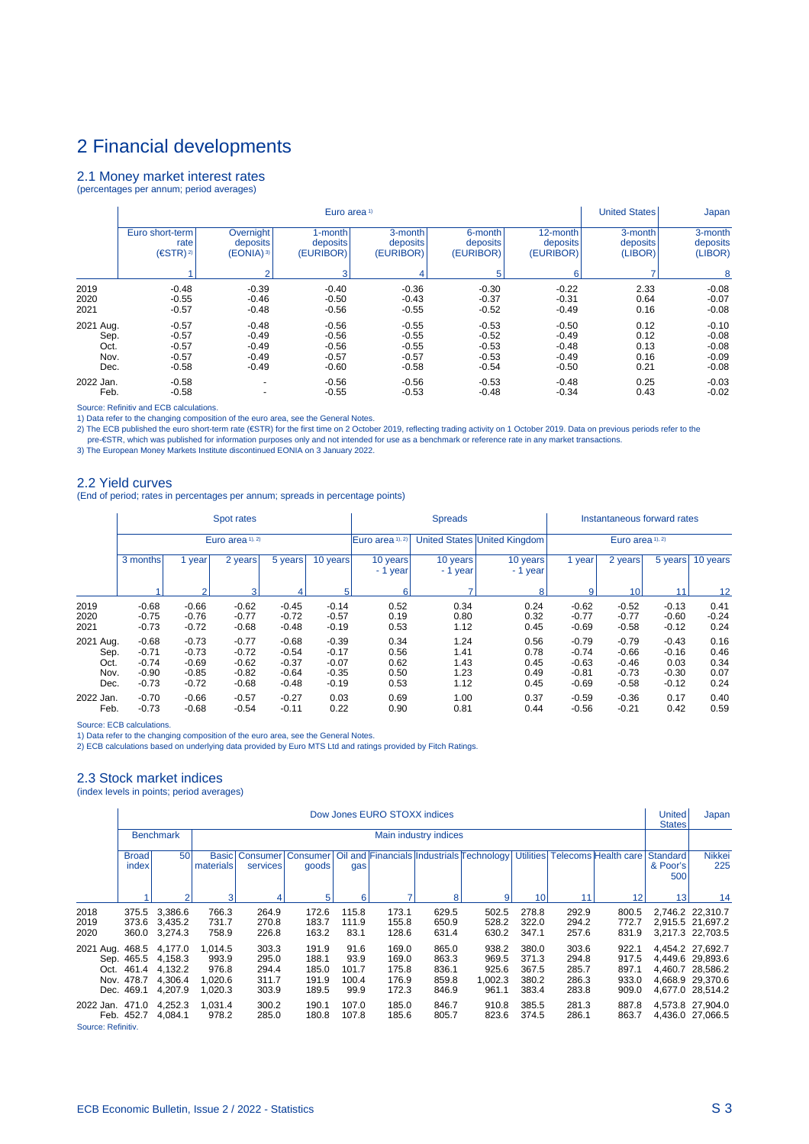## 2.1 Money market interest rates

(percentages per annum; period averages)

|           |                     |                          | Euro area <sup>1)</sup> |           |           |           | <b>United States</b> | Japan    |
|-----------|---------------------|--------------------------|-------------------------|-----------|-----------|-----------|----------------------|----------|
|           | Euro short-term     | <b>Overnight</b>         | 1-month                 | 3-month   | 6-month   | 12-month  | 3-month              | 3-month  |
|           | rate                | deposits                 | deposits                | deposits  | deposits  | deposits  | deposits             | deposits |
|           | (ESTR) <sup>2</sup> | (EONIA) 3)               | (EURIBOR)               | (EURIBOR) | (EURIBOR) | (EURIBOR) | (LIBOR)              | (LIBOR)  |
|           |                     | $\overline{2}$           | 3                       | 4         | 5         | 6         |                      | 8        |
| 2019      | $-0.48$             | $-0.39$                  | $-0.40$                 | $-0.36$   | $-0.30$   | $-0.22$   | 2.33                 | $-0.08$  |
| 2020      | $-0.55$             | $-0.46$                  | $-0.50$                 | $-0.43$   | $-0.37$   | $-0.31$   | 0.64                 | $-0.07$  |
| 2021      | $-0.57$             | $-0.48$                  | $-0.56$                 | $-0.55$   | $-0.52$   | $-0.49$   | 0.16                 | $-0.08$  |
| 2021 Aug. | $-0.57$             | $-0.48$                  | $-0.56$                 | $-0.55$   | $-0.53$   | $-0.50$   | 0.12                 | $-0.10$  |
| Sep.      | $-0.57$             | $-0.49$                  | $-0.56$                 | $-0.55$   | $-0.52$   | $-0.49$   | 0.12                 | $-0.08$  |
| Oct.      | $-0.57$             | $-0.49$                  | $-0.56$                 | $-0.55$   | $-0.53$   | $-0.48$   | 0.13                 | $-0.08$  |
| Nov.      | $-0.57$             | $-0.49$                  | $-0.57$                 | $-0.57$   | $-0.53$   | $-0.49$   | 0.16                 | $-0.09$  |
| Dec.      | $-0.58$             | $-0.49$                  | $-0.60$                 | $-0.58$   | $-0.54$   | $-0.50$   | 0.21                 | $-0.08$  |
| 2022 Jan. | $-0.58$             | $\overline{\phantom{a}}$ | $-0.56$                 | $-0.56$   | $-0.53$   | $-0.48$   | 0.25                 | $-0.03$  |
| Feb.      | $-0.58$             | $\overline{\phantom{0}}$ | $-0.55$                 | $-0.53$   | $-0.48$   | $-0.34$   | 0.43                 | $-0.02$  |

Source: Refinitiv and ECB calculations.

1) Data refer to the changing composition of the euro area, see the General Notes.<br>2) The ECB published the euro short-term rate (€STR) for the first time on 2 October 2019, reflecting trading activity on 1 October 2019.

#### 2.2 Yield curves

(End of period; rates in percentages per annum; spreads in percentage points)

|                                           |                                                     |                                                     | Spot rates                                          |                                                     |                                                     |                                      | <b>Spreads</b>                       |                                      | Instantaneous forward rates                         |                                                     |                                                  |                                      |  |  |
|-------------------------------------------|-----------------------------------------------------|-----------------------------------------------------|-----------------------------------------------------|-----------------------------------------------------|-----------------------------------------------------|--------------------------------------|--------------------------------------|--------------------------------------|-----------------------------------------------------|-----------------------------------------------------|--------------------------------------------------|--------------------------------------|--|--|
|                                           |                                                     |                                                     | Euro area 1), 2)                                    |                                                     |                                                     | Euro area 1), 2)                     |                                      | United States United Kingdom         | Euro area 1), 2)                                    |                                                     |                                                  |                                      |  |  |
|                                           | 3 months                                            | year                                                | 2 years                                             | 5 years                                             | 10 years                                            | 10 years<br>$-1$ year                | 10 years<br>- 1 year                 | 10 years<br>- 1 year                 | 1 year                                              | 2 years                                             | 5 years                                          | 10 years                             |  |  |
|                                           |                                                     | $\overline{2}$                                      | 3                                                   | 4                                                   | 5 <sub>1</sub>                                      | 6                                    |                                      | 8                                    | 9                                                   | 10                                                  | 11                                               | 12                                   |  |  |
| 2019<br>2020<br>2021                      | $-0.68$<br>$-0.75$<br>$-0.73$                       | $-0.66$<br>$-0.76$<br>$-0.72$                       | $-0.62$<br>$-0.77$<br>$-0.68$                       | $-0.45$<br>$-0.72$<br>$-0.48$                       | $-0.14$<br>$-0.57$<br>$-0.19$                       | 0.52<br>0.19<br>0.53                 | 0.34<br>0.80<br>1.12                 | 0.24<br>0.32<br>0.45                 | $-0.62$<br>$-0.77$<br>$-0.69$                       | $-0.52$<br>$-0.77$<br>$-0.58$                       | $-0.13$<br>$-0.60$<br>$-0.12$                    | 0.41<br>$-0.24$<br>0.24              |  |  |
| 2021 Aug.<br>Sep.<br>Oct.<br>Nov.<br>Dec. | $-0.68$<br>$-0.71$<br>$-0.74$<br>$-0.90$<br>$-0.73$ | $-0.73$<br>$-0.73$<br>$-0.69$<br>$-0.85$<br>$-0.72$ | $-0.77$<br>$-0.72$<br>$-0.62$<br>$-0.82$<br>$-0.68$ | $-0.68$<br>$-0.54$<br>$-0.37$<br>$-0.64$<br>$-0.48$ | $-0.39$<br>$-0.17$<br>$-0.07$<br>$-0.35$<br>$-0.19$ | 0.34<br>0.56<br>0.62<br>0.50<br>0.53 | 1.24<br>1.41<br>1.43<br>1.23<br>1.12 | 0.56<br>0.78<br>0.45<br>0.49<br>0.45 | $-0.79$<br>$-0.74$<br>$-0.63$<br>$-0.81$<br>$-0.69$ | $-0.79$<br>$-0.66$<br>$-0.46$<br>$-0.73$<br>$-0.58$ | $-0.43$<br>$-0.16$<br>0.03<br>$-0.30$<br>$-0.12$ | 0.16<br>0.46<br>0.34<br>0.07<br>0.24 |  |  |
| 2022 Jan.<br>Feb.                         | $-0.70$<br>$-0.73$                                  | $-0.66$<br>$-0.68$                                  | $-0.57$<br>$-0.54$                                  | $-0.27$<br>$-0.11$                                  | 0.03<br>0.22                                        | 0.69<br>0.90                         | 1.00<br>0.81                         | 0.37<br>0.44                         | $-0.59$<br>$-0.56$                                  | $-0.36$<br>$-0.21$                                  | 0.17<br>0.42                                     | 0.40<br>0.59                         |  |  |

Source: ECB calculations.

1) Data refer to the changing composition of the euro area, see the General Notes.

2) ECB calculations based on underlying data provided by Euro MTS Ltd and ratings provided by Fitch Ratings.

### 2.3 Stock market indices

(index levels in points; period averages)

|                      |                                                                                                                                                                                                                                                                |                                                     |                                                 |                                           |                                           |                                        | Dow Jones EURO STOXX indices              |                                           |                                             |                                           |                                           |                                           | <b>United</b><br><b>States</b>       | Japan                                                                                            |
|----------------------|----------------------------------------------------------------------------------------------------------------------------------------------------------------------------------------------------------------------------------------------------------------|-----------------------------------------------------|-------------------------------------------------|-------------------------------------------|-------------------------------------------|----------------------------------------|-------------------------------------------|-------------------------------------------|---------------------------------------------|-------------------------------------------|-------------------------------------------|-------------------------------------------|--------------------------------------|--------------------------------------------------------------------------------------------------|
|                      |                                                                                                                                                                                                                                                                | <b>Benchmark</b>                                    |                                                 |                                           |                                           |                                        |                                           | Main industry indices                     |                                             |                                           |                                           |                                           |                                      |                                                                                                  |
|                      | 50<br>Oil and Financials Industrials Technology<br><b>Utilities</b><br><b>Broad</b><br>Consumer   Consumer  <br>Telecoms Health care<br><b>Basic</b><br>index<br>materials<br>services<br>goods<br>gas                                                         |                                                     |                                                 |                                           |                                           |                                        |                                           |                                           |                                             |                                           |                                           |                                           |                                      | <b>Nikkei</b><br><b>Standard</b><br>& Poor's<br>225                                              |
|                      | 5<br>۰,<br>$\overline{2}$<br>3<br>8<br>9<br>10<br>12<br>6<br>11                                                                                                                                                                                                |                                                     |                                                 |                                           |                                           |                                        |                                           |                                           |                                             |                                           |                                           |                                           |                                      | 13<br>14                                                                                         |
| 2018<br>2019<br>2020 | 375.5<br>373.6<br>360.0                                                                                                                                                                                                                                        | 3,386.6<br>3.435.2<br>3,274.3                       | 766.3<br>731.7<br>758.9                         | 264.9<br>270.8<br>226.8                   | 172.6<br>183.7<br>163.2                   | 115.8<br>111.9<br>83.1                 | 173.1<br>155.8<br>128.6                   | 629.5<br>650.9<br>631.4                   | 502.5<br>528.2<br>630.2                     | 278.8<br>322.0<br>347.1                   | 292.9<br>294.2<br>257.6                   | 800.5<br>772.7<br>831.9                   |                                      | 2,746.2 22,310.7<br>2.915.5 21.697.2<br>3,217.3 22,703.5                                         |
| 2021 Aug. 468.5      | Sep. 465.5<br>Oct. 461.4<br>Nov. 478.7<br>Dec. 469.1                                                                                                                                                                                                           | 4,177.0<br>4.158.3<br>4,132.2<br>4,306.4<br>4,207.9 | 1,014.5<br>993.9<br>976.8<br>1,020.6<br>1,020.3 | 303.3<br>295.0<br>294.4<br>311.7<br>303.9 | 191.9<br>188.1<br>185.0<br>191.9<br>189.5 | 91.6<br>93.9<br>101.7<br>100.4<br>99.9 | 169.0<br>169.0<br>175.8<br>176.9<br>172.3 | 865.0<br>863.3<br>836.1<br>859.8<br>846.9 | 938.2<br>969.5<br>925.6<br>1,002.3<br>961.1 | 380.0<br>371.3<br>367.5<br>380.2<br>383.4 | 303.6<br>294.8<br>285.7<br>286.3<br>283.8 | 922.1<br>917.5<br>897.1<br>933.0<br>909.0 |                                      | 4,454.2 27,692.7<br>4.449.6 29.893.6<br>4.460.7 28.586.2<br>4,668.9 29,370.6<br>4,677.0 28,514.2 |
|                      | 1,031.4<br>300.2<br>107.0<br>185.0<br>846.7<br>910.8<br>385.5<br>281.3<br>887.8<br>4,252.3<br>190.1<br>2022 Jan. 471.0<br>107.8<br>286.1<br>Feb. 452.7<br>4,084.1<br>978.2<br>285.0<br>180.8<br>185.6<br>805.7<br>823.6<br>374.5<br>863.7<br>Source: Refinitiv |                                                     |                                                 |                                           |                                           |                                        |                                           |                                           |                                             |                                           |                                           |                                           | 4,573.8 27,904.0<br>4,436.0 27,066.5 |                                                                                                  |

Source: Refinitiv.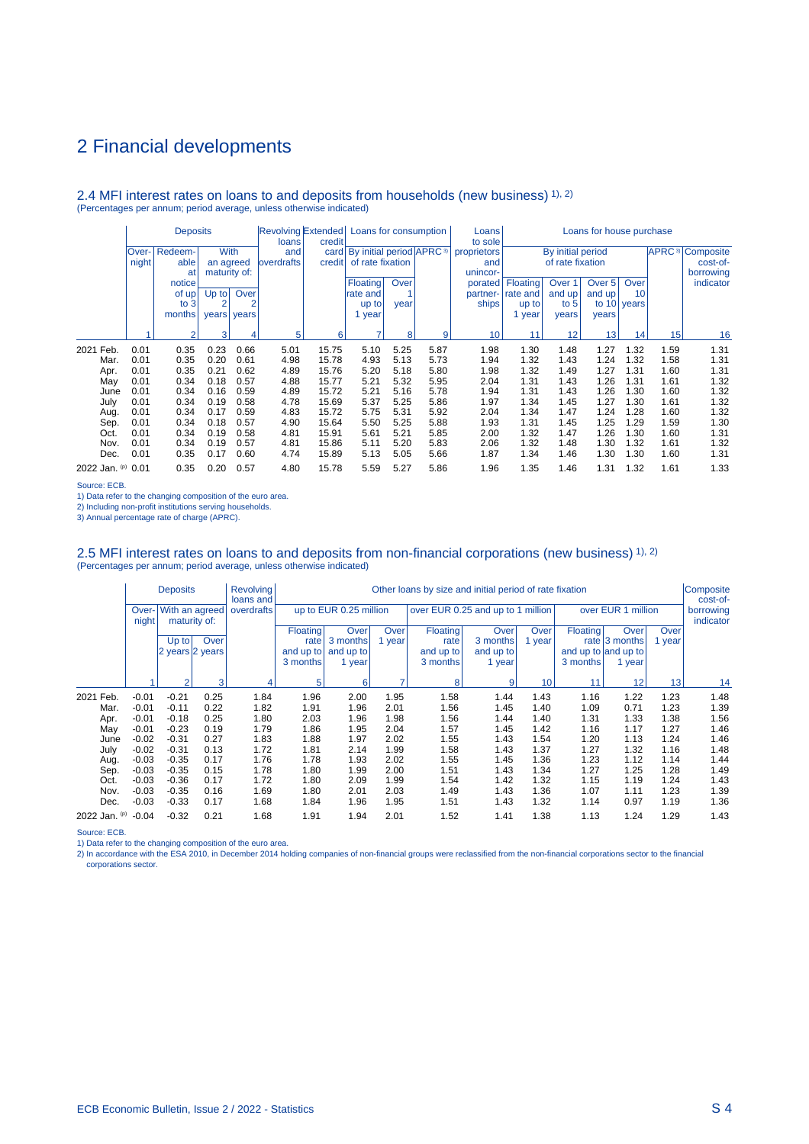#### 2.4 MFI interest rates on loans to and deposits from households (new business) 1), 2) (Percentages per annum; period average, unless otherwise indicated)

|               |              | <b>Deposits</b><br><b>With</b><br>Redeem- |              |       | loans              | credit | Revolving Extended Loans for consumption      |      |      | Loans<br>to sole | Loans for house purchase |                   |                 |             |      |                                    |
|---------------|--------------|-------------------------------------------|--------------|-------|--------------------|--------|-----------------------------------------------|------|------|------------------|--------------------------|-------------------|-----------------|-------------|------|------------------------------------|
|               | <b>Over-</b> |                                           |              |       | and                |        | card   By initial period   APRC <sup>3)</sup> |      |      | proprietors      |                          | By initial period |                 |             |      | <b>APRC</b> <sup>3</sup> Composite |
|               | night        | able                                      | an agreed    |       | <b>loverdrafts</b> | credit | of rate fixation                              |      |      | and              |                          | of rate fixation  |                 |             |      | cost-of-                           |
|               |              | at                                        | maturity of: |       |                    |        |                                               |      |      | unincor-         |                          |                   |                 |             |      | borrowing                          |
|               |              | notice                                    |              |       |                    |        | <b>Floating</b>                               | Over |      | porated          | Floating                 | Over 1            | Over 5          | Over        |      | indicator                          |
|               |              | of up                                     | $Up$ to      | Over  |                    |        | rate and                                      |      |      | partner-         | rate and                 | and up            | and up          | 10          |      |                                    |
|               |              | to 3                                      | 2            |       |                    |        | up to                                         | year |      | ships            | up to                    | to $5l$           |                 | to 10 years |      |                                    |
|               |              | months                                    | years        | years |                    |        | 1 year                                        |      |      |                  | year                     | years             | vears           |             |      |                                    |
|               |              | $\mathcal{P}$                             | 3            | 4     | 5                  | 6      | 7                                             | 8    | 9    | 10               | 11                       | 12                | 13 <sup>1</sup> | 14          | 15   | 16                                 |
| 2021<br>Feb.  | 0.01         | 0.35                                      | 0.23         | 0.66  | 5.01               | 15.75  | 5.10                                          | 5.25 | 5.87 | 1.98             | 1.30                     | 1.48              | 1.27            | 1.32        | 1.59 | 1.31                               |
| Mar.          | 0.01         | 0.35                                      | 0.20         | 0.61  | 4.98               | 15.78  | 4.93                                          | 5.13 | 5.73 | 1.94             | 1.32                     | 1.43              | 1.24            | 1.32        | 1.58 | 1.31                               |
| Apr.          | 0.01         | 0.35                                      | 0.21         | 0.62  | 4.89               | 15.76  | 5.20                                          | 5.18 | 5.80 | 1.98             | 1.32                     | 1.49              | 1.27            | 1.31        | 1.60 | 1.31                               |
| May           | 0.01         | 0.34                                      | 0.18         | 0.57  | 4.88               | 15.77  | 5.21                                          | 5.32 | 5.95 | 2.04             | 1.31                     | 1.43              | 1.26            | 1.31        | 1.61 | 1.32                               |
| June          | 0.01         | 0.34                                      | 0.16         | 0.59  | 4.89               | 15.72  | 5.21                                          | 5.16 | 5.78 | 1.94             | 1.31                     | 1.43              | 1.26            | 1.30        | 1.60 | 1.32                               |
| July          | 0.01         | 0.34                                      | 0.19         | 0.58  | 4.78               | 15.69  | 5.37                                          | 5.25 | 5.86 | 1.97             | 1.34                     | 1.45              | 1.27            | 1.30        | 1.61 | 1.32                               |
| Aug.          | 0.01         | 0.34                                      | 0.17         | 0.59  | 4.83               | 15.72  | 5.75                                          | 5.31 | 5.92 | 2.04             | 1.34                     | 1.47              | 1.24            | 1.28        | 1.60 | 1.32                               |
| Sep.          | 0.01         | 0.34                                      | 0.18         | 0.57  | 4.90               | 15.64  | 5.50                                          | 5.25 | 5.88 | 1.93             | 1.31                     | 1.45              | 1.25            | 1.29        | 1.59 | 1.30                               |
| Oct.          | 0.01         | 0.34                                      | 0.19         | 0.58  | 4.81               | 15.91  | 5.61                                          | 5.21 | 5.85 | 2.00             | 1.32                     | 1.47              | 1.26            | 1.30        | 1.60 | 1.31                               |
| Nov.          | 0.01         | 0.34                                      | 0.19         | 0.57  | 4.81               | 15.86  | 5.11                                          | 5.20 | 5.83 | 2.06             | 1.32                     | 1.48              | 1.30            | 1.32        | 1.61 | 1.32                               |
| Dec.          | 0.01         | 0.35                                      | 0.17         | 0.60  | 4.74               | 15.89  | 5.13                                          | 5.05 | 5.66 | 1.87             | 1.34                     | 1.46              | 1.30            | 1.30        | 1.60 | 1.31                               |
| 2022 Jan. (p) | 0.01         | 0.35                                      | 0.20         | 0.57  | 4.80               | 15.78  | 5.59                                          | 5.27 | 5.86 | 1.96             | 1.35                     | 1.46              | 1.31            | 1.32        | 1.61 | 1.33                               |

Source: ECB.

1) Data refer to the changing composition of the euro area.

2) Including non-profit institutions serving households.

3) Annual percentage rate of charge (APRC).

# 2.5 MFI interest rates on loans to and deposits from non-financial corporations (new business) 1), 2)<br>(Percentages per annum; period average, unless otherwise indicated)

|               |                | <b>Deposits</b> |              | <b>Revolving</b><br>loans and | Other loans by size and initial period of rate fixation |                        |        |                                   |           |        |          |                     |                 |                        |
|---------------|----------------|-----------------|--------------|-------------------------------|---------------------------------------------------------|------------------------|--------|-----------------------------------|-----------|--------|----------|---------------------|-----------------|------------------------|
|               | Over-<br>night | With an agreed  | maturity of: | overdrafts                    |                                                         | up to EUR 0.25 million |        | over EUR 0.25 and up to 1 million |           |        |          | over EUR 1 million  |                 | borrowing<br>indicator |
|               |                |                 |              |                               | Floating                                                | Over                   | Over   | Floating                          | Over      | Over   | Floating | Over                | Over            |                        |
|               |                | $Up$ to         | Over         |                               | rate                                                    | 3 months               | 1 year | rate                              | 3 months  | 1 year |          | rate $ 3$ months    | 1 year          |                        |
|               |                | 2 years 2 years |              |                               | and up to                                               | and up to              |        | and up to                         | and up to |        |          | and up to and up to |                 |                        |
|               |                |                 |              |                               | 3 months                                                | 1 year                 |        | 3 months                          | 1 year    |        | 3 months | 1 year              |                 |                        |
|               |                | $\overline{2}$  | 3            | 4                             | 5                                                       | 6                      | 7      | 8                                 | 9         | 10     | 11       | 12                  | 13 <sup>1</sup> | 14                     |
| 2021 Feb.     | $-0.01$        | $-0.21$         | 0.25         | 1.84                          | 1.96                                                    | 2.00                   | 1.95   | 1.58                              | 1.44      | 1.43   | 1.16     | 1.22                | 1.23            | 1.48                   |
| Mar.          | $-0.01$        | $-0.11$         | 0.22         | 1.82                          | 1.91                                                    | 1.96                   | 2.01   | 1.56                              | 1.45      | 1.40   | 1.09     | 0.71                | 1.23            | 1.39                   |
| Apr.          | $-0.01$        | $-0.18$         | 0.25         | 1.80                          | 2.03                                                    | 1.96                   | 1.98   | 1.56                              | 1.44      | 1.40   | 1.31     | 1.33                | 1.38            | 1.56                   |
| May           | $-0.01$        | $-0.23$         | 0.19         | 1.79                          | 1.86                                                    | 1.95                   | 2.04   | 1.57                              | 1.45      | 1.42   | 1.16     | 1.17                | 1.27            | 1.46                   |
| June          | $-0.02$        | $-0.31$         | 0.27         | 1.83                          | 1.88                                                    | 1.97                   | 2.02   | 1.55                              | 1.43      | 1.54   | 1.20     | 1.13                | 1.24            | 1.46                   |
| July          | $-0.02$        | $-0.31$         | 0.13         | 1.72                          | 1.81                                                    | 2.14                   | 1.99   | 1.58                              | 1.43      | 1.37   | 1.27     | 1.32                | 1.16            | 1.48                   |
| Aug.          | $-0.03$        | $-0.35$         | 0.17         | 1.76                          | 1.78                                                    | 1.93                   | 2.02   | 1.55                              | 1.45      | 1.36   | 1.23     | 1.12                | 1.14            | 1.44                   |
| Sep.          | $-0.03$        | $-0.35$         | 0.15         | 1.78                          | 1.80                                                    | 1.99                   | 2.00   | 1.51                              | 1.43      | 1.34   | 1.27     | 1.25                | 1.28            | 1.49                   |
| Oct.          | $-0.03$        | $-0.36$         | 0.17         | 1.72                          | 1.80                                                    | 2.09                   | 1.99   | 1.54                              | 1.42      | 1.32   | 1.15     | 1.19                | 1.24            | 1.43                   |
| Nov.          | $-0.03$        | $-0.35$         | 0.16         | 1.69                          | 1.80                                                    | 2.01                   | 2.03   | 1.49                              | 1.43      | 1.36   | 1.07     | 1.11                | 1.23            | 1.39                   |
| Dec.          | $-0.03$        | $-0.33$         | 0.17         | 1.68                          | 1.84                                                    | 1.96                   | 1.95   | 1.51                              | 1.43      | 1.32   | 1.14     | 0.97                | 1.19            | 1.36                   |
| 2022 Jan. (p) | $-0.04$        | $-0.32$         | 0.21         | 1.68                          | 1.91                                                    | 1.94                   | 2.01   | 1.52                              | 1.41      | 1.38   | 1.13     | 1.24                | 1.29            | 1.43                   |

Source: ECB.

1) Data refer to the changing composition of the euro area.<br>2) In accordance with the ESA 2010, in December 2014 holding companies of non-financial groups were reclassified from the non-financial corporations sector to the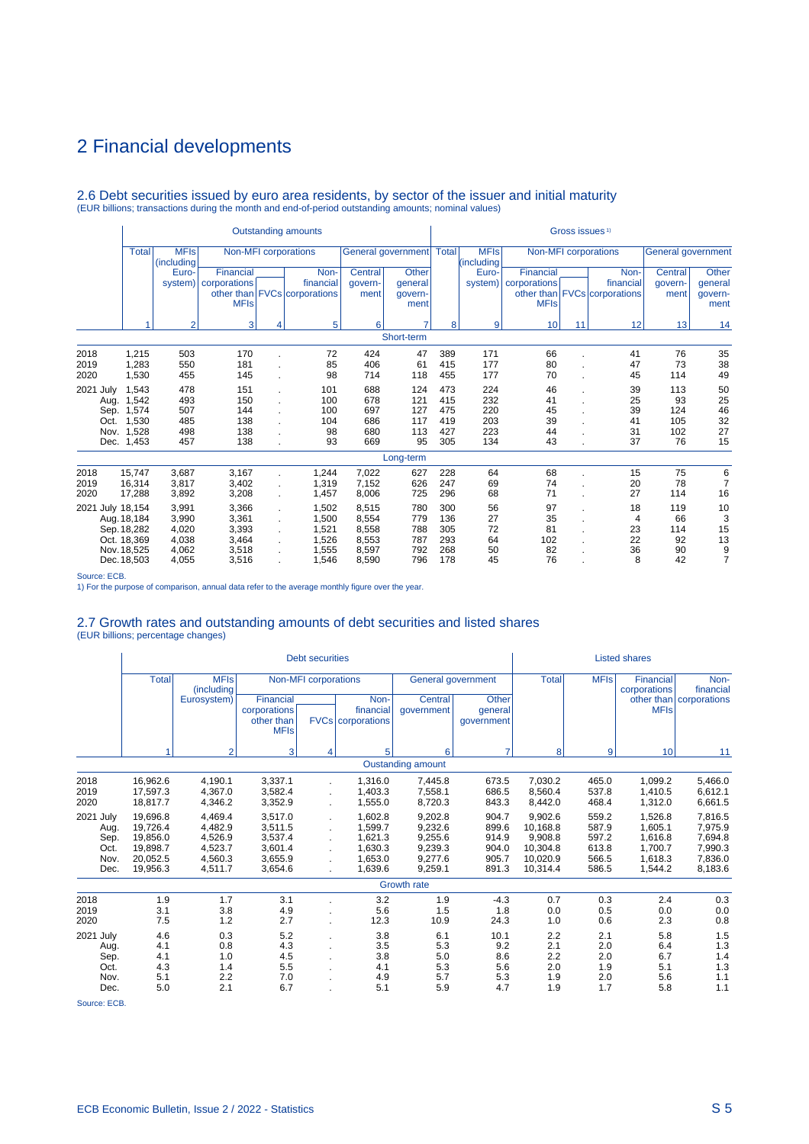# 2.6 Debt securities issued by euro area residents, by sector of the issuer and initial maturity (EUR billions; transactions during the month and end-of-period outstanding amounts; nominal values)

|                                        |                                                                   |                           |                        |            | <b>Outstanding amounts</b>   |            |                            |            |                           |              | Gross issues <sup>1)</sup> |                              |                           |                 |
|----------------------------------------|-------------------------------------------------------------------|---------------------------|------------------------|------------|------------------------------|------------|----------------------------|------------|---------------------------|--------------|----------------------------|------------------------------|---------------------------|-----------------|
|                                        | <b>Total</b>                                                      | <b>MFIs</b><br>(including |                        |            | Non-MFI corporations         |            | General government   Total |            | <b>MFIs</b><br>(including |              |                            | Non-MFI corporations         | <b>General government</b> |                 |
|                                        |                                                                   | Euro-                     | Financial              |            | Non-                         | Central    | <b>Other</b>               |            | Euro-                     | Financial    |                            | Non-                         | Central                   | Other           |
|                                        |                                                                   |                           | system)   corporations |            | financial                    | govern-    | qeneral                    |            | system)                   | corporations |                            | financial                    | qovern-                   | general         |
|                                        |                                                                   |                           | <b>MFIs</b>            |            | other than FVCs corporations | ment       | govern-<br>ment            |            |                           | <b>MFIs</b>  |                            | other than FVCs corporations | ment                      | govern-<br>ment |
|                                        |                                                                   | 6                         | 7                      | 8          | 9                            | 10         | 11                         | 12         | 13                        | 14           |                            |                              |                           |                 |
|                                        | 3<br>5<br>Short-term                                              |                           |                        |            |                              |            |                            |            |                           |              |                            |                              |                           |                 |
| 2018                                   | 1,215                                                             | 503                       | 170                    |            | 72                           | 424        | 47                         | 389        | 171                       | 66           |                            | 41                           | 76                        | 35              |
| 2019                                   | 1,283<br>181<br>550<br>85                                         |                           |                        |            |                              |            | 61                         | 415        | 177                       | 80           |                            | 47                           | 73                        | 38              |
| 1,530<br>145<br>2020<br>455            |                                                                   |                           |                        |            | 98                           | 714        | 118                        | 455        | 177                       | 70           |                            | 45                           | 114                       | 49              |
| 2021<br>July                           | 1,543                                                             | 478                       | 151                    |            | 101                          | 688        | 124                        | 473        | 224                       | 46           |                            | 39                           | 113                       | 50              |
| Aug.                                   | 1,542                                                             | 493                       | 150                    |            | 100                          | 678        | 121                        | 415        | 232                       | 41           |                            | 25                           | 93                        | 25              |
| Sep.                                   | 1,574                                                             | 507                       | 144                    |            | 100                          | 697        | 127                        | 475        | 220                       | 45           |                            | 39                           | 124                       | 46              |
| Oct.                                   | 1,530                                                             | 485                       | 138                    |            | 104                          | 686        | 117                        | 419        | 203                       | 39           |                            | 41                           | 105                       | 32              |
| Nov.<br>Dec.                           | 1,528<br>1,453                                                    | 498<br>457                | 138<br>138             |            | 98<br>93                     | 680<br>669 | 113<br>95                  | 427<br>305 | 223<br>134                | 44<br>43     |                            | 31<br>37                     | 102<br>76                 | 27<br>15        |
|                                        |                                                                   |                           |                        |            |                              |            |                            |            |                           |              |                            |                              |                           |                 |
|                                        |                                                                   |                           |                        |            |                              |            | Long-term                  |            |                           |              |                            |                              |                           |                 |
| 2018                                   | 15,747                                                            | 3,687                     | 3,167                  |            | 1,244                        | 7,022      | 627                        | 228        | 64                        | 68           |                            | 15                           | 75                        | 6               |
| 2019                                   | 16.314                                                            | 3,817                     | 3,402                  |            | 1,319                        | 7,152      | 626                        | 247        | 69                        | 74           |                            | 20                           | 78                        | $\overline{7}$  |
| 2020                                   | 17,288                                                            | 3,892                     | 3,208                  |            | 1,457                        | 8,006      | 725                        | 296        | 68                        | 71           |                            | 27                           | 114                       | 16              |
|                                        | 2021 July 18,154<br>3,991<br>3,366<br>1,502<br>÷.                 |                           |                        |            |                              |            | 780                        | 300        | 56                        | 97           |                            | 18                           | 119                       | 10              |
| 3,990<br>3,361<br>Aug. 18,184<br>1,500 |                                                                   |                           |                        |            |                              | 8.554      | 779                        | 136        | 27                        | 35           |                            | 4                            | 66                        | 3               |
|                                        | Sep. 18,282                                                       | 4,020                     | 3,393                  |            | 1.521                        | 8,558      | 788                        | 305        | 72                        | 81           |                            | 23                           | 114                       | 15              |
|                                        | Oct. 18,369                                                       | 4,038                     | 3,464                  |            | 1,526                        | 8,553      | 787                        | 293        | 64                        | 102          |                            | 22                           | 92                        | 13              |
|                                        | Nov. 18.525                                                       | 4,062                     | 8,597                  | 792<br>796 | 268<br>178                   | 50         | 82<br>76                   |            | 36<br>8                   | 90<br>42     | $\frac{9}{7}$              |                              |                           |                 |
|                                        | 3,518<br>1,555<br>4,055<br>3,516<br>1,546<br>8,590<br>Dec. 18,503 |                           |                        |            |                              |            |                            |            | 45                        |              |                            |                              |                           |                 |

Source: ECB.

1) For the purpose of comparison, annual data refer to the average monthly figure over the year.

# 2.7 Growth rates and outstanding amounts of debt securities and listed shares (EUR billions; percentage changes)

|                                                   |                                                                      |                                                                |                                                                | <b>Debt securities</b>      |                                                                |                                                                |                                                    |                                                                    |                                                    | <b>Listed shares</b>                                           |                                                                |
|---------------------------------------------------|----------------------------------------------------------------------|----------------------------------------------------------------|----------------------------------------------------------------|-----------------------------|----------------------------------------------------------------|----------------------------------------------------------------|----------------------------------------------------|--------------------------------------------------------------------|----------------------------------------------------|----------------------------------------------------------------|----------------------------------------------------------------|
|                                                   | <b>Total</b>                                                         | <b>MFIs</b><br>(including                                      |                                                                | <b>Non-MFI</b> corporations |                                                                |                                                                | General government                                 | <b>Total</b>                                                       | <b>MFIs</b>                                        | <b>Financial</b><br>corporations                               | Non-<br>financial                                              |
|                                                   |                                                                      | Eurosystem)                                                    | Financial<br>corporations<br>other than<br><b>MFIs</b>         |                             | Non-<br>financial<br><b>FVCs</b> corporations                  | Central<br>qovernment                                          | Other<br>general<br>qovernment                     |                                                                    |                                                    | <b>MFIs</b>                                                    | other than   corporations                                      |
|                                                   | и                                                                    | $\overline{2}$                                                 | 3                                                              | 4                           | 5                                                              | 6                                                              | $\overline{7}$                                     | 8                                                                  | 9                                                  | 10                                                             | 11                                                             |
|                                                   |                                                                      |                                                                |                                                                |                             |                                                                | <b>Oustanding amount</b>                                       |                                                    |                                                                    |                                                    |                                                                |                                                                |
| 2018<br>2019<br>2020                              | 16,962.6<br>17,597.3<br>18,817.7                                     | 4.190.1<br>4,367.0<br>4,346.2                                  | 3,337.1<br>3,582.4<br>3,352.9                                  |                             | 1.316.0<br>1.403.3<br>1,555.0                                  | 7,445.8<br>7,558.1<br>8,720.3                                  | 673.5<br>686.5<br>843.3                            | 7.030.2<br>8.560.4<br>8,442.0                                      | 465.0<br>537.8<br>468.4                            | 1.099.2<br>1.410.5<br>1,312.0                                  | 5,466.0<br>6,612.1<br>6,661.5                                  |
| 2021 July<br>Aug.<br>Sep.<br>Oct.<br>Nov.<br>Dec. | 19.696.8<br>19,726.4<br>19,856.0<br>19,898.7<br>20,052.5<br>19,956.3 | 4.469.4<br>4,482.9<br>4,526.9<br>4.523.7<br>4,560.3<br>4,511.7 | 3.517.0<br>3,511.5<br>3,537.4<br>3,601.4<br>3,655.9<br>3,654.6 |                             | 1.602.8<br>1.599.7<br>1,621.3<br>1,630.3<br>1.653.0<br>1,639.6 | 9,202.8<br>9,232.6<br>9,255.6<br>9,239.3<br>9.277.6<br>9,259.1 | 904.7<br>899.6<br>914.9<br>904.0<br>905.7<br>891.3 | 9.902.6<br>10.168.8<br>9,908.8<br>10,304.8<br>10,020.9<br>10,314.4 | 559.2<br>587.9<br>597.2<br>613.8<br>566.5<br>586.5 | 1.526.8<br>1.605.1<br>1.616.8<br>1.700.7<br>1.618.3<br>1,544.2 | 7,816.5<br>7,975.9<br>7,694.8<br>7,990.3<br>7,836.0<br>8,183.6 |
|                                                   |                                                                      |                                                                |                                                                |                             |                                                                | <b>Growth rate</b>                                             |                                                    |                                                                    |                                                    |                                                                |                                                                |
| 2018<br>2019<br>2020                              | 1.9<br>3.1<br>7.5                                                    | 1.7<br>3.8<br>1.2                                              | 3.1<br>4.9<br>2.7                                              |                             | 3.2<br>5.6<br>12.3                                             | 1.9<br>1.5<br>10.9                                             | $-4.3$<br>1.8<br>24.3                              | 0.7<br>0.0<br>1.0                                                  | 0.3<br>0.5<br>0.6                                  | 2.4<br>0.0<br>2.3                                              | 0.3<br>0.0<br>0.8                                              |
| 2021 July<br>Aug.<br>Sep.<br>Oct.<br>Nov.<br>Dec. | 4.6<br>4.1<br>4.1<br>4.3<br>5.1<br>5.0                               | 0.3<br>0.8<br>1.0<br>1.4<br>2.2<br>2.1                         | 5.2<br>4.3<br>4.5<br>5.5<br>7.0<br>6.7                         |                             | 3.8<br>3.5<br>3.8<br>4.1<br>4.9<br>5.1                         | 6.1<br>5.3<br>5.0<br>5.3<br>5.7<br>5.9                         | 10.1<br>9.2<br>8.6<br>5.6<br>5.3<br>4.7            | 2.2<br>2.1<br>2.2<br>2.0<br>1.9<br>1.9                             | 2.1<br>2.0<br>2.0<br>1.9<br>2.0<br>1.7             | 5.8<br>6.4<br>6.7<br>5.1<br>5.6<br>5.8                         | 1.5<br>1.3<br>1.4<br>1.3<br>1.1<br>1.1                         |

Source: ECB.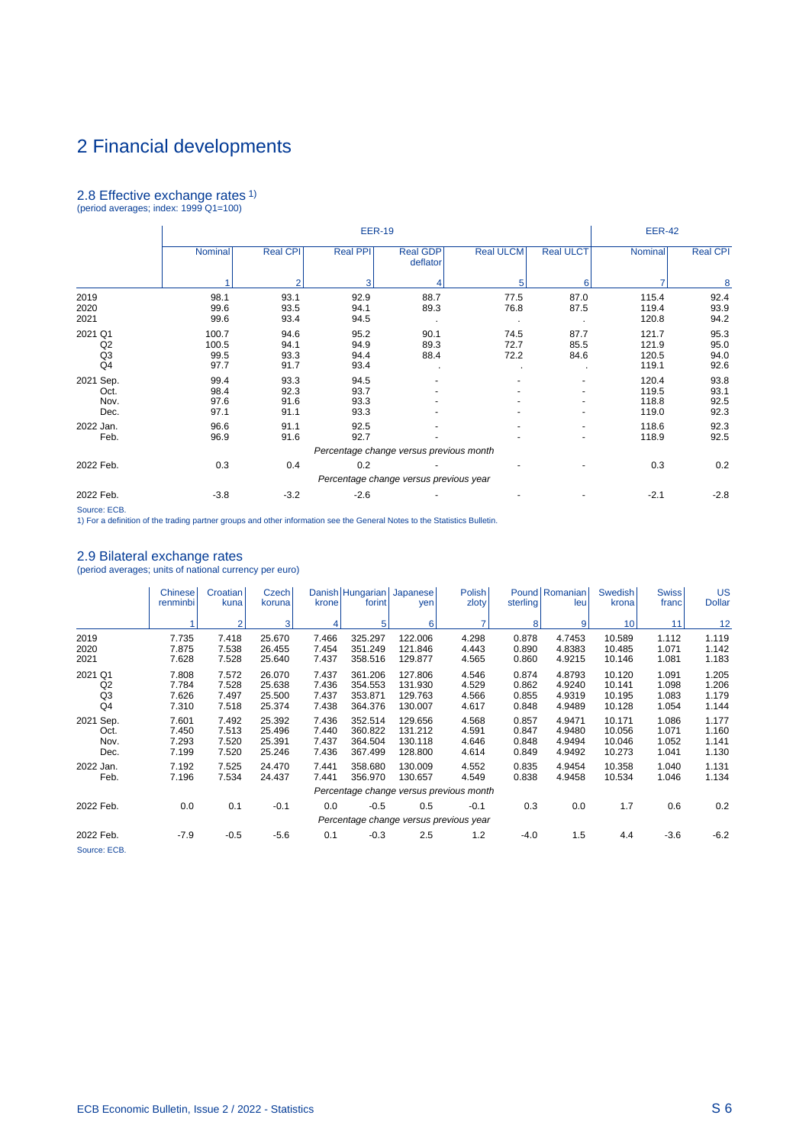# 2.8 Effective exchange rates 1) (period averages; index: 1999 Q1=100)

|                                       |                                |                              | <b>EER-19</b>                |                                         |                      |                      | <b>EER-42</b>                    |                              |
|---------------------------------------|--------------------------------|------------------------------|------------------------------|-----------------------------------------|----------------------|----------------------|----------------------------------|------------------------------|
|                                       | Nominal                        | <b>Real CPI</b>              | <b>Real PPI</b>              | <b>Real GDP</b><br>deflator             | <b>Real ULCM</b>     | <b>Real ULCT</b>     | Nominal                          | <b>Real CPI</b>              |
|                                       |                                | $\mathfrak{p}$               | 3                            |                                         | 5                    | 6                    |                                  | 8                            |
| 2019<br>2020<br>2021                  | 98.1<br>99.6<br>99.6           | 93.1<br>93.5<br>93.4         | 92.9<br>94.1<br>94.5         | 88.7<br>89.3                            | 77.5<br>76.8         | 87.0<br>87.5         | 115.4<br>119.4<br>120.8          | 92.4<br>93.9<br>94.2         |
| 2021 Q1<br>Q2<br>Q <sub>3</sub><br>Q4 | 100.7<br>100.5<br>99.5<br>97.7 | 94.6<br>94.1<br>93.3<br>91.7 | 95.2<br>94.9<br>94.4<br>93.4 | 90.1<br>89.3<br>88.4                    | 74.5<br>72.7<br>72.2 | 87.7<br>85.5<br>84.6 | 121.7<br>121.9<br>120.5<br>119.1 | 95.3<br>95.0<br>94.0<br>92.6 |
| 2021 Sep.<br>Oct.<br>Nov.<br>Dec.     | 99.4<br>98.4<br>97.6<br>97.1   | 93.3<br>92.3<br>91.6<br>91.1 | 94.5<br>93.7<br>93.3<br>93.3 |                                         |                      |                      | 120.4<br>119.5<br>118.8<br>119.0 | 93.8<br>93.1<br>92.5<br>92.3 |
| 2022 Jan.<br>Feb.                     | 96.6<br>96.9                   | 91.1<br>91.6                 | 92.5<br>92.7                 |                                         |                      |                      | 118.6<br>118.9                   | 92.3<br>92.5                 |
|                                       |                                |                              |                              | Percentage change versus previous month |                      |                      |                                  |                              |
| 2022 Feb.                             | 0.3                            | 0.4                          | 0.2                          |                                         |                      |                      | 0.3                              | 0.2                          |
|                                       |                                |                              |                              | Percentage change versus previous year  |                      |                      |                                  |                              |
| 2022 Feb.                             | $-3.8$                         | $-3.2$                       | $-2.6$                       |                                         |                      |                      | $-2.1$                           | $-2.8$                       |

Source: ECB. 1) For a definition of the trading partner groups and other information see the General Notes to the Statistics Bulletin.

## 2.9 Bilateral exchange rates

(period averages; units of national currency per euro)

|                                                   | <b>Chinese</b><br>renminbi       | Croatian<br>kuna                 | Czech<br>koruna                      | krone                            | Danish Hungarian Japanese<br>forint      | yen                                      | <b>Polish</b><br>zloty                  | sterling                         | Pound Romanian<br>leu                | Swedish<br>krona                     | <b>Swiss</b><br>franc            | US<br><b>Dollar</b>              |
|---------------------------------------------------|----------------------------------|----------------------------------|--------------------------------------|----------------------------------|------------------------------------------|------------------------------------------|-----------------------------------------|----------------------------------|--------------------------------------|--------------------------------------|----------------------------------|----------------------------------|
|                                                   |                                  | $\overline{2}$                   | 3                                    |                                  | 5                                        | 6                                        | 7                                       | 8                                | $\vert 9 \vert$                      | 10 <sup>1</sup>                      | 11                               | 12                               |
| 2019<br>2020<br>2021                              | 7.735<br>7.875<br>7.628          | 7.418<br>7.538<br>7.528          | 25.670<br>26.455<br>25.640           | 7.466<br>7.454<br>7.437          | 325.297<br>351.249<br>358.516            | 122.006<br>121.846<br>129.877            | 4.298<br>4.443<br>4.565                 | 0.878<br>0.890<br>0.860          | 4.7453<br>4.8383<br>4.9215           | 10.589<br>10.485<br>10.146           | 1.112<br>1.071<br>1.081          | 1.119<br>1.142<br>1.183          |
| 2021 Q1<br>Q2<br>Q <sub>3</sub><br>Q <sub>4</sub> | 7.808<br>7.784<br>7.626<br>7.310 | 7.572<br>7.528<br>7.497<br>7.518 | 26.070<br>25.638<br>25.500<br>25.374 | 7.437<br>7.436<br>7.437<br>7.438 | 361.206<br>354.553<br>353.871<br>364.376 | 127.806<br>131.930<br>129.763<br>130.007 | 4.546<br>4.529<br>4.566<br>4.617        | 0.874<br>0.862<br>0.855<br>0.848 | 4.8793<br>4.9240<br>4.9319<br>4.9489 | 10.120<br>10.141<br>10.195<br>10.128 | 1.091<br>1.098<br>1.083<br>1.054 | 1.205<br>1.206<br>1.179<br>1.144 |
| 2021 Sep.<br>Oct.<br>Nov.<br>Dec.                 | 7.601<br>7.450<br>7.293<br>7.199 | 7.492<br>7.513<br>7.520<br>7.520 | 25.392<br>25.496<br>25.391<br>25.246 | 7.436<br>7.440<br>7.437<br>7.436 | 352.514<br>360.822<br>364.504<br>367.499 | 129.656<br>131.212<br>130.118<br>128.800 | 4.568<br>4.591<br>4.646<br>4.614        | 0.857<br>0.847<br>0.848<br>0.849 | 4.9471<br>4.9480<br>4.9494<br>4.9492 | 10.171<br>10.056<br>10.046<br>10.273 | 1.086<br>1.071<br>1.052<br>1.041 | 1.177<br>1.160<br>1.141<br>1.130 |
| 2022 Jan.<br>Feb.                                 | 7.192<br>7.196                   | 7.525<br>7.534                   | 24.470<br>24.437                     | 7.441<br>7.441                   | 358.680<br>356.970                       | 130.009<br>130.657                       | 4.552<br>4.549                          | 0.835<br>0.838                   | 4.9454<br>4.9458                     | 10.358<br>10.534                     | 1.040<br>1.046                   | 1.131<br>1.134                   |
|                                                   |                                  |                                  |                                      |                                  |                                          |                                          | Percentage change versus previous month |                                  |                                      |                                      |                                  |                                  |
| 2022 Feb.                                         | 0.0                              | 0.1                              | $-0.1$                               | 0.0                              | $-0.5$                                   | 0.5                                      | $-0.1$                                  | 0.3                              | 0.0                                  | 1.7                                  | 0.6                              | 0.2                              |
|                                                   |                                  |                                  |                                      |                                  |                                          |                                          | Percentage change versus previous year  |                                  |                                      |                                      |                                  |                                  |
| 2022 Feb.<br>Source: ECB.                         | $-7.9$                           | $-0.5$                           | $-5.6$                               | 0.1                              | $-0.3$                                   | 2.5                                      | 1.2                                     | $-4.0$                           | 1.5                                  | 4.4                                  | $-3.6$                           | $-6.2$                           |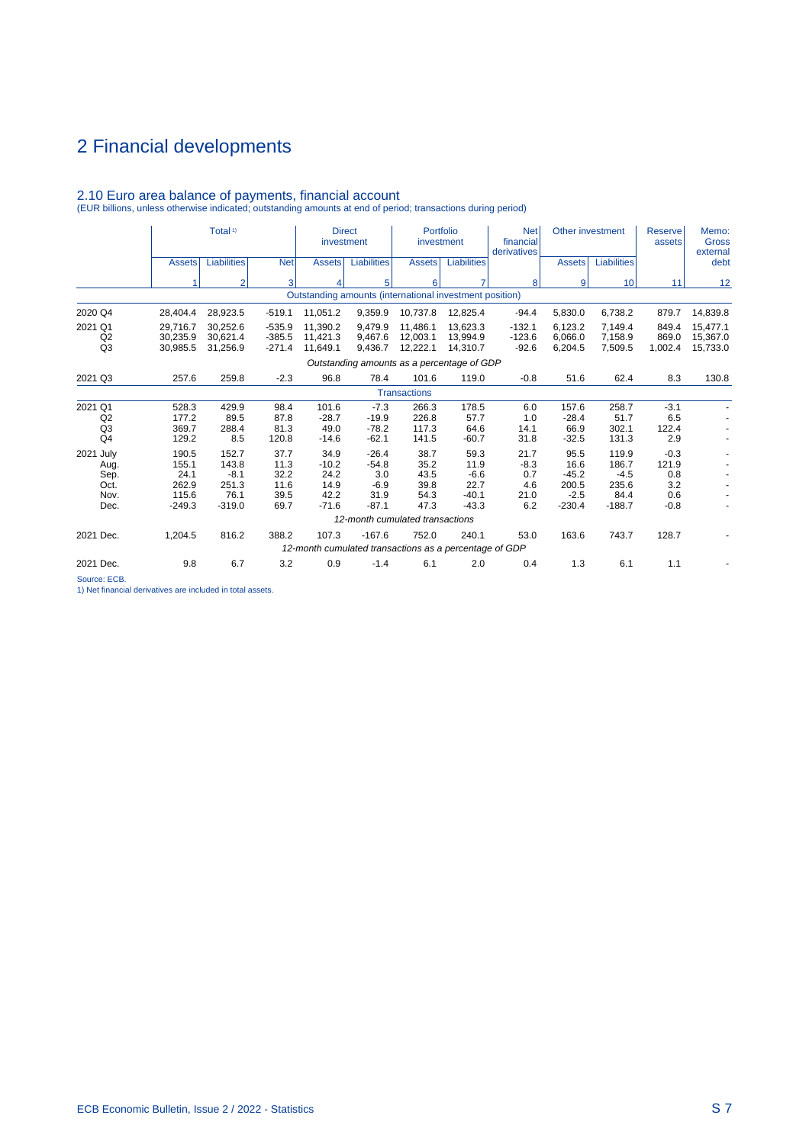|                                                   |                                                      | Total <sup>1)</sup>                                   |                                              | investment                                         | <b>Direct</b>                                                      | Portfolio<br>investment                      |                                                      | <b>Net</b><br>financial<br>derivatives      | Other investment                                       |                                                       | <b>Reserve</b><br>assets                       | Memo:<br><b>Gross</b><br>external |
|---------------------------------------------------|------------------------------------------------------|-------------------------------------------------------|----------------------------------------------|----------------------------------------------------|--------------------------------------------------------------------|----------------------------------------------|------------------------------------------------------|---------------------------------------------|--------------------------------------------------------|-------------------------------------------------------|------------------------------------------------|-----------------------------------|
|                                                   | <b>Assets</b>                                        | <b>Liabilities</b>                                    | <b>Net</b>                                   | <b>Assets</b>                                      | <b>Liabilities</b>                                                 | <b>Assets</b>                                | <b>Liabilities</b>                                   |                                             | <b>Assets</b>                                          | Liabilities                                           |                                                | debt                              |
|                                                   |                                                      | 2                                                     | 3                                            | 4                                                  | 5                                                                  | 6                                            | 7                                                    | 8                                           | 9                                                      | 10                                                    | 11                                             | 12                                |
|                                                   |                                                      |                                                       |                                              |                                                    | Outstanding amounts (international investment position)            |                                              |                                                      |                                             |                                                        |                                                       |                                                |                                   |
| 2020 Q4                                           | 28,404.4                                             | 28,923.5                                              | $-519.1$                                     | 11,051.2                                           | 9,359.9                                                            | 10,737.8                                     | 12,825.4                                             | $-94.4$                                     | 5,830.0                                                | 6,738.2                                               | 879.7                                          | 14,839.8                          |
| 2021 Q1<br>Q2<br>Q3                               | 29.716.7<br>30.235.9<br>30,985.5                     | 30.252.6<br>30.621.4<br>31,256.9                      | $-535.9$<br>$-385.5$<br>$-271.4$             | 11,390.2<br>11.421.3<br>11,649.1                   | 9.479.9<br>9.467.6<br>9,436.7                                      | 11.486.1<br>12,003.1<br>12,222.1             | 13.623.3<br>13.994.9<br>14,310.7                     | $-132.1$<br>$-123.6$<br>$-92.6$             | 6.123.2<br>6.066.0<br>6,204.5                          | 7,149.4<br>7,158.9<br>7,509.5                         | 849.4<br>869.0<br>1,002.4                      | 15,477.1<br>15,367.0<br>15,733.0  |
|                                                   |                                                      |                                                       |                                              | Outstanding amounts as a percentage of GDP         |                                                                    |                                              |                                                      |                                             |                                                        |                                                       |                                                |                                   |
| 2021 Q3                                           | 257.6                                                | 259.8                                                 | $-2.3$                                       | 96.8                                               | 78.4                                                               | 101.6                                        | 119.0                                                | $-0.8$                                      | 51.6                                                   | 62.4                                                  | 8.3                                            | 130.8                             |
|                                                   |                                                      |                                                       |                                              |                                                    |                                                                    | <b>Transactions</b>                          |                                                      |                                             |                                                        |                                                       |                                                |                                   |
| 2021 Q1<br>Q2<br>Q <sub>3</sub><br>Q <sub>4</sub> | 528.3<br>177.2<br>369.7<br>129.2                     | 429.9<br>89.5<br>288.4<br>8.5                         | 98.4<br>87.8<br>81.3<br>120.8                | 101.6<br>$-28.7$<br>49.0<br>$-14.6$                | $-7.3$<br>$-19.9$<br>$-78.2$<br>$-62.1$                            | 266.3<br>226.8<br>117.3<br>141.5             | 178.5<br>57.7<br>64.6<br>$-60.7$                     | 6.0<br>1.0<br>14.1<br>31.8                  | 157.6<br>$-28.4$<br>66.9<br>$-32.5$                    | 258.7<br>51.7<br>302.1<br>131.3                       | $-3.1$<br>6.5<br>122.4<br>2.9                  |                                   |
| 2021 July<br>Aug.<br>Sep.<br>Oct.<br>Nov.<br>Dec. | 190.5<br>155.1<br>24.1<br>262.9<br>115.6<br>$-249.3$ | 152.7<br>143.8<br>$-8.1$<br>251.3<br>76.1<br>$-319.0$ | 37.7<br>11.3<br>32.2<br>11.6<br>39.5<br>69.7 | 34.9<br>$-10.2$<br>24.2<br>14.9<br>42.2<br>$-71.6$ | $-26.4$<br>$-54.8$<br>3.0<br>$-6.9$<br>31.9<br>$-87.1$             | 38.7<br>35.2<br>43.5<br>39.8<br>54.3<br>47.3 | 59.3<br>11.9<br>$-6.6$<br>22.7<br>$-40.1$<br>$-43.3$ | 21.7<br>$-8.3$<br>0.7<br>4.6<br>21.0<br>6.2 | 95.5<br>16.6<br>$-45.2$<br>200.5<br>$-2.5$<br>$-230.4$ | 119.9<br>186.7<br>$-4.5$<br>235.6<br>84.4<br>$-188.7$ | $-0.3$<br>121.9<br>0.8<br>3.2<br>0.6<br>$-0.8$ |                                   |
|                                                   |                                                      |                                                       |                                              |                                                    | 12-month cumulated transactions                                    |                                              |                                                      |                                             |                                                        |                                                       |                                                |                                   |
| 2021 Dec.                                         | 1,204.5                                              | 816.2                                                 | 388.2                                        | 107.3                                              | $-167.6$<br>12-month cumulated transactions as a percentage of GDP | 752.0                                        | 240.1                                                | 53.0                                        | 163.6                                                  | 743.7                                                 | 128.7                                          |                                   |
| 2021 Dec.                                         | 9.8                                                  | 6.7                                                   | 3.2                                          | 0.9                                                | $-1.4$                                                             | 6.1                                          | 2.0                                                  | 0.4                                         | 1.3                                                    | 6.1                                                   | 1.1                                            |                                   |

# 2.10 Euro area balance of payments, financial account (EUR billions, unless otherwise indicated; outstanding amounts at end of period; transactions during period)

Source: ECB.

1) Net financial derivatives are included in total assets.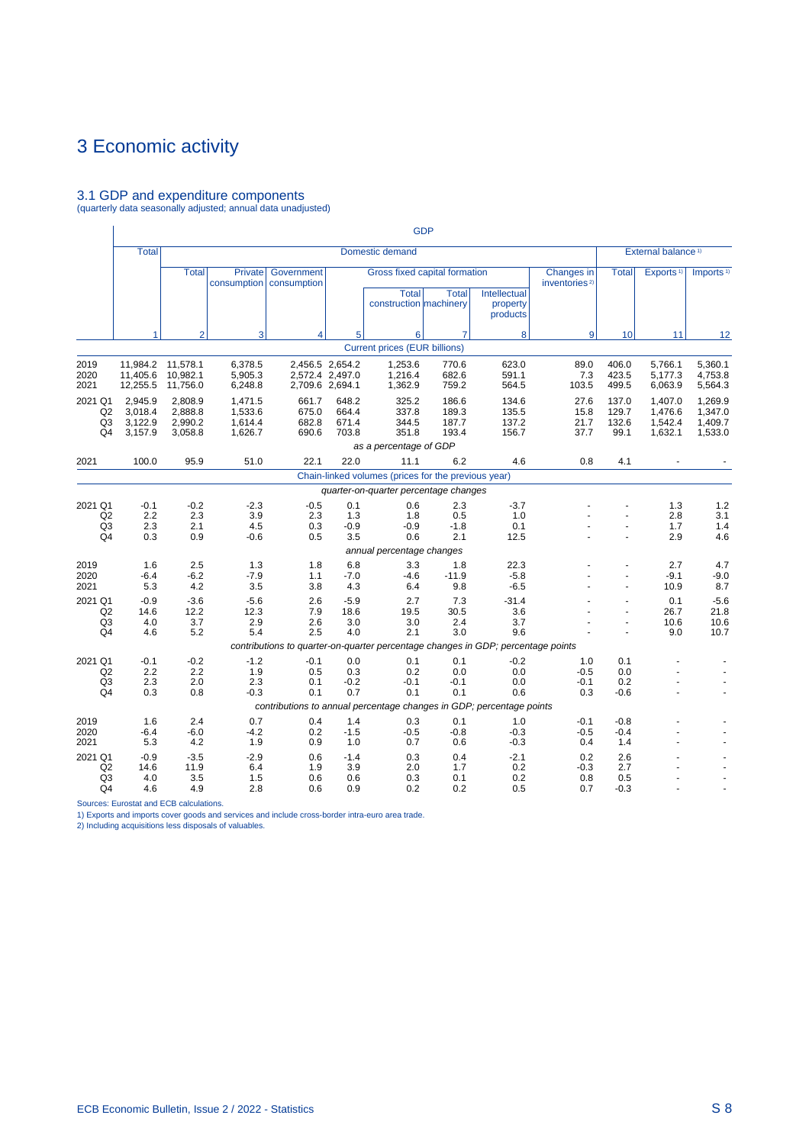# 3.1 GDP and expenditure components (quarterly data seasonally adjusted; annual data unadjusted)

|                                                   |                                          |                                           |                                          |                                                                                  |                                                       |                                                                         | <b>GDP</b>                       |                                      |                                         |                                 |                                          |                                          |
|---------------------------------------------------|------------------------------------------|-------------------------------------------|------------------------------------------|----------------------------------------------------------------------------------|-------------------------------------------------------|-------------------------------------------------------------------------|----------------------------------|--------------------------------------|-----------------------------------------|---------------------------------|------------------------------------------|------------------------------------------|
|                                                   | <b>Total</b>                             |                                           |                                          |                                                                                  |                                                       | Domestic demand                                                         |                                  |                                      |                                         |                                 | External balance <sup>1)</sup>           |                                          |
|                                                   |                                          | <b>Total</b>                              | <b>Private</b><br>consumption            | Government<br>consumption                                                        |                                                       | Gross fixed capital formation<br><b>Total</b><br>construction machinery | <b>Total</b>                     | Intellectual<br>property<br>products | Changes in<br>inventories <sup>2)</sup> | <b>Total</b>                    | Exports <sup>1)</sup>                    | Imports <sup>1)</sup>                    |
|                                                   | 1                                        | $\overline{2}$                            | 3                                        | $\overline{\mathbf{4}}$                                                          | 5                                                     | 6                                                                       | $\overline{7}$                   | 8                                    | 9                                       | 10                              | 11                                       | 12                                       |
|                                                   |                                          |                                           |                                          |                                                                                  |                                                       | <b>Current prices (EUR billions)</b>                                    |                                  |                                      |                                         |                                 |                                          |                                          |
| 2019<br>2020<br>2021                              | 11,405.6<br>12,255.5                     | 11,984.2 11,578.1<br>10,982.1<br>11,756.0 | 6,378.5<br>5,905.3<br>6,248.8            |                                                                                  | 2,456.5 2,654.2<br>2,572.4 2,497.0<br>2,709.6 2,694.1 | 1,253.6<br>1,216.4<br>1,362.9                                           | 770.6<br>682.6<br>759.2          | 623.0<br>591.1<br>564.5              | 89.0<br>7.3<br>103.5                    | 406.0<br>423.5<br>499.5         | 5,766.1<br>5,177.3<br>6,063.9            | 5,360.1<br>4,753.8<br>5,564.3            |
| 2021 Q1<br>Q2<br>Q3<br>Q4                         | 2,945.9<br>3,018.4<br>3,122.9<br>3,157.9 | 2,808.9<br>2,888.8<br>2,990.2<br>3,058.8  | 1,471.5<br>1,533.6<br>1,614.4<br>1,626.7 | 661.7<br>675.0<br>682.8<br>690.6                                                 | 648.2<br>664.4<br>671.4<br>703.8                      | 325.2<br>337.8<br>344.5<br>351.8                                        | 186.6<br>189.3<br>187.7<br>193.4 | 134.6<br>135.5<br>137.2<br>156.7     | 27.6<br>15.8<br>21.7<br>37.7            | 137.0<br>129.7<br>132.6<br>99.1 | 1,407.0<br>1,476.6<br>1,542.4<br>1,632.1 | 1,269.9<br>1,347.0<br>1,409.7<br>1,533.0 |
|                                                   |                                          |                                           |                                          |                                                                                  |                                                       | as a percentage of GDP                                                  |                                  |                                      |                                         |                                 |                                          |                                          |
| 2021                                              | 100.0                                    | 95.9                                      | 51.0                                     | 22.1                                                                             | 22.0                                                  | 11.1                                                                    | 6.2                              | 4.6                                  | 0.8                                     | 4.1                             |                                          |                                          |
|                                                   |                                          |                                           |                                          |                                                                                  |                                                       | Chain-linked volumes (prices for the previous year)                     |                                  |                                      |                                         |                                 |                                          |                                          |
|                                                   |                                          |                                           |                                          |                                                                                  |                                                       | quarter-on-quarter percentage changes                                   |                                  |                                      |                                         |                                 |                                          |                                          |
| 2021 Q1<br>Q2<br>Q <sub>3</sub><br>Q4             | $-0.1$<br>2.2<br>2.3<br>0.3              | $-0.2$<br>2.3<br>2.1<br>0.9               | $-2.3$<br>3.9<br>4.5<br>$-0.6$           | $-0.5$<br>2.3<br>0.3<br>0.5                                                      | 0.1<br>1.3<br>$-0.9$<br>3.5                           | 0.6<br>1.8<br>$-0.9$<br>0.6                                             | 2.3<br>0.5<br>$-1.8$<br>2.1      | $-3.7$<br>1.0<br>0.1<br>12.5         |                                         |                                 | 1.3<br>2.8<br>1.7<br>2.9                 | 1.2<br>3.1<br>1.4<br>4.6                 |
|                                                   |                                          |                                           |                                          |                                                                                  |                                                       | annual percentage changes                                               |                                  |                                      |                                         |                                 |                                          |                                          |
| 2019<br>2020<br>2021                              | 1.6<br>$-6.4$<br>5.3                     | 2.5<br>$-6.2$<br>4.2                      | 1.3<br>$-7.9$<br>3.5                     | 1.8<br>1.1<br>3.8                                                                | 6.8<br>$-7.0$<br>4.3                                  | 3.3<br>$-4.6$<br>6.4                                                    | 1.8<br>$-11.9$<br>9.8            | 22.3<br>$-5.8$<br>$-6.5$             |                                         | ä,                              | 2.7<br>$-9.1$<br>10.9                    | 4.7<br>$-9.0$<br>8.7                     |
| 2021 Q1<br>Q2<br>Q <sub>3</sub><br>Q <sub>4</sub> | $-0.9$<br>14.6<br>4.0<br>4.6             | $-3.6$<br>12.2<br>3.7<br>5.2              | $-5.6$<br>12.3<br>2.9<br>5.4             | 2.6<br>7.9<br>2.6<br>2.5                                                         | $-5.9$<br>18.6<br>3.0<br>4.0                          | 2.7<br>19.5<br>3.0<br>2.1                                               | 7.3<br>30.5<br>2.4<br>3.0        | $-31.4$<br>3.6<br>3.7<br>9.6         |                                         | $\overline{a}$                  | 0.1<br>26.7<br>10.6<br>9.0               | $-5.6$<br>21.8<br>10.6<br>10.7           |
|                                                   |                                          |                                           |                                          | contributions to quarter-on-quarter percentage changes in GDP; percentage points |                                                       |                                                                         |                                  |                                      |                                         |                                 |                                          |                                          |
| 2021 Q1<br>Q2<br>Q <sub>3</sub><br>Q4             | $-0.1$<br>2.2<br>2.3<br>0.3              | $-0.2$<br>2.2<br>2.0<br>0.8               | $-1.2$<br>1.9<br>2.3<br>$-0.3$           | $-0.1$<br>0.5<br>0.1<br>0.1                                                      | 0.0<br>0.3<br>$-0.2$<br>0.7                           | 0.1<br>0.2<br>$-0.1$<br>0.1                                             | 0.1<br>0.0<br>$-0.1$<br>0.1      | $-0.2$<br>0.0<br>0.0<br>0.6          | 1.0<br>$-0.5$<br>$-0.1$<br>0.3          | 0.1<br>0.0<br>0.2<br>$-0.6$     |                                          |                                          |
|                                                   |                                          |                                           |                                          | contributions to annual percentage changes in GDP; percentage points             |                                                       |                                                                         |                                  |                                      |                                         |                                 |                                          |                                          |
| 2019<br>2020<br>2021                              | 1.6<br>$-6.4$<br>5.3                     | 2.4<br>$-6.0$<br>4.2                      | 0.7<br>$-4.2$<br>1.9                     | 0.4<br>0.2<br>0.9                                                                | 1.4<br>$-1.5$<br>1.0                                  | 0.3<br>$-0.5$<br>0.7                                                    | 0.1<br>$-0.8$<br>0.6             | 1.0<br>$-0.3$<br>$-0.3$              | $-0.1$<br>$-0.5$<br>0.4                 | $-0.8$<br>$-0.4$<br>1.4         |                                          |                                          |
| 2021 Q1<br>Q2<br>Q <sub>3</sub><br>Q4             | $-0.9$<br>14.6<br>4.0<br>4.6             | $-3.5$<br>11.9<br>3.5<br>4.9              | $-2.9$<br>6.4<br>1.5<br>2.8              | 0.6<br>1.9<br>0.6<br>0.6                                                         | $-1.4$<br>3.9<br>0.6<br>0.9                           | 0.3<br>2.0<br>0.3<br>0.2                                                | 0.4<br>1.7<br>0.1<br>0.2         | $-2.1$<br>0.2<br>0.2<br>0.5          | 0.2<br>$-0.3$<br>0.8<br>0.7             | 2.6<br>2.7<br>0.5<br>$-0.3$     |                                          |                                          |

Sources: Eurostat and ECB calculations.

1) Exports and imports cover goods and services and include cross-border intra-euro area trade. 2) Including acquisitions less disposals of valuables.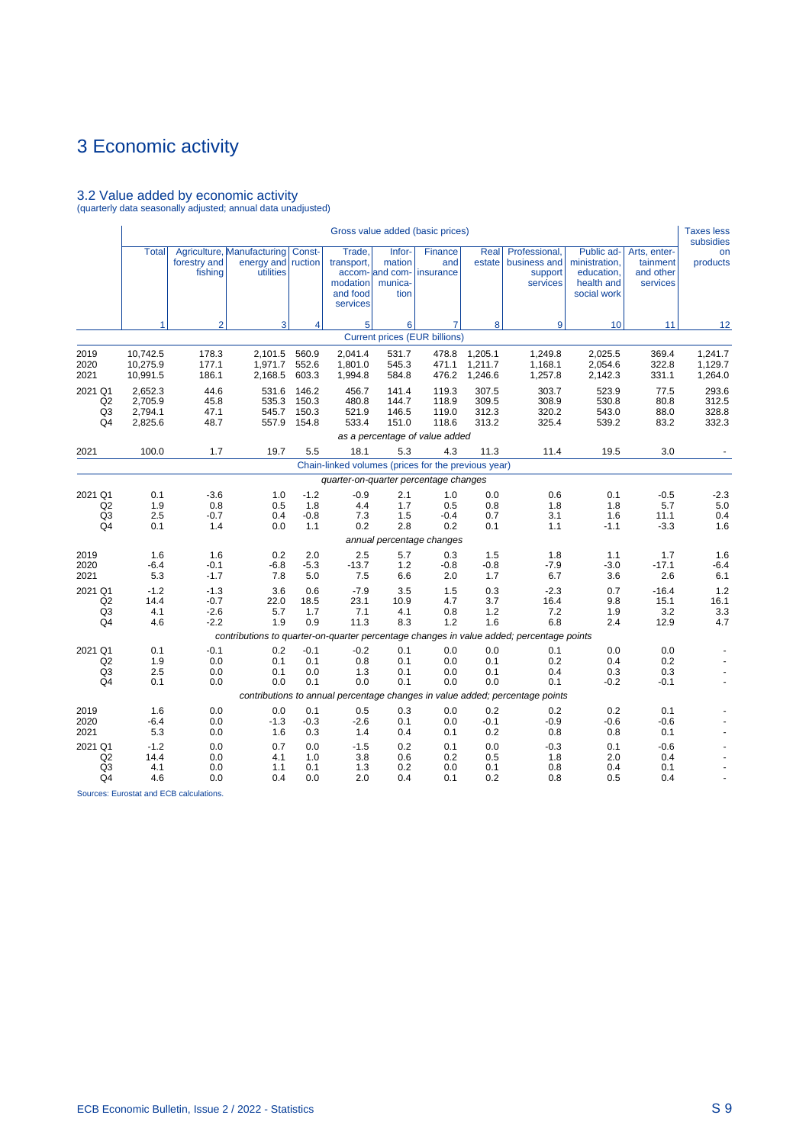# 3.2 Value added by economic activity (quarterly data seasonally adjusted; annual data unadjusted)

|                                                               |                                          |                                      |                                                                      |                                  |                                                          |                                                        | Gross value added (basic prices)      |                                  |                                                                                                          |                                                                        |                                                   | <b>Taxes less</b><br>subsidies   |
|---------------------------------------------------------------|------------------------------------------|--------------------------------------|----------------------------------------------------------------------|----------------------------------|----------------------------------------------------------|--------------------------------------------------------|---------------------------------------|----------------------------------|----------------------------------------------------------------------------------------------------------|------------------------------------------------------------------------|---------------------------------------------------|----------------------------------|
|                                                               | <b>Total</b>                             | forestry and<br>fishing              | Agriculture, Manufacturing Const-<br>energy and ruction<br>utilities |                                  | Trade,<br>transport,<br>modation<br>and food<br>services | Infor-<br>mation<br>accom- and com-<br>munica-<br>tion | Finance<br>and<br>insurance           | Real<br>estate                   | Professional,<br>business and<br>support<br>services                                                     | Public ad-<br>ministration,<br>education,<br>health and<br>social work | Arts, enter-<br>tainment<br>and other<br>services | on<br>products                   |
|                                                               | 1                                        | $\overline{2}$                       | 3                                                                    | 4                                | 5 <sup>1</sup>                                           | 6                                                      | $\overline{7}$                        | 8                                | 9                                                                                                        | 10                                                                     | 11                                                | 12                               |
|                                                               |                                          |                                      |                                                                      |                                  |                                                          |                                                        | <b>Current prices (EUR billions)</b>  |                                  |                                                                                                          |                                                                        |                                                   |                                  |
| 2019<br>2020<br>2021                                          | 10,742.5<br>10,275.9<br>10,991.5         | 178.3<br>177.1<br>186.1              | 2,101.5<br>1,971.7<br>2,168.5                                        | 560.9<br>552.6<br>603.3          | 2,041.4<br>1,801.0<br>1,994.8                            | 531.7<br>545.3<br>584.8                                | 478.8<br>471.1<br>476.2               | 1,205.1<br>1,211.7<br>1,246.6    | 1,249.8<br>1,168.1<br>1,257.8                                                                            | 2,025.5<br>2,054.6<br>2,142.3                                          | 369.4<br>322.8<br>331.1                           | 1,241.7<br>1,129.7<br>1,264.0    |
| 2021 Q1<br>Q2<br>Q3<br>Q4                                     | 2,652.3<br>2.705.9<br>2,794.1<br>2,825.6 | 44.6<br>45.8<br>47.1<br>48.7         | 531.6<br>535.3<br>545.7<br>557.9                                     | 146.2<br>150.3<br>150.3<br>154.8 | 456.7<br>480.8<br>521.9<br>533.4                         | 141.4<br>144.7<br>146.5<br>151.0                       | 119.3<br>118.9<br>119.0<br>118.6      | 307.5<br>309.5<br>312.3<br>313.2 | 303.7<br>308.9<br>320.2<br>325.4                                                                         | 523.9<br>530.8<br>543.0<br>539.2                                       | 77.5<br>80.8<br>88.0<br>83.2                      | 293.6<br>312.5<br>328.8<br>332.3 |
| 2021                                                          | 100.0                                    | 1.7                                  | 19.7                                                                 | 5.5                              | 18.1                                                     | 5.3                                                    | as a percentage of value added<br>4.3 | 11.3                             | 11.4                                                                                                     | 19.5                                                                   | 3.0                                               |                                  |
|                                                               |                                          |                                      |                                                                      |                                  | Chain-linked volumes (prices for the previous year)      |                                                        |                                       |                                  |                                                                                                          |                                                                        |                                                   |                                  |
|                                                               |                                          |                                      |                                                                      |                                  | quarter-on-quarter percentage changes                    |                                                        |                                       |                                  |                                                                                                          |                                                                        |                                                   |                                  |
| 2021 Q1<br>Q2<br>Q3<br>Q4                                     | 0.1<br>1.9<br>2.5<br>0.1                 | $-3.6$<br>0.8<br>$-0.7$<br>1.4       | 1.0<br>0.5<br>0.4<br>0.0                                             | $-1.2$<br>1.8<br>$-0.8$<br>1.1   | $-0.9$<br>4.4<br>7.3<br>0.2                              | 2.1<br>1.7<br>1.5<br>2.8                               | 1.0<br>0.5<br>$-0.4$<br>0.2           | 0.0<br>0.8<br>0.7<br>0.1         | 0.6<br>1.8<br>3.1<br>1.1                                                                                 | 0.1<br>1.8<br>1.6<br>$-1.1$                                            | $-0.5$<br>5.7<br>11.1<br>$-3.3$                   | $-2.3$<br>5.0<br>0.4<br>1.6      |
|                                                               |                                          |                                      |                                                                      |                                  |                                                          |                                                        | annual percentage changes             |                                  |                                                                                                          |                                                                        |                                                   |                                  |
| 2019<br>2020<br>2021                                          | 1.6<br>$-6.4$<br>5.3                     | 1.6<br>$-0.1$<br>$-1.7$              | 0.2<br>$-6.8$<br>7.8                                                 | 2.0<br>$-5.3$<br>5.0             | 2.5<br>$-13.7$<br>7.5                                    | 5.7<br>1.2<br>6.6                                      | 0.3<br>$-0.8$<br>2.0                  | 1.5<br>$-0.8$<br>1.7             | 1.8<br>$-7.9$<br>6.7                                                                                     | 1.1<br>$-3.0$<br>3.6                                                   | 1.7<br>$-17.1$<br>2.6                             | 1.6<br>$-6.4$<br>6.1             |
| 2021 Q1<br>Q <sub>2</sub><br>Q <sub>3</sub><br>Q4             | $-1.2$<br>14.4<br>4.1<br>4.6             | $-1.3$<br>$-0.7$<br>$-2.6$<br>$-2.2$ | 3.6<br>22.0<br>5.7<br>1.9                                            | 0.6<br>18.5<br>1.7<br>0.9        | $-7.9$<br>23.1<br>7.1<br>11.3                            | 3.5<br>10.9<br>4.1<br>8.3                              | 1.5<br>4.7<br>0.8<br>1.2              | 0.3<br>3.7<br>1.2<br>1.6         | $-2.3$<br>16.4<br>7.2<br>6.8                                                                             | 0.7<br>9.8<br>1.9<br>2.4                                               | $-16.4$<br>15.1<br>3.2<br>12.9                    | 1.2<br>16.1<br>3.3<br>4.7        |
|                                                               |                                          |                                      |                                                                      |                                  |                                                          |                                                        |                                       |                                  | contributions to quarter-on-quarter percentage changes in value added; percentage points                 |                                                                        |                                                   |                                  |
| 2021 Q1<br>Q2<br>Q3<br>Q4                                     | 0.1<br>1.9<br>2.5<br>0.1                 | $-0.1$<br>0.0<br>0.0<br>0.0          | 0.2<br>0.1<br>0.1<br>0.0                                             | $-0.1$<br>0.1<br>0.0<br>0.1      | $-0.2$<br>0.8<br>1.3<br>0.0                              | 0.1<br>0.1<br>0.1<br>0.1                               | 0.0<br>0.0<br>0.0<br>0.0              | 0.0<br>0.1<br>0.1<br>0.0         | 0.1<br>0.2<br>0.4<br>0.1<br>contributions to annual percentage changes in value added; percentage points | 0.0<br>0.4<br>0.3<br>$-0.2$                                            | 0.0<br>0.2<br>0.3<br>$-0.1$                       | $\ddot{\phantom{1}}$             |
| 2019<br>2020<br>2021                                          | 1.6<br>$-6.4$<br>5.3                     | 0.0<br>0.0<br>0.0                    | 0.0<br>$-1.3$<br>1.6                                                 | 0.1<br>$-0.3$<br>0.3             | 0.5<br>$-2.6$<br>1.4                                     | 0.3<br>0.1<br>0.4                                      | 0.0<br>0.0<br>0.1                     | 0.2<br>$-0.1$<br>0.2             | 0.2<br>$-0.9$<br>0.8                                                                                     | 0.2<br>$-0.6$<br>0.8                                                   | 0.1<br>$-0.6$<br>0.1                              |                                  |
| 2021 Q1<br>Q <sub>2</sub><br>Q <sub>3</sub><br>Q <sub>4</sub> | $-1.2$<br>14.4<br>4.1<br>4.6             | 0.0<br>0.0<br>0.0<br>0.0             | 0.7<br>4.1<br>1.1<br>0.4                                             | 0.0<br>1.0<br>0.1<br>0.0         | $-1.5$<br>3.8<br>1.3<br>2.0                              | 0.2<br>0.6<br>0.2<br>0.4                               | 0.1<br>0.2<br>0.0<br>0.1              | 0.0<br>0.5<br>0.1<br>0.2         | $-0.3$<br>1.8<br>0.8<br>0.8                                                                              | 0.1<br>2.0<br>0.4<br>0.5                                               | $-0.6$<br>0.4<br>0.1<br>0.4                       |                                  |

Sources: Eurostat and ECB calculations.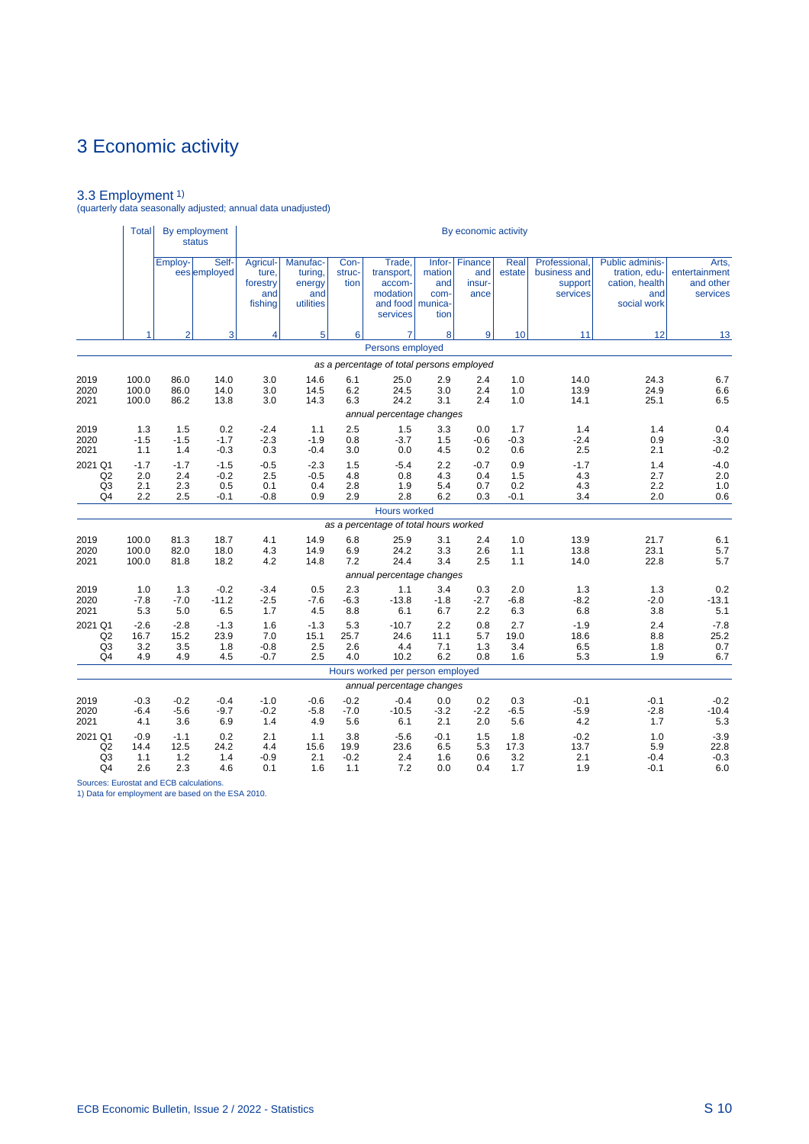3.3 Employment 1) (quarterly data seasonally adjusted; annual data unadjusted)

|                                                               | <b>Total</b>                 |                              | By employment<br><b>status</b>    |                                                 |                                                   |                              |                                                                              |                               | By economic activity                    |                             |                                                      |                                                                                 |                                                 |
|---------------------------------------------------------------|------------------------------|------------------------------|-----------------------------------|-------------------------------------------------|---------------------------------------------------|------------------------------|------------------------------------------------------------------------------|-------------------------------|-----------------------------------------|-----------------------------|------------------------------------------------------|---------------------------------------------------------------------------------|-------------------------------------------------|
|                                                               |                              | Employ-                      | Self-<br>ees employed             | Agricul-<br>ture.<br>forestry<br>and<br>fishing | Manufac-<br>turing,<br>energy<br>and<br>utilities | Con-<br>struc-<br>tion       | Trade.<br>transport,<br>accom-<br>modation<br>and food   munica-<br>services | mation<br>and<br>com-<br>tion | Infor- Finance<br>and<br>insur-<br>ance | Real<br>estate              | Professional,<br>business and<br>support<br>services | <b>Public adminis-</b><br>tration, edu-<br>cation, health<br>and<br>social work | Arts,<br>entertainment<br>and other<br>services |
|                                                               | 1                            | $\overline{2}$               | 3                                 | 4                                               | 5                                                 | 6                            | $\overline{7}$                                                               | 8                             | 9                                       | 10                          | 11                                                   | 12                                                                              | 13                                              |
|                                                               |                              |                              |                                   |                                                 |                                                   |                              | Persons employed                                                             |                               |                                         |                             |                                                      |                                                                                 |                                                 |
|                                                               |                              |                              |                                   |                                                 |                                                   |                              | as a percentage of total persons employed                                    |                               |                                         |                             |                                                      |                                                                                 |                                                 |
| 2019<br>2020<br>2021                                          | 100.0<br>100.0<br>100.0      | 86.0<br>86.0<br>86.2         | 14.0<br>14.0<br>13.8              | 3.0<br>3.0<br>3.0                               | 14.6<br>14.5<br>14.3                              | 6.1<br>6.2<br>6.3            | 25.0<br>24.5<br>24.2                                                         | 2.9<br>3.0<br>3.1             | 2.4<br>2.4<br>2.4                       | 1.0<br>1.0<br>1.0           | 14.0<br>13.9<br>14.1                                 | 24.3<br>24.9<br>25.1                                                            | 6.7<br>6.6<br>6.5                               |
|                                                               |                              |                              |                                   |                                                 |                                                   |                              | annual percentage changes                                                    |                               |                                         |                             |                                                      |                                                                                 |                                                 |
| 2019<br>2020<br>2021                                          | 1.3<br>$-1.5$<br>1.1         | 1.5<br>$-1.5$<br>1.4         | 0.2<br>$-1.7$<br>$-0.3$           | $-2.4$<br>$-2.3$<br>0.3                         | 1.1<br>$-1.9$<br>$-0.4$                           | 2.5<br>0.8<br>3.0            | 1.5<br>$-3.7$<br>0.0                                                         | 3.3<br>1.5<br>4.5             | 0.0<br>$-0.6$<br>0.2                    | 1.7<br>$-0.3$<br>0.6        | 1.4<br>$-2.4$<br>2.5                                 | 1.4<br>0.9<br>2.1                                                               | 0.4<br>$-3.0$<br>$-0.2$                         |
| 2021 Q1<br>Q <sub>2</sub><br>Q <sub>3</sub><br>Q <sub>4</sub> | $-1.7$<br>2.0<br>2.1<br>2.2  | $-1.7$<br>2.4<br>2.3<br>2.5  | $-1.5$<br>$-0.2$<br>0.5<br>$-0.1$ | $-0.5$<br>2.5<br>0.1<br>$-0.8$                  | $-2.3$<br>$-0.5$<br>0.4<br>0.9                    | 1.5<br>4.8<br>2.8<br>2.9     | $-5.4$<br>0.8<br>1.9<br>2.8                                                  | 2.2<br>4.3<br>5.4<br>6.2      | $-0.7$<br>0.4<br>0.7<br>0.3             | 0.9<br>1.5<br>0.2<br>$-0.1$ | $-1.7$<br>4.3<br>4.3<br>3.4                          | 1.4<br>2.7<br>2.2<br>2.0                                                        | $-4.0$<br>2.0<br>1.0<br>0.6                     |
|                                                               |                              |                              |                                   |                                                 |                                                   |                              | <b>Hours worked</b>                                                          |                               |                                         |                             |                                                      |                                                                                 |                                                 |
|                                                               |                              |                              |                                   |                                                 |                                                   |                              | as a percentage of total hours worked                                        |                               |                                         |                             |                                                      |                                                                                 |                                                 |
| 2019<br>2020<br>2021                                          | 100.0<br>100.0<br>100.0      | 81.3<br>82.0<br>81.8         | 18.7<br>18.0<br>18.2              | 4.1<br>4.3<br>4.2                               | 14.9<br>14.9<br>14.8                              | 6.8<br>6.9<br>7.2            | 25.9<br>24.2<br>24.4<br>annual percentage changes                            | 3.1<br>3.3<br>3.4             | 2.4<br>2.6<br>2.5                       | 1.0<br>1.1<br>1.1           | 13.9<br>13.8<br>14.0                                 | 21.7<br>23.1<br>22.8                                                            | 6.1<br>5.7<br>5.7                               |
| 2019                                                          | 1.0                          | 1.3                          | $-0.2$                            | $-3.4$                                          | 0.5                                               | 2.3                          | 1.1                                                                          | 3.4                           | 0.3                                     | 2.0                         | 1.3                                                  | 1.3                                                                             | 0.2                                             |
| 2020<br>2021                                                  | $-7.8$<br>5.3                | $-7.0$<br>5.0                | $-11.2$<br>6.5                    | $-2.5$<br>1.7                                   | $-7.6$<br>4.5                                     | $-6.3$<br>8.8                | $-13.8$<br>6.1                                                               | $-1.8$<br>6.7                 | $-2.7$<br>2.2                           | $-6.8$<br>6.3               | $-8.2$<br>6.8                                        | $-2.0$<br>3.8                                                                   | $-13.1$<br>5.1                                  |
| 2021 Q1<br>Q2<br>Q <sub>3</sub><br>Q4                         | $-2.6$<br>16.7<br>3.2<br>4.9 | $-2.8$<br>15.2<br>3.5<br>4.9 | $-1.3$<br>23.9<br>1.8<br>4.5      | 1.6<br>7.0<br>$-0.8$<br>$-0.7$                  | $-1.3$<br>15.1<br>2.5<br>2.5                      | 5.3<br>25.7<br>2.6<br>4.0    | $-10.7$<br>24.6<br>4.4<br>10.2                                               | 2.2<br>11.1<br>7.1<br>6.2     | 0.8<br>5.7<br>1.3<br>0.8                | 2.7<br>19.0<br>3.4<br>1.6   | $-1.9$<br>18.6<br>6.5<br>5.3                         | 2.4<br>8.8<br>1.8<br>1.9                                                        | $-7.8$<br>25.2<br>0.7<br>6.7                    |
|                                                               |                              |                              |                                   |                                                 |                                                   |                              | Hours worked per person employed                                             |                               |                                         |                             |                                                      |                                                                                 |                                                 |
|                                                               |                              |                              |                                   |                                                 |                                                   |                              | annual percentage changes                                                    |                               |                                         |                             |                                                      |                                                                                 |                                                 |
| 2019<br>2020<br>2021                                          | $-0.3$<br>$-6.4$<br>4.1      | $-0.2$<br>$-5.6$<br>3.6      | $-0.4$<br>$-9.7$<br>6.9           | $-1.0$<br>$-0.2$<br>1.4                         | $-0.6$<br>$-5.8$<br>4.9                           | $-0.2$<br>$-7.0$<br>5.6      | $-0.4$<br>$-10.5$<br>6.1                                                     | 0.0<br>$-3.2$<br>2.1          | 0.2<br>$-2.2$<br>2.0                    | 0.3<br>$-6.5$<br>5.6        | $-0.1$<br>$-5.9$<br>4.2                              | $-0.1$<br>$-2.8$<br>1.7                                                         | $-0.2$<br>$-10.4$<br>5.3                        |
| 2021 Q1<br>Q <sub>2</sub><br>Q <sub>3</sub><br>Q4             | $-0.9$<br>14.4<br>1.1<br>2.6 | $-1.1$<br>12.5<br>1.2<br>2.3 | 0.2<br>24.2<br>1.4<br>4.6         | 2.1<br>4.4<br>$-0.9$<br>0.1                     | 1.1<br>15.6<br>2.1<br>1.6                         | 3.8<br>19.9<br>$-0.2$<br>1.1 | $-5.6$<br>23.6<br>2.4<br>7.2                                                 | $-0.1$<br>6.5<br>1.6<br>0.0   | 1.5<br>5.3<br>0.6<br>0.4                | 1.8<br>17.3<br>3.2<br>1.7   | $-0.2$<br>13.7<br>2.1<br>1.9                         | 1.0<br>5.9<br>$-0.4$<br>$-0.1$                                                  | $-3.9$<br>22.8<br>$-0.3$<br>6.0                 |

Sources: Eurostat and ECB calculations. 1) Data for employment are based on the ESA 2010.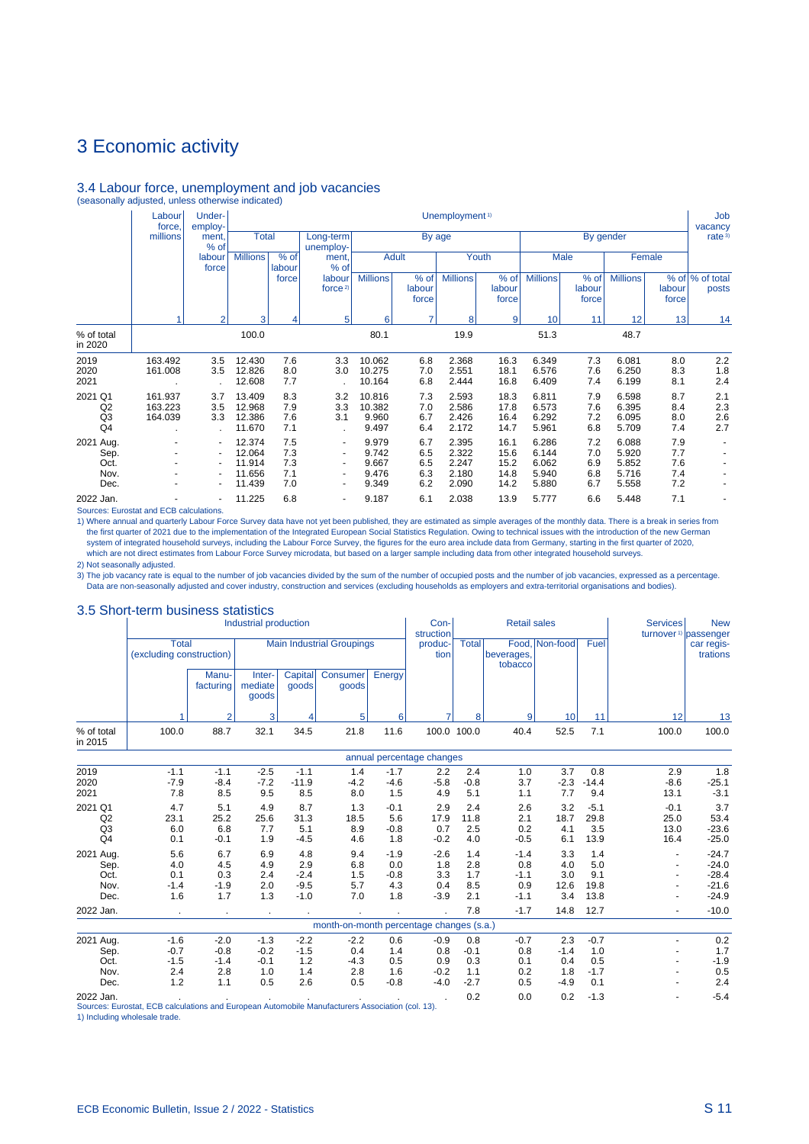# 3.4 Labour force, unemployment and job vacancies (seasonally adjusted, unless otherwise indicated)

|                                                               | Labour<br>force,              | Under-<br>employ-                                            |                                                |                                 |                                                                                                                                          |                                           |                                 | Unemployment <sup>1)</sup>                |                                      |                                           |                                 |                                           |                                 | Job<br>vacancy           |
|---------------------------------------------------------------|-------------------------------|--------------------------------------------------------------|------------------------------------------------|---------------------------------|------------------------------------------------------------------------------------------------------------------------------------------|-------------------------------------------|---------------------------------|-------------------------------------------|--------------------------------------|-------------------------------------------|---------------------------------|-------------------------------------------|---------------------------------|--------------------------|
|                                                               | millions                      | ment.<br>% of                                                | <b>Total</b>                                   |                                 | Long-term<br>unemploy-                                                                                                                   |                                           |                                 | By age                                    |                                      |                                           |                                 | By gender                                 |                                 | rate <sup>3)</sup>       |
|                                                               |                               | labour<br>force                                              | <b>Millions</b>                                | % of<br>labour                  | ment.<br>% of                                                                                                                            |                                           | <b>Adult</b>                    |                                           | Youth                                |                                           | Male                            |                                           | Female                          |                          |
|                                                               |                               |                                                              |                                                | force                           | labour<br>force $2$                                                                                                                      | <b>Millions</b>                           | % of<br>labour<br>force         | <b>Millions</b>                           | % of<br>labour<br>force              | <b>Millions</b>                           | % of<br>labour<br>force         | <b>Millions</b>                           | labour<br>force                 | % of % of total<br>posts |
|                                                               |                               | $\overline{2}$                                               | 3                                              | 4                               | 5                                                                                                                                        | 6                                         | 7                               | 8                                         | 9                                    | 10                                        | 11                              | 12                                        | 13                              | 14                       |
| % of total<br>in 2020                                         |                               |                                                              | 100.0                                          |                                 |                                                                                                                                          | 80.1                                      |                                 | 19.9                                      |                                      | 51.3                                      |                                 | 48.7                                      |                                 |                          |
| 2019<br>2020<br>2021                                          | 163.492<br>161.008            | 3.5<br>3.5                                                   | 12.430<br>12.826<br>12.608                     | 7.6<br>8.0<br>7.7               | 3.3<br>3.0                                                                                                                               | 10.062<br>10.275<br>10.164                | 6.8<br>7.0<br>6.8               | 2.368<br>2.551<br>2.444                   | 16.3<br>18.1<br>16.8                 | 6.349<br>6.576<br>6.409                   | 7.3<br>7.6<br>7.4               | 6.081<br>6.250<br>6.199                   | 8.0<br>8.3<br>8.1               | 2.2<br>1.8<br>2.4        |
| 2021 Q1<br>Q <sub>2</sub><br>Q <sub>3</sub><br>Q <sub>4</sub> | 161.937<br>163.223<br>164.039 | 3.7<br>3.5<br>3.3                                            | 13.409<br>12.968<br>12.386<br>11.670           | 8.3<br>7.9<br>7.6<br>7.1        | 3.2<br>3.3<br>3.1                                                                                                                        | 10.816<br>10.382<br>9.960<br>9.497        | 7.3<br>7.0<br>6.7<br>6.4        | 2.593<br>2.586<br>2.426<br>2.172          | 18.3<br>17.8<br>16.4<br>14.7         | 6.811<br>6.573<br>6.292<br>5.961          | 7.9<br>7.6<br>7.2<br>6.8        | 6.598<br>6.395<br>6.095<br>5.709          | 8.7<br>8.4<br>8.0<br>7.4        | 2.1<br>2.3<br>2.6<br>2.7 |
| 2021 Aug.<br>Sep.<br>Oct.<br>Nov.<br>Dec.                     | ٠                             | $\blacksquare$<br>٠<br>$\blacksquare$<br>٠<br>$\blacksquare$ | 12.374<br>12.064<br>11.914<br>11.656<br>11.439 | 7.5<br>7.3<br>7.3<br>7.1<br>7.0 | $\overline{\phantom{a}}$<br>$\overline{\phantom{a}}$<br>$\overline{\phantom{a}}$<br>$\overline{\phantom{a}}$<br>$\overline{\phantom{a}}$ | 9.979<br>9.742<br>9.667<br>9.476<br>9.349 | 6.7<br>6.5<br>6.5<br>6.3<br>6.2 | 2.395<br>2.322<br>2.247<br>2.180<br>2.090 | 16.1<br>15.6<br>15.2<br>14.8<br>14.2 | 6.286<br>6.144<br>6.062<br>5.940<br>5.880 | 7.2<br>7.0<br>6.9<br>6.8<br>6.7 | 6.088<br>5.920<br>5.852<br>5.716<br>5.558 | 7.9<br>7.7<br>7.6<br>7.4<br>7.2 |                          |
| 2022 Jan.                                                     |                               | ٠                                                            | 11.225                                         | 6.8                             |                                                                                                                                          | 9.187                                     | 6.1                             | 2.038                                     | 13.9                                 | 5.777                                     | 6.6                             | 5.448                                     | 7.1                             |                          |

Sources: Eurostat and ECB calculations.

1) Where annual and quarterly Labour Force Survey data have not yet been published, they are estimated as simple averages of the monthly data. There is a break in series from<br>the first quarter of 2021 due to the implementa which are not direct estimates from Labour Force Survey microdata, but based on a larger sample including data from other integrated household surveys. 2) Not seasonally adjusted.

3) The job vacancy rate is equal to the number of job vacancies divided by the sum of the number of occupied posts and the number of job vacancies, expressed as a percentage. Data are non-seasonally adjusted and cover industry, construction and services (excluding households as employers and extra-territorial organisations and bodies).

#### 3.5 Short-term business statistics

|                                           | <u>torm baomooo o</u>                                                                            |                                          | Industrial production                    |                                          |                                          |                                       | Con-<br>struction                        |                                       | <b>Retail sales</b>                      |                                       |                                       | <b>Services</b>                | <b>New</b><br>turnover <sup>1)</sup> passenger      |
|-------------------------------------------|--------------------------------------------------------------------------------------------------|------------------------------------------|------------------------------------------|------------------------------------------|------------------------------------------|---------------------------------------|------------------------------------------|---------------------------------------|------------------------------------------|---------------------------------------|---------------------------------------|--------------------------------|-----------------------------------------------------|
|                                           | <b>Total</b><br>(excluding construction)                                                         |                                          |                                          |                                          | <b>Main Industrial Groupings</b>         |                                       | produc-<br>tion                          | <b>Total</b>                          | beverages,<br>tobacco                    | Food, Non-food                        | Fuel                                  |                                | car regis-<br>trations                              |
|                                           |                                                                                                  | Manu-<br>facturing                       | Inter-<br>mediate<br>goods               | Capital<br>goods                         | Consumer<br>goods                        | Energy                                |                                          |                                       |                                          |                                       |                                       |                                |                                                     |
|                                           |                                                                                                  | $\overline{2}$                           | 3                                        | 4                                        | 5                                        | 6                                     | 7                                        | 8                                     | 9                                        | 10                                    | 11                                    | 12                             | 13                                                  |
| % of total<br>in 2015                     | 100.0                                                                                            | 88.7                                     | 32.1                                     | 34.5                                     | 21.8                                     | 11.6                                  |                                          | 100.0 100.0                           | 40.4                                     | 52.5                                  | 7.1                                   | 100.0                          | 100.0                                               |
|                                           |                                                                                                  |                                          |                                          |                                          |                                          |                                       | annual percentage changes                |                                       |                                          |                                       |                                       |                                |                                                     |
| 2019<br>2020<br>2021                      | $-1.1$<br>$-7.9$<br>7.8                                                                          | $-1.1$<br>$-8.4$<br>8.5                  | $-2.5$<br>$-7.2$<br>9.5                  | $-1.1$<br>$-11.9$<br>8.5                 | 1.4<br>$-4.2$<br>8.0                     | $-1.7$<br>$-4.6$<br>1.5               | 2.2<br>$-5.8$<br>4.9                     | 2.4<br>$-0.8$<br>5.1                  | 1.0<br>3.7<br>1.1                        | 3.7<br>$-2.3$<br>7.7                  | 0.8<br>$-14.4$<br>9.4                 | 2.9<br>$-8.6$<br>13.1          | 1.8<br>$-25.1$<br>$-3.1$                            |
| 2021 Q1<br>Q2<br>Q <sub>3</sub><br>Q4     | 4.7<br>23.1<br>6.0<br>0.1                                                                        | 5.1<br>25.2<br>6.8<br>$-0.1$             | 4.9<br>25.6<br>7.7<br>1.9                | 8.7<br>31.3<br>5.1<br>$-4.5$             | 1.3<br>18.5<br>8.9<br>4.6                | $-0.1$<br>5.6<br>$-0.8$<br>1.8        | 2.9<br>17.9<br>0.7<br>$-0.2$             | 2.4<br>11.8<br>2.5<br>4.0             | 2.6<br>2.1<br>0.2<br>$-0.5$              | 3.2<br>18.7<br>4.1<br>6.1             | $-5.1$<br>29.8<br>3.5<br>13.9         | $-0.1$<br>25.0<br>13.0<br>16.4 | 3.7<br>53.4<br>$-23.6$<br>$-25.0$                   |
| 2021 Aug.<br>Sep.<br>Oct.<br>Nov.<br>Dec. | 5.6<br>4.0<br>0.1<br>$-1.4$<br>1.6                                                               | 6.7<br>4.5<br>0.3<br>$-1.9$<br>1.7       | 6.9<br>4.9<br>2.4<br>2.0<br>1.3          | 4.8<br>2.9<br>$-2.4$<br>$-9.5$<br>$-1.0$ | 9.4<br>6.8<br>1.5<br>5.7<br>7.0          | $-1.9$<br>0.0<br>$-0.8$<br>4.3<br>1.8 | $-2.6$<br>1.8<br>3.3<br>0.4<br>$-3.9$    | 1.4<br>2.8<br>1.7<br>8.5<br>2.1       | $-1.4$<br>0.8<br>$-1.1$<br>0.9<br>$-1.1$ | 3.3<br>4.0<br>3.0<br>12.6<br>3.4      | 1.4<br>5.0<br>9.1<br>19.8<br>13.8     |                                | $-24.7$<br>$-24.0$<br>$-28.4$<br>$-21.6$<br>$-24.9$ |
| 2022 Jan.                                 | $\bullet$                                                                                        | $\bullet$                                | $\sim$                                   |                                          |                                          |                                       |                                          | 7.8                                   | $-1.7$                                   | 14.8                                  | 12.7                                  |                                | $-10.0$                                             |
|                                           |                                                                                                  |                                          |                                          |                                          | month-on-month percentage changes (s.a.) |                                       |                                          |                                       |                                          |                                       |                                       |                                |                                                     |
| 2021 Aug.<br>Sep.<br>Oct.<br>Nov.<br>Dec. | $-1.6$<br>$-0.7$<br>$-1.5$<br>2.4<br>1.2                                                         | $-2.0$<br>$-0.8$<br>$-1.4$<br>2.8<br>1.1 | $-1.3$<br>$-0.2$<br>$-0.1$<br>1.0<br>0.5 | $-2.2$<br>$-1.5$<br>1.2<br>1.4<br>2.6    | $-2.2$<br>0.4<br>$-4.3$<br>2.8<br>0.5    | 0.6<br>1.4<br>0.5<br>1.6<br>$-0.8$    | $-0.9$<br>0.8<br>0.9<br>$-0.2$<br>$-4.0$ | 0.8<br>$-0.1$<br>0.3<br>1.1<br>$-2.7$ | $-0.7$<br>0.8<br>0.1<br>0.2<br>0.5       | 2.3<br>$-1.4$<br>0.4<br>1.8<br>$-4.9$ | $-0.7$<br>1.0<br>0.5<br>$-1.7$<br>0.1 |                                | 0.2<br>1.7<br>$-1.9$<br>0.5<br>2.4                  |
| 2022 Jan.                                 | Sources: Eurostat, ECB calculations and European Automobile Manufacturers Association (col. 13). |                                          |                                          |                                          |                                          |                                       |                                          | 0.2                                   | 0.0                                      | 0.2                                   | $-1.3$                                |                                | $-5.4$                                              |

1) Including wholesale trade.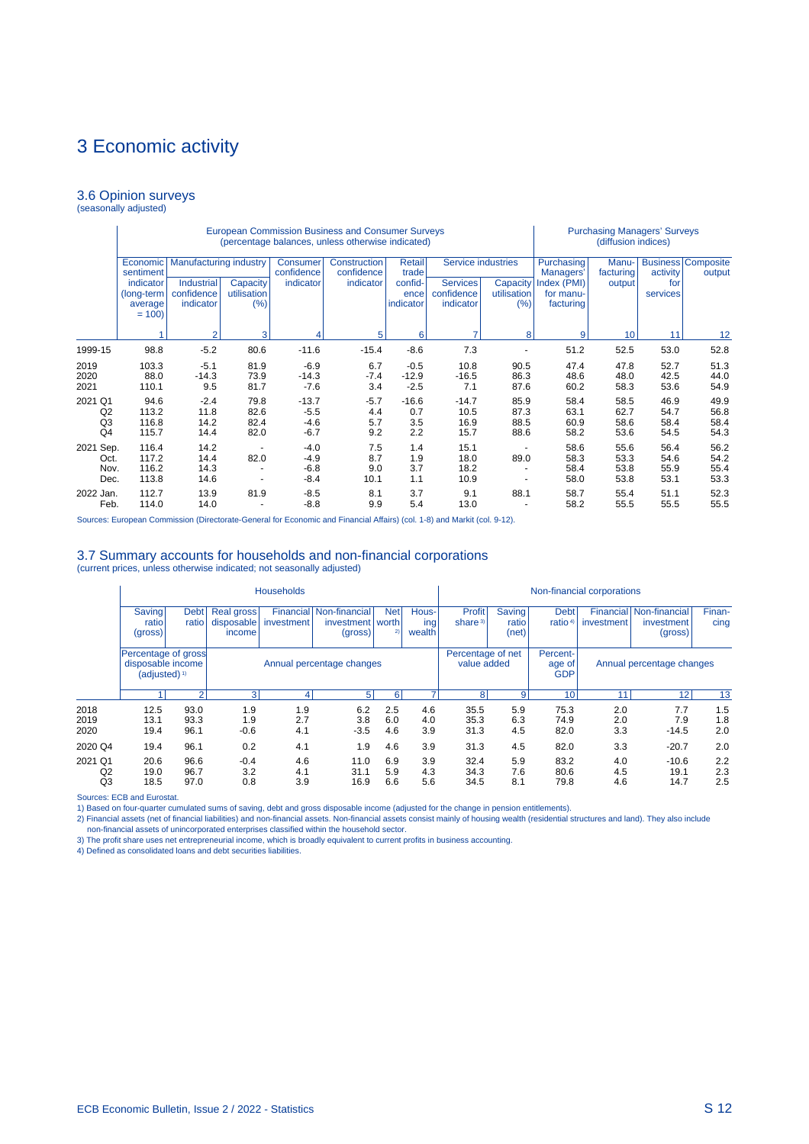#### 3.6 Opinion surveys (seasonally adjusted)

|                                                                  |                                                             |                                                                        |                                          |                                       | <b>European Commission Business and Consumer Surveys</b><br>(percentage balances, unless otherwise indicated) |                                                 |                                     | <b>Purchasing Managers' Surveys</b><br>(diffusion indices) |                                                                  |                              |                              |                                     |
|------------------------------------------------------------------|-------------------------------------------------------------|------------------------------------------------------------------------|------------------------------------------|---------------------------------------|---------------------------------------------------------------------------------------------------------------|-------------------------------------------------|-------------------------------------|------------------------------------------------------------|------------------------------------------------------------------|------------------------------|------------------------------|-------------------------------------|
|                                                                  | Economic<br>sentiment<br>indicator<br>(long-term<br>average | <b>Manufacturing industry</b><br>Industrial<br>confidence<br>indicator | Capacity<br>utilisation<br>(%)           | Consumer<br>confidence<br>indicator   | Construction<br>confidence<br>indicator                                                                       | Retail<br>trade<br>confid-<br>ence<br>indicator | Services<br>confidence<br>indicator | Service industries<br>Capacity<br>utilisation<br>(%)       | Purchasing<br>Managers'<br>Index (PMI)<br>for manu-<br>facturing | Manu-<br>facturing<br>output | activity<br>for<br>services  | <b>Business Composite</b><br>output |
|                                                                  | $= 100$                                                     | $\overline{2}$                                                         | 3                                        |                                       | 5                                                                                                             | 6                                               | 7                                   | 8                                                          | 9                                                                | 10 <sup>1</sup>              | 11                           | 12                                  |
| 1999-15                                                          | 98.8                                                        | $-5.2$                                                                 | 80.6                                     | $-11.6$                               | $-15.4$                                                                                                       | $-8.6$                                          | 7.3                                 |                                                            | 51.2                                                             | 52.5                         | 53.0                         | 52.8                                |
| 2019<br>2020<br>2021                                             | 103.3<br>88.0<br>110.1                                      | $-5.1$<br>$-14.3$<br>9.5                                               | 81.9<br>73.9<br>81.7                     | $-6.9$<br>$-14.3$<br>$-7.6$           | 6.7<br>$-7.4$<br>3.4                                                                                          | $-0.5$<br>$-12.9$<br>$-2.5$                     | 10.8<br>$-16.5$<br>7.1              | 90.5<br>86.3<br>87.6                                       | 47.4<br>48.6<br>60.2                                             | 47.8<br>48.0<br>58.3         | 52.7<br>42.5<br>53.6         | 51.3<br>44.0<br>54.9                |
| 2021<br>Q <sub>1</sub><br>Q2<br>Q <sub>3</sub><br>Q <sub>4</sub> | 94.6<br>113.2<br>116.8<br>115.7                             | $-2.4$<br>11.8<br>14.2<br>14.4                                         | 79.8<br>82.6<br>82.4<br>82.0             | $-13.7$<br>$-5.5$<br>$-4.6$<br>$-6.7$ | $-5.7$<br>4.4<br>5.7<br>9.2                                                                                   | $-16.6$<br>0.7<br>3.5<br>2.2                    | $-14.7$<br>10.5<br>16.9<br>15.7     | 85.9<br>87.3<br>88.5<br>88.6                               | 58.4<br>63.1<br>60.9<br>58.2                                     | 58.5<br>62.7<br>58.6<br>53.6 | 46.9<br>54.7<br>58.4<br>54.5 | 49.9<br>56.8<br>58.4<br>54.3        |
| Sep.<br>2021<br>Oct.<br>Nov.<br>Dec.                             | 116.4<br>117.2<br>116.2<br>113.8                            | 14.2<br>14.4<br>14.3<br>14.6                                           | $\blacksquare$<br>82.0<br>$\blacksquare$ | $-4.0$<br>$-4.9$<br>$-6.8$<br>$-8.4$  | 7.5<br>8.7<br>9.0<br>10.1                                                                                     | 1.4<br>1.9<br>3.7<br>1.1                        | 15.1<br>18.0<br>18.2<br>10.9        | ٠<br>89.0<br>$\overline{\phantom{a}}$                      | 58.6<br>58.3<br>58.4<br>58.0                                     | 55.6<br>53.3<br>53.8<br>53.8 | 56.4<br>54.6<br>55.9<br>53.1 | 56.2<br>54.2<br>55.4<br>53.3        |
| 2022 Jan.<br>Feb.                                                | 112.7<br>114.0                                              | 13.9<br>14.0                                                           | 81.9                                     | $-8.5$<br>$-8.8$                      | 8.1<br>9.9                                                                                                    | 3.7<br>5.4                                      | 9.1<br>13.0                         | 88.1                                                       | 58.7<br>58.2                                                     | 55.4<br>55.5                 | 51.1<br>55.5                 | 52.3<br>55.5                        |

Sources: European Commission (Directorate-General for Economic and Financial Affairs) (col. 1-8) and Markit (col. 9-12).

#### 3.7 Summary accounts for households and non-financial corporations (current prices, unless otherwise indicated; not seasonally adjusted)

|                      |                                                                      |                                     |                                    | <b>Households</b>                                              |                                                          |                   |                        |                                  |                          |                                    | Non-financial corporations |                                                  |                   |
|----------------------|----------------------------------------------------------------------|-------------------------------------|------------------------------------|----------------------------------------------------------------|----------------------------------------------------------|-------------------|------------------------|----------------------------------|--------------------------|------------------------------------|----------------------------|--------------------------------------------------|-------------------|
|                      | Saving<br>ratio<br>(gross)                                           | <b>Debt</b><br>ratiol               | Real gross<br>disposable<br>income | investment                                                     | Financial Non-financial<br>investment   worth<br>(gross) | <b>Net</b><br>2)  | Hous-<br>ing<br>wealth | <b>Profit</b><br>share $3$       | Saving<br>ratio<br>(net) | <b>Debt</b><br>ratio <sup>4)</sup> | investment                 | Financial Non-financial<br>investment<br>(gross) | Finan-<br>cing    |
|                      | Percentage of gross<br>disposable income<br>(adjusted) <sup>1)</sup> |                                     |                                    |                                                                | Annual percentage changes                                |                   |                        | Percentage of net<br>value added |                          | Percent-<br>age of<br><b>GDP</b>   |                            | Annual percentage changes                        |                   |
|                      |                                                                      | 5 <sup>1</sup><br>21<br>3<br>6<br>4 |                                    |                                                                |                                                          |                   |                        | 8 <sup>1</sup>                   | $\mathbf{9}$             | 10 <sub>1</sub>                    | 11                         | 12                                               | 13                |
| 2018<br>2019<br>2020 | 12.5<br>13.1<br>19.4                                                 | 93.0<br>93.3<br>96.1                | 1.9<br>1.9<br>$-0.6$               | 1.9<br>2.7<br>4.1                                              | 6.2<br>3.8<br>$-3.5$                                     | 2.5<br>6.0<br>4.6 | 4.6<br>4.0<br>3.9      | 35.5<br>35.3<br>31.3             | 5.9<br>6.3<br>4.5        | 75.3<br>74.9<br>82.0               | 2.0<br>2.0<br>3.3          | 7.7<br>7.9<br>$-14.5$                            | 1.5<br>1.8<br>2.0 |
| 2020 Q4              | 19.4                                                                 | 96.1                                | 0.2                                | 4.1                                                            | 1.9                                                      | 4.6               | 3.9                    | 31.3                             | 4.5                      | 82.0                               | 3.3                        | $-20.7$                                          | 2.0               |
| 2021 Q1<br>Q2<br>Q3  | 20.6<br>19.0<br>18.5                                                 | 96.6<br>96.7<br>97.0                | $-0.4$<br>3.2<br>0.8               | 4.6<br>6.9<br>11.0<br>5.9<br>4.1<br>31.1<br>3.9<br>6.6<br>16.9 |                                                          |                   |                        |                                  | 5.9<br>7.6<br>8.1        | 83.2<br>80.6<br>79.8               | 4.0<br>4.5<br>4.6          | $-10.6$<br>19.1<br>14.7                          | 2.2<br>2.3<br>2.5 |

Sources: ECB and Eurostat.

1) Based on four-quarter cumulated sums of saving, debt and gross disposable income (adjusted for the change in pension entitlements).

2) Financial assets (net of financial liabilities) and non-financial assets. Non-financial assets consist mainly of housing wealth (residential structures and land). They also include non-financial assets of unincorporated enterprises classified within the household sector. 3) The profit share uses net entrepreneurial income, which is broadly equivalent to current profits in business accounting. 4) Defined as consolidated loans and debt securities liabilities.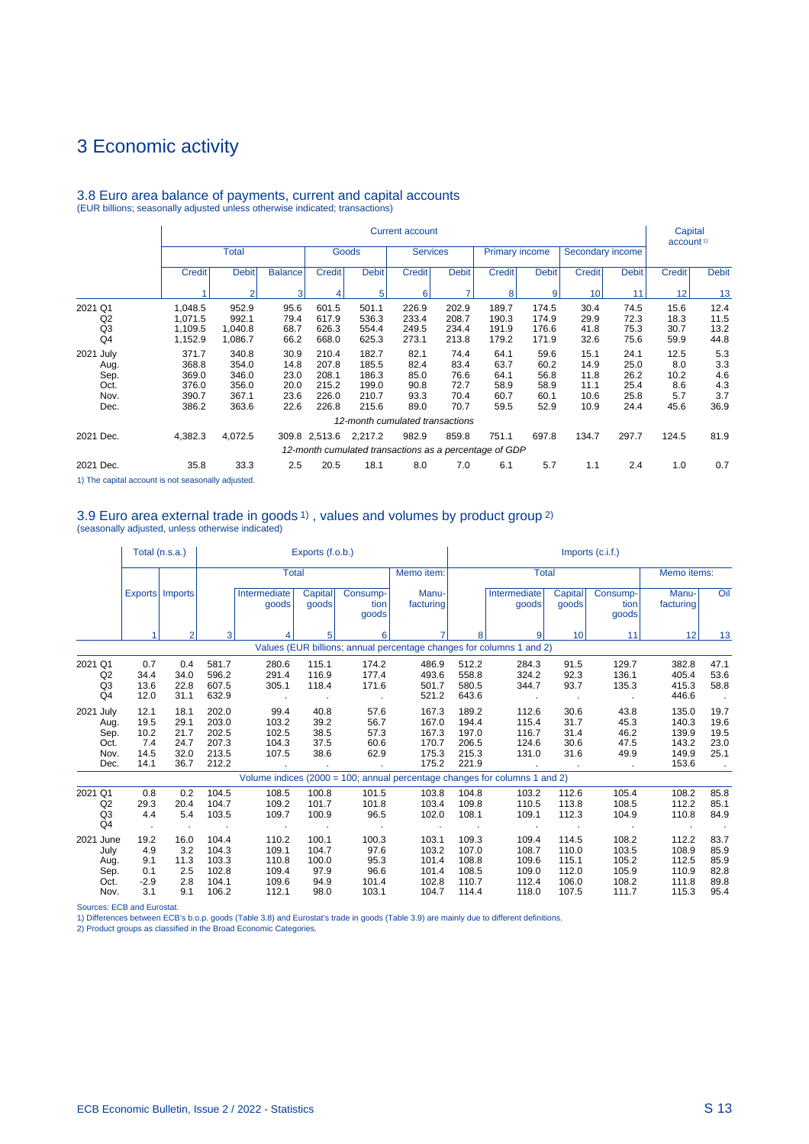|                                                            |                                                            |                                                                                                                                                     |                                              |                                                    |                                                    | <b>Current account</b>                           |                                                  |                                                  |                                                  |                                              |                                              | Capital<br>account <sup>1)</sup>            |                                            |
|------------------------------------------------------------|------------------------------------------------------------|-----------------------------------------------------------------------------------------------------------------------------------------------------|----------------------------------------------|----------------------------------------------------|----------------------------------------------------|--------------------------------------------------|--------------------------------------------------|--------------------------------------------------|--------------------------------------------------|----------------------------------------------|----------------------------------------------|---------------------------------------------|--------------------------------------------|
|                                                            |                                                            | <b>Total</b>                                                                                                                                        |                                              |                                                    | Goods                                              | <b>Services</b>                                  |                                                  | <b>Primary income</b>                            |                                                  | Secondary income                             |                                              |                                             |                                            |
|                                                            | <b>Credit</b>                                              | <b>Debit</b>                                                                                                                                        | <b>Balance</b>                               | <b>Credit</b>                                      | <b>Debit</b>                                       | <b>Credit</b>                                    | <b>Debit</b>                                     | <b>Credit</b>                                    | <b>Debit</b>                                     | <b>Credit</b>                                | <b>Debit</b>                                 | <b>Credit</b>                               | <b>Debit</b>                               |
|                                                            |                                                            | $\overline{2}$                                                                                                                                      | 3                                            | 4                                                  | 5                                                  | 6                                                |                                                  | 8                                                | 9                                                | 10                                           | 11                                           | 12 <sup>1</sup>                             | 13                                         |
| 2021 Q1<br>Q2<br>Q3<br>Q <sub>4</sub><br>2021 July<br>Aug. | 1,048.5<br>1,071.5<br>1,109.5<br>1,152.9<br>371.7<br>368.8 | 952.9<br>992.1<br>1.040.8<br>1,086.7<br>340.8<br>354.0                                                                                              | 95.6<br>79.4<br>68.7<br>66.2<br>30.9<br>14.8 | 601.5<br>617.9<br>626.3<br>668.0<br>210.4<br>207.8 | 501.1<br>536.3<br>554.4<br>625.3<br>182.7<br>185.5 | 226.9<br>233.4<br>249.5<br>273.1<br>82.1<br>82.4 | 202.9<br>208.7<br>234.4<br>213.8<br>74.4<br>83.4 | 189.7<br>190.3<br>191.9<br>179.2<br>64.1<br>63.7 | 174.5<br>174.9<br>176.6<br>171.9<br>59.6<br>60.2 | 30.4<br>29.9<br>41.8<br>32.6<br>15.1<br>14.9 | 74.5<br>72.3<br>75.3<br>75.6<br>24.1<br>25.0 | 15.6<br>18.3<br>30.7<br>59.9<br>12.5<br>8.0 | 12.4<br>11.5<br>13.2<br>44.8<br>5.3<br>3.3 |
| Sep.<br>Oct.<br>Nov.<br>Dec.                               | 369.0<br>376.0<br>390.7<br>386.2                           | 346.0<br>356.0<br>367.1<br>363.6                                                                                                                    | 23.0<br>20.0<br>23.6<br>22.6                 | 208.1<br>215.2<br>226.0<br>226.8                   | 186.3<br>199.0<br>210.7<br>215.6                   | 85.0<br>90.8<br>93.3<br>89.0                     | 76.6<br>72.7<br>70.4<br>70.7                     | 64.1<br>58.9<br>60.7<br>59.5                     | 56.8<br>58.9<br>60.1<br>52.9                     | 11.8<br>11.1<br>10.6<br>10.9                 | 26.2<br>25.4<br>25.8<br>24.4                 | 10.2<br>8.6<br>5.7<br>45.6                  | 4.6<br>4.3<br>3.7<br>36.9                  |
|                                                            |                                                            |                                                                                                                                                     |                                              |                                                    |                                                    | 12-month cumulated transactions                  |                                                  |                                                  |                                                  |                                              |                                              |                                             |                                            |
| 2021 Dec.                                                  | 4,382.3                                                    | 697.8<br>134.7<br>297.7<br>4,072.5<br>982.9<br>751.1<br>309.8 2,513.6<br>2,217.2<br>859.8<br>12-month cumulated transactions as a percentage of GDP |                                              |                                                    |                                                    |                                                  |                                                  |                                                  |                                                  |                                              | 124.5                                        | 81.9                                        |                                            |
| 2021 Dec.                                                  | 35.8                                                       | 33.3                                                                                                                                                | 2.5                                          | 20.5                                               | 18.1                                               | 8.0                                              | 7.0                                              | 6.1                                              | 5.7                                              | 1.1                                          | 2.4                                          | 1.0                                         | 0.7                                        |

# 3.8 Euro area balance of payments, current and capital accounts (EUR billions; seasonally adjusted unless otherwise indicated; transactions)

1) The capital account is not seasonally adjusted.

# 3.9 Euro area external trade in goods 1) , values and volumes by product group 2) (seasonally adjusted, unless otherwise indicated)

|                                                   |                                             | Total (n.s.a.)                               |                                                    |                                                    | Exports (f.o.b.)                                |                                                 |                                                    |                                                    |                                                                            |                                                    | $Imports$ (c.i.f.)                                 |                                                    |                                                |
|---------------------------------------------------|---------------------------------------------|----------------------------------------------|----------------------------------------------------|----------------------------------------------------|-------------------------------------------------|-------------------------------------------------|----------------------------------------------------|----------------------------------------------------|----------------------------------------------------------------------------|----------------------------------------------------|----------------------------------------------------|----------------------------------------------------|------------------------------------------------|
|                                                   |                                             |                                              |                                                    | <b>Total</b>                                       |                                                 |                                                 | Memo item:                                         |                                                    | <b>Total</b>                                                               |                                                    |                                                    | Memo items:                                        |                                                |
|                                                   |                                             | Exports   Imports                            |                                                    | Intermediate<br>goods                              | Capital<br>goods                                | Consump-<br>tion<br>goods                       | Manu-<br>facturing                                 |                                                    | Intermediate<br>qoods                                                      | Capital<br>qoods                                   | Consump-<br>tion<br>goods                          | Manu-<br>facturing                                 | Oil                                            |
|                                                   |                                             | $\overline{2}$                               | 3                                                  |                                                    | 5                                               | 6                                               |                                                    | 8                                                  |                                                                            | 10 <sup>1</sup>                                    | 11                                                 | 12                                                 | 13                                             |
|                                                   |                                             |                                              |                                                    |                                                    |                                                 |                                                 |                                                    |                                                    | Values (EUR billions; annual percentage changes for columns 1 and 2)       |                                                    |                                                    |                                                    |                                                |
| 2021 Q1<br>Q2<br>Q <sub>3</sub><br>Q <sub>4</sub> | 0.7<br>34.4<br>13.6<br>12.0                 | 0.4<br>34.0<br>22.8<br>31.1                  | 581.7<br>596.2<br>607.5<br>632.9                   | 280.6<br>291.4<br>305.1<br>$\cdot$                 | 115.1<br>116.9<br>118.4                         | 174.2<br>177.4<br>171.6                         | 486.9<br>493.6<br>501.7<br>521.2                   | 512.2<br>558.8<br>580.5<br>643.6                   | 284.3<br>324.2<br>344.7<br>$\bullet$                                       | 91.5<br>92.3<br>93.7<br>$\sim$ 100 $\pm$           | 129.7<br>136.1<br>135.3<br>$\sim$                  | 382.8<br>405.4<br>415.3<br>446.6                   | 47.1<br>53.6<br>58.8<br>$\sim$                 |
| 2021 July<br>Aug.<br>Sep.<br>Oct.<br>Nov.<br>Dec. | 12.1<br>19.5<br>10.2<br>7.4<br>14.5<br>14.1 | 18.1<br>29.1<br>21.7<br>24.7<br>32.0<br>36.7 | 202.0<br>203.0<br>202.5<br>207.3<br>213.5<br>212.2 | 99.4<br>103.2<br>102.5<br>104.3<br>107.5<br>$\sim$ | 40.8<br>39.2<br>38.5<br>37.5<br>38.6            | 57.6<br>56.7<br>57.3<br>60.6<br>62.9            | 167.3<br>167.0<br>167.3<br>170.7<br>175.3<br>175.2 | 189.2<br>194.4<br>197.0<br>206.5<br>215.3<br>221.9 | 112.6<br>115.4<br>116.7<br>124.6<br>131.0<br>$\sim$                        | 30.6<br>31.7<br>31.4<br>30.6<br>31.6               | 43.8<br>45.3<br>46.2<br>47.5<br>49.9<br>$\sim$     | 135.0<br>140.3<br>139.9<br>143.2<br>149.9<br>153.6 | 19.7<br>19.6<br>19.5<br>23.0<br>25.1<br>$\sim$ |
|                                                   |                                             |                                              |                                                    |                                                    |                                                 |                                                 |                                                    |                                                    | Volume indices (2000 = 100; annual percentage changes for columns 1 and 2) |                                                    |                                                    |                                                    |                                                |
| 2021 Q1<br>Q2<br>Q <sub>3</sub><br>Q <sub>4</sub> | 0.8<br>29.3<br>4.4                          | 0.2<br>20.4<br>5.4<br>$\bullet$              | 104.5<br>104.7<br>103.5                            | 108.5<br>109.2<br>109.7<br>$\sim$                  | 100.8<br>101.7<br>100.9<br>$\sim$               | 101.5<br>101.8<br>96.5<br>$\sim$                | 103.8<br>103.4<br>102.0<br>$\cdot$                 | 104.8<br>109.8<br>108.1<br>$\sim$                  | 103.2<br>110.5<br>109.1<br>$\sim$                                          | 112.6<br>113.8<br>112.3<br>$\sim$                  | 105.4<br>108.5<br>104.9                            | 108.2<br>112.2<br>110.8<br>$\blacksquare$          | 85.8<br>85.1<br>84.9                           |
| 2021 June<br>July<br>Aug.<br>Sep.<br>Oct.<br>Nov. | 19.2<br>4.9<br>9.1<br>0.1<br>$-2.9$<br>3.1  | 16.0<br>3.2<br>11.3<br>2.5<br>2.8<br>9.1     | 104.4<br>104.3<br>103.3<br>102.8<br>104.1<br>106.2 | 110.2<br>109.1<br>110.8<br>109.4<br>109.6<br>112.1 | 100.1<br>104.7<br>100.0<br>97.9<br>94.9<br>98.0 | 100.3<br>97.6<br>95.3<br>96.6<br>101.4<br>103.1 | 103.1<br>103.2<br>101.4<br>101.4<br>102.8<br>104.7 | 109.3<br>107.0<br>108.8<br>108.5<br>110.7<br>114.4 | 109.4<br>108.7<br>109.6<br>109.0<br>112.4<br>118.0                         | 114.5<br>110.0<br>115.1<br>112.0<br>106.0<br>107.5 | 108.2<br>103.5<br>105.2<br>105.9<br>108.2<br>111.7 | 112.2<br>108.9<br>112.5<br>110.9<br>111.8<br>115.3 | 83.7<br>85.9<br>85.9<br>82.8<br>89.8<br>95.4   |

Sources: ECB and Eurostat. 1) Differences between ECB's b.o.p. goods (Table 3.8) and Eurostat's trade in goods (Table 3.9) are mainly due to different definitions.

2) Product groups as classified in the Broad Economic Categories.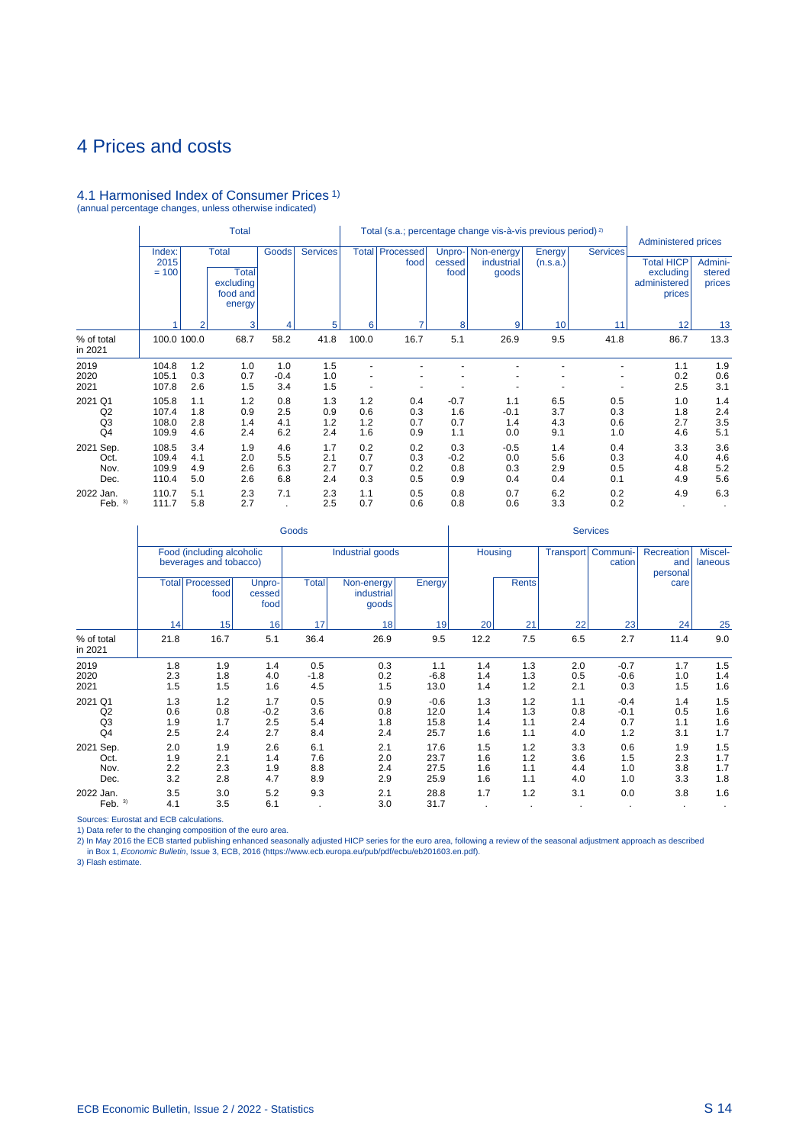# 4.1 Harmonised Index of Consumer Prices 1) (annual percentage changes, unless otherwise indicated)

|                                       | <b>Total</b>                     |                          |                                                                 |                          |                          | Total (s.a.; percentage change vis-à-vis previous period) <sup>2)</sup> |                          |                             |                                   |                          |                          | <b>Administered prices</b>                               |                             |
|---------------------------------------|----------------------------------|--------------------------|-----------------------------------------------------------------|--------------------------|--------------------------|-------------------------------------------------------------------------|--------------------------|-----------------------------|-----------------------------------|--------------------------|--------------------------|----------------------------------------------------------|-----------------------------|
|                                       | Index:<br>2015<br>$= 100$        |                          | <b>Total</b><br><b>Total</b><br>excluding<br>food and<br>energy | <b>Goods</b>             | <b>Services</b>          | <b>Total</b>                                                            | Processed<br>food        | Unpro-<br>cessed<br>food    | Non-energy<br>industrial<br>goods | Energy<br>(n.s.a.)       | <b>Services</b>          | <b>Total HICP</b><br>excluding<br>administered<br>prices | Admini-<br>stered<br>prices |
|                                       |                                  | 2                        | 3                                                               | 4                        | 5                        | 6                                                                       |                          | 8                           | 9                                 | 10                       | 11                       | 12                                                       | 13                          |
| % of total<br>in 2021                 | 100.0 100.0                      |                          | 68.7                                                            | 58.2                     | 41.8                     | 100.0                                                                   | 16.7                     | 5.1                         | 26.9                              | 9.5                      | 41.8                     | 86.7                                                     | 13.3                        |
| 2019<br>2020<br>2021                  | 104.8<br>105.1<br>107.8          | 1.2<br>0.3<br>2.6        | 1.0<br>0.7<br>1.5                                               | 1.0<br>$-0.4$<br>3.4     | 1.5<br>1.0<br>1.5        |                                                                         |                          |                             |                                   |                          |                          | 1.1<br>0.2<br>2.5                                        | 1.9<br>0.6<br>3.1           |
| 2021 Q1<br>Q2<br>Q <sub>3</sub><br>Q4 | 105.8<br>107.4<br>108.0<br>109.9 | 1.1<br>1.8<br>2.8<br>4.6 | 1.2<br>0.9<br>1.4<br>2.4                                        | 0.8<br>2.5<br>4.1<br>6.2 | 1.3<br>0.9<br>1.2<br>2.4 | 1.2<br>0.6<br>1.2<br>1.6                                                | 0.4<br>0.3<br>0.7<br>0.9 | $-0.7$<br>1.6<br>0.7<br>1.1 | 1.1<br>$-0.1$<br>1.4<br>0.0       | 6.5<br>3.7<br>4.3<br>9.1 | 0.5<br>0.3<br>0.6<br>1.0 | 1.0<br>1.8<br>2.7<br>4.6                                 | 1.4<br>2.4<br>3.5<br>5.1    |
| 2021<br>Sep.<br>Oct.<br>Nov.<br>Dec.  | 108.5<br>109.4<br>109.9<br>110.4 | 3.4<br>4.1<br>4.9<br>5.0 | 1.9<br>2.0<br>2.6<br>2.6                                        | 4.6<br>5.5<br>6.3<br>6.8 | 1.7<br>2.1<br>2.7<br>2.4 | 0.2<br>0.7<br>0.7<br>0.3                                                | 0.2<br>0.3<br>0.2<br>0.5 | 0.3<br>$-0.2$<br>0.8<br>0.9 | $-0.5$<br>0.0<br>0.3<br>0.4       | 1.4<br>5.6<br>2.9<br>0.4 | 0.4<br>0.3<br>0.5<br>0.1 | 3.3<br>4.0<br>4.8<br>4.9                                 | 3.6<br>4.6<br>5.2<br>5.6    |
| 2022 Jan.<br>Feb. $3)$                | 110.7<br>111.7                   | 5.1<br>5.8               | 2.3<br>2.7                                                      | 7.1                      | 2.3<br>2.5               | 1.1<br>0.7                                                              | 0.5<br>0.6               | 0.8<br>0.8                  | 0.7<br>0.6                        | 6.2<br>3.3               | 0.2<br>0.2               | 4.9                                                      | 6.3                         |

|                                       |                          |                                                     |                             | Goods                    |                                   |                                | <b>Services</b>          |                          |                          |                                |                               |                          |  |
|---------------------------------------|--------------------------|-----------------------------------------------------|-----------------------------|--------------------------|-----------------------------------|--------------------------------|--------------------------|--------------------------|--------------------------|--------------------------------|-------------------------------|--------------------------|--|
|                                       |                          | Food (including alcoholic<br>beverages and tobacco) |                             |                          | Industrial goods                  |                                | Housing                  |                          |                          | Transport   Communi-<br>cation | Recreation<br>and<br>personal | Miscel-<br>laneous       |  |
|                                       |                          | <b>Total Processed</b><br>food                      | Unpro-<br>cessed<br>food    | <b>Total</b>             | Non-energy<br>industrial<br>goods | Energy                         |                          | <b>Rents</b>             |                          |                                | care                          |                          |  |
|                                       | 14                       | 15                                                  | 16                          | 17                       | 18                                | 19                             | 20                       | 21                       | 22                       | 23                             | 24                            | 25                       |  |
| % of total<br>in 2021                 | 21.8                     | 16.7                                                | 5.1                         | 36.4                     | 26.9                              | 9.5                            | 12.2                     | 7.5                      | 6.5                      | 2.7                            | 11.4                          | 9.0                      |  |
| 2019<br>2020<br>2021                  | 1.8<br>2.3<br>1.5        | 1.9<br>1.8<br>1.5                                   | 1.4<br>4.0<br>1.6           | 0.5<br>$-1.8$<br>4.5     | 0.3<br>0.2<br>1.5                 | 1.1<br>$-6.8$<br>13.0          | 1.4<br>1.4<br>1.4        | 1.3<br>1.3<br>1.2        | 2.0<br>0.5<br>2.1        | $-0.7$<br>$-0.6$<br>0.3        | 1.7<br>1.0<br>1.5             | 1.5<br>1.4<br>1.6        |  |
| 2021 Q1<br>Q2<br>Q <sub>3</sub><br>Q4 | 1.3<br>0.6<br>1.9<br>2.5 | 1.2<br>0.8<br>1.7<br>2.4                            | 1.7<br>$-0.2$<br>2.5<br>2.7 | 0.5<br>3.6<br>5.4<br>8.4 | 0.9<br>0.8<br>1.8<br>2.4          | $-0.6$<br>12.0<br>15.8<br>25.7 | 1.3<br>1.4<br>1.4<br>1.6 | 1.2<br>1.3<br>1.1<br>1.1 | 1.1<br>0.8<br>2.4<br>4.0 | $-0.4$<br>$-0.1$<br>0.7<br>1.2 | 1.4<br>0.5<br>1.1<br>3.1      | 1.5<br>1.6<br>1.6<br>1.7 |  |
| 2021 Sep.<br>Oct.<br>Nov.<br>Dec.     | 2.0<br>1.9<br>2.2<br>3.2 | 1.9<br>2.1<br>2.3<br>2.8                            | 2.6<br>1.4<br>1.9<br>4.7    | 6.1<br>7.6<br>8.8<br>8.9 | 2.1<br>2.0<br>2.4<br>2.9          | 17.6<br>23.7<br>27.5<br>25.9   | 1.5<br>1.6<br>1.6<br>1.6 | 1.2<br>1.2<br>1.1<br>1.1 | 3.3<br>3.6<br>4.4<br>4.0 | 0.6<br>1.5<br>1.0<br>1.0       | 1.9<br>2.3<br>3.8<br>3.3      | 1.5<br>1.7<br>1.7<br>1.8 |  |
| 2022 Jan.<br>Feb. $3)$                | 3.5<br>4.1               | 3.0<br>3.5                                          | 5.2<br>6.1                  | 9.3                      | 2.1<br>3.0                        | 28.8<br>31.7                   | 1.7                      | 1.2                      | 3.1                      | 0.0                            | 3.8<br>$\cdot$                | 1.6                      |  |

Sources: Eurostat and ECB calculations.

1) Data refer to the changing composition of the euro area.<br>2) In May 2016 the ECB started publishing enhanced seasonally adjusted HICP series for the euro area, following a review of the seasonal adjustment approach as de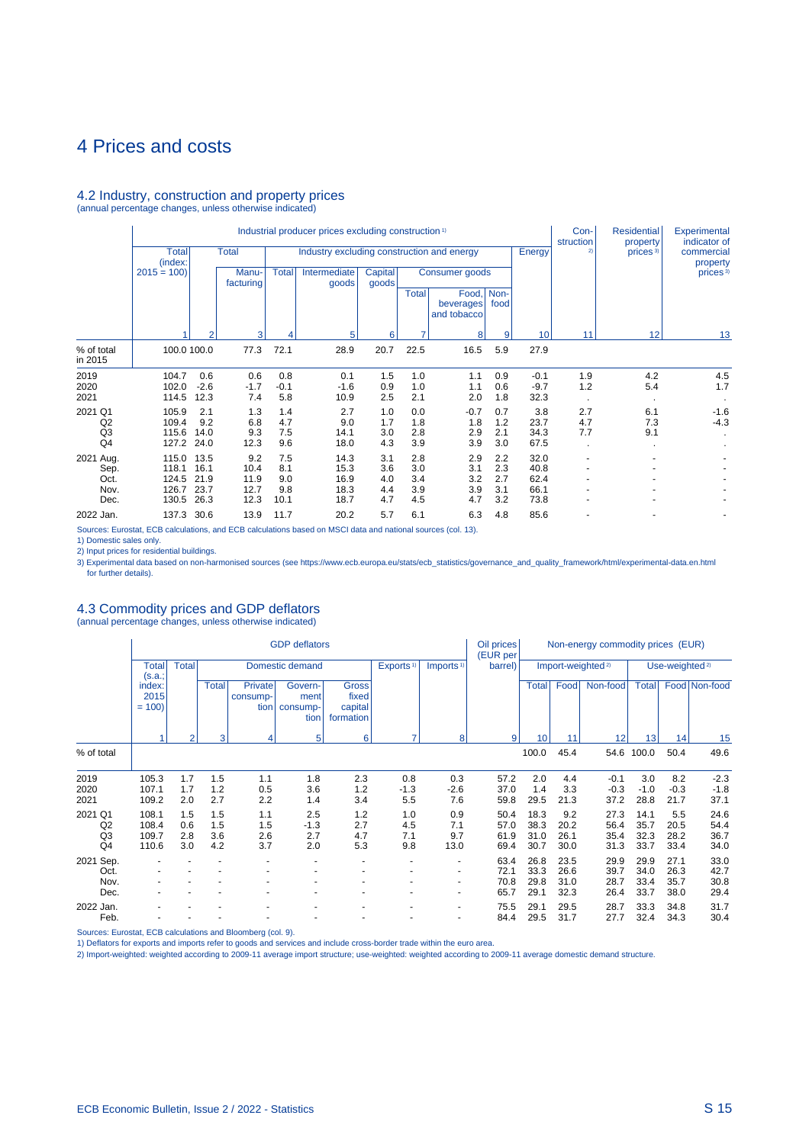#### 4.2 Industry, construction and property prices (annual percentage changes, unless otherwise indicated)

Industrial producer prices excluding construction <sup>1</sup> Con- Residential Experimental Industrial producer prices excluding construction <sup>1</sup> **Con-** Residential Experimental<br>
Total **Total** Industry excluding construction and energy **Finally Example 1 Energy Energy Energy Energy Energy Energy Ene** Total Total Industry excluding construction and energy Energy 2) prices 3) commercial property (index: property 2015 = 100) Manu- Total Intermediate Capital Consumer goods prices in prices in the facturing forces of a consumer goods prices in the prices of the facturing forces of a consumer goods prices in the facturing forces of a facturing and goods Total Food, Non-<br>beverages food beverages and tobacco 1 2 3 4 5 6 7 8 9 10 11 12 13 % of total | 100.0 100.0 77.3 72.1 28.9 20.7 22.5 16.5 5.9 27.9 in 2015 2019 104.7 0.6 0.6 0.8 0.1 1.5 1.0 1.1 0.9 -0.1 1.9 4.2 4.5 2020 102.0 -2.6 -1.7 -0.1 -1.6 0.9 1.0 1.1 0.6 -9.7 1.2 5.4 1.7 2021 114.5 12.3 7.4 5.8 10.9 2.5 2.1 2.0 1.8 32.3 . . . 2021 Q1 105.9 2.1 1.3 1.4 2.7 1.0 0.0 -0.7 0.7 3.8 2.7 6.1 -1.6 Q2 109.4 9.2 6.8 4.7 9.0 1.7 1.8 1.8 1.2 23.7 4.7 7.3 -4.3 Q3 115.6 14.0 9.3 7.5 14.1 3.0 2.8 2.9 2.1 34.3 7.7 9.1 . Q4 127.2 24.0 12.3 9.6 18.0 4.3 3.9 3.9 3.0 67.5 . . . 2021 Aug. 115.0 13.5 9.2 7.5 14.3 3.1 2.8 2.9 2.2 32.0 - - - Sep. 118.1 16.1 10.4 8.1 15.3 3.6 3.0 3.1 2.3 40.8 - - - - - -Oct. 124.5 21.9 11.9 9.0 16.9 4.0 3.4 3.2 2.7 62.4 - - - - - - Nov. 126.7 23.7 12.7 9.8 18.3 4.4 3.9 3.9 3.1 66.1 - - - Dec. 130.5 26.3 12.3 10.1 18.7 4.7 4.5 4.7 3.2 73.8 - - - 2022 Jan. 137.3 30.6 13.9 11.7 20.2 5.7 6.1 6.3 4.8 85.6 - - -

Sources: Eurostat, ECB calculations, and ECB calculations based on MSCI data and national sources (col. 13).

1) Domestic sales only.

2) Input prices for residential buildings.

3) Experimental data based on non-harmonised sources (see https://www.ecb.europa.eu/stats/ecb\_statistics/governance\_and\_quality\_framework/html/experimental-data.en.html for further details).

### 4.3 Commodity prices and GDP deflators

(annual percentage changes, unless otherwise indicated)

|                                       |                                  |                          |                          |                             | <b>GDP</b> deflators                |                                               |                          | Oil prices<br>(EUR per           | Non-energy commodity prices (EUR) |                              |                              |                               |                              |                              |                              |
|---------------------------------------|----------------------------------|--------------------------|--------------------------|-----------------------------|-------------------------------------|-----------------------------------------------|--------------------------|----------------------------------|-----------------------------------|------------------------------|------------------------------|-------------------------------|------------------------------|------------------------------|------------------------------|
|                                       | <b>Total</b><br>(s.a.;           | <b>Total</b>             |                          |                             | Domestic demand                     |                                               | Exports <sup>1)</sup>    | Imports <sup>1)</sup>            | barrel)                           |                              |                              | Import-weighted <sup>2)</sup> |                              | Use-weighted <sup>2)</sup>   |                              |
|                                       | index:<br>2015<br>$= 100$        |                          | Total                    | Private<br>consump-<br>tion | Govern-<br>ment<br>consump-<br>tion | <b>Gross</b><br>fixed<br>capital<br>formation |                          |                                  |                                   | <b>Total</b>                 | Food                         | Non-food                      | <b>Total</b>                 |                              | Food Non-food                |
|                                       |                                  |                          | 3                        | 4                           | 5                                   | 6                                             | 7                        | 8                                | 9                                 | 10                           | 11                           | 12                            | 13                           | 14                           | 15                           |
| % of total                            |                                  |                          |                          |                             |                                     |                                               |                          |                                  |                                   | 100.0                        | 45.4                         | 54.6                          | 100.0                        | 50.4                         | 49.6                         |
| 2019<br>2020<br>2021                  | 105.3<br>107.1<br>109.2          | 1.7<br>1.7<br>2.0        | 1.5<br>1.2<br>2.7        | 1.1<br>0.5<br>2.2           | 1.8<br>3.6<br>1.4                   | 2.3<br>1.2<br>3.4                             | 0.8<br>$-1.3$<br>5.5     | 0.3<br>$-2.6$<br>7.6             | 57.2<br>37.0<br>59.8              | 2.0<br>1.4<br>29.5           | 4.4<br>3.3<br>21.3           | $-0.1$<br>$-0.3$<br>37.2      | 3.0<br>$-1.0$<br>28.8        | 8.2<br>$-0.3$<br>21.7        | $-2.3$<br>$-1.8$<br>37.1     |
| 2021 Q1<br>Q <sub>2</sub><br>Q3<br>Q4 | 108.1<br>108.4<br>109.7<br>110.6 | 1.5<br>0.6<br>2.8<br>3.0 | 1.5<br>1.5<br>3.6<br>4.2 | 1.1<br>1.5<br>2.6<br>3.7    | 2.5<br>$-1.3$<br>2.7<br>2.0         | 1.2<br>2.7<br>4.7<br>5.3                      | 1.0<br>4.5<br>7.1<br>9.8 | 0.9<br>7.1<br>9.7<br>13.0        | 50.4<br>57.0<br>61.9<br>69.4      | 18.3<br>38.3<br>31.0<br>30.7 | 9.2<br>20.2<br>26.1<br>30.0  | 27.3<br>56.4<br>35.4<br>31.3  | 14.1<br>35.7<br>32.3<br>33.7 | 5.5<br>20.5<br>28.2<br>33.4  | 24.6<br>54.4<br>36.7<br>34.0 |
| Sep.<br>2021<br>Oct.<br>Nov.<br>Dec.  |                                  |                          |                          |                             |                                     |                                               |                          | $\blacksquare$<br>$\blacksquare$ | 63.4<br>72.1<br>70.8<br>65.7      | 26.8<br>33.3<br>29.8<br>29.1 | 23.5<br>26.6<br>31.0<br>32.3 | 29.9<br>39.7<br>28.7<br>26.4  | 29.9<br>34.0<br>33.4<br>33.7 | 27.1<br>26.3<br>35.7<br>38.0 | 33.0<br>42.7<br>30.8<br>29.4 |
| 2022 Jan.<br>Feb.                     |                                  |                          |                          |                             |                                     |                                               |                          | $\blacksquare$                   | 75.5<br>84.4                      | 29.1<br>29.5                 | 29.5<br>31.7                 | 28.7<br>27.7                  | 33.3<br>32.4                 | 34.8<br>34.3                 | 31.7<br>30.4                 |

Sources: Eurostat, ECB calculations and Bloomberg (col. 9).

1) Deflators for exports and imports refer to goods and services and include cross-border trade within the euro area.

2) Import-weighted: weighted according to 2009-11 average import structure; use-weighted: weighted according to 2009-11 average domestic demand structure.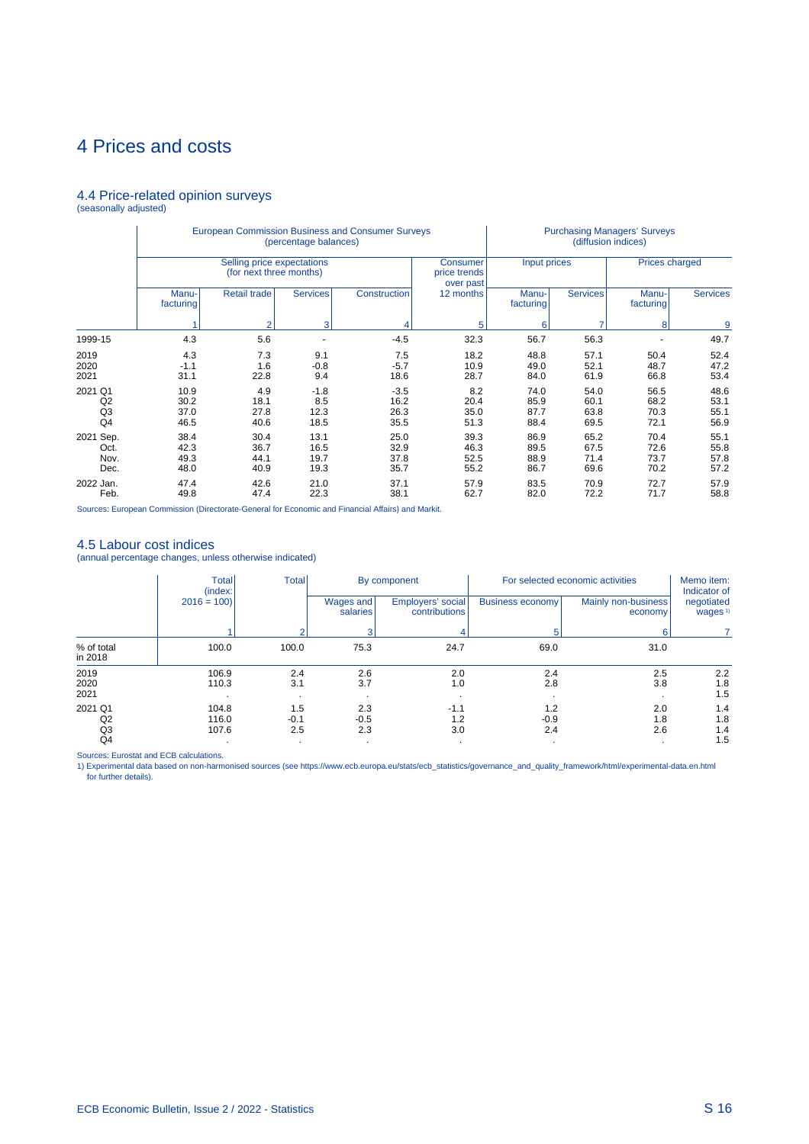# 4.4 Price-related opinion surveys (seasonally adjusted)

|                                       |                              | European Commission Business and Consumer Surveys     | (percentage balances)         |                                | <b>Purchasing Managers' Surveys</b><br>(diffusion indices) |                              |                              |                              |                              |  |
|---------------------------------------|------------------------------|-------------------------------------------------------|-------------------------------|--------------------------------|------------------------------------------------------------|------------------------------|------------------------------|------------------------------|------------------------------|--|
|                                       |                              | Selling price expectations<br>(for next three months) |                               |                                | <b>Consumer</b><br>price trends<br>over past               | Input prices                 |                              | <b>Prices charged</b>        |                              |  |
|                                       | Manu-<br>facturing           | Retail trade                                          | <b>Services</b>               | Construction                   | 12 months                                                  | Manu-<br>facturing           | <b>Services</b>              | Manu-<br>facturing           | <b>Services</b>              |  |
|                                       |                              | $\overline{2}$                                        | 3                             |                                | 5                                                          | 6                            | ⇁                            | 8                            | 9                            |  |
| 1999-15                               | 4.3                          | 5.6                                                   | ٠                             | $-4.5$                         | 32.3                                                       | 56.7                         | 56.3                         |                              | 49.7                         |  |
| 2019<br>2020<br>2021                  | 4.3<br>$-1.1$<br>31.1        | 7.3<br>1.6<br>22.8                                    | 9.1<br>$-0.8$<br>9.4          | 7.5<br>$-5.7$<br>18.6          | 18.2<br>10.9<br>28.7                                       | 48.8<br>49.0<br>84.0         | 57.1<br>52.1<br>61.9         | 50.4<br>48.7<br>66.8         | 52.4<br>47.2<br>53.4         |  |
| 2021 Q1<br>Q2<br>Q <sub>3</sub><br>Q4 | 10.9<br>30.2<br>37.0<br>46.5 | 4.9<br>18.1<br>27.8<br>40.6                           | $-1.8$<br>8.5<br>12.3<br>18.5 | $-3.5$<br>16.2<br>26.3<br>35.5 | 8.2<br>20.4<br>35.0<br>51.3                                | 74.0<br>85.9<br>87.7<br>88.4 | 54.0<br>60.1<br>63.8<br>69.5 | 56.5<br>68.2<br>70.3<br>72.1 | 48.6<br>53.1<br>55.1<br>56.9 |  |
| 2021 Sep.<br>Oct.<br>Nov.<br>Dec.     | 38.4<br>42.3<br>49.3<br>48.0 | 30.4<br>36.7<br>44.1<br>40.9                          | 13.1<br>16.5<br>19.7<br>19.3  | 25.0<br>32.9<br>37.8<br>35.7   | 39.3<br>46.3<br>52.5<br>55.2                               | 86.9<br>89.5<br>88.9<br>86.7 | 65.2<br>67.5<br>71.4<br>69.6 | 70.4<br>72.6<br>73.7<br>70.2 | 55.1<br>55.8<br>57.8<br>57.2 |  |
| 2022 Jan.<br>Feb.                     | 47.4<br>49.8                 | 42.6<br>47.4                                          | 21.0<br>22.3                  | 37.1<br>38.1                   | 57.9<br>62.7                                               | 83.5<br>82.0                 | 70.9<br>72.2                 | 72.7<br>71.7                 | 57.9<br>58.8                 |  |

Sources: European Commission (Directorate-General for Economic and Financial Affairs) and Markit.

### 4.5 Labour cost indices

(annual percentage changes, unless otherwise indicated)

|                                 | <b>Total</b><br>(index: | <b>Total</b><br>For selected economic activities<br>By component |                       |                                    |                      |                                | Memo item:<br>Indicator of        |
|---------------------------------|-------------------------|------------------------------------------------------------------|-----------------------|------------------------------------|----------------------|--------------------------------|-----------------------------------|
|                                 | $2016 = 100$            |                                                                  | Wages and<br>salaries | Employers' social<br>contributions | Business economy     | Mainly non-business<br>economy | negotiated<br>wages <sup>1)</sup> |
|                                 |                         |                                                                  |                       |                                    | 5                    | 6                              |                                   |
| % of total<br>in 2018           | 100.0                   | 100.0                                                            | 75.3                  | 24.7                               | 69.0                 | 31.0                           |                                   |
| 2019<br>2020<br>2021            | 106.9<br>110.3          | 2.4<br>3.1<br>$\cdot$                                            | 2.6<br>3.7            | 2.0<br>1.0                         | 2.4<br>2.8           | 2.5<br>3.8                     | 2.2<br>1.8<br>1.5                 |
| 2021 Q1<br>Q <sub>2</sub><br>Q3 | 104.8<br>116.0<br>107.6 | 1.5<br>$-0.1$<br>2.5                                             | 2.3<br>$-0.5$<br>2.3  | $-1.1$<br>1.2<br>3.0               | 1.2<br>$-0.9$<br>2.4 | 2.0<br>1.8<br>2.6              | 1.4<br>1.8<br>1.4                 |
| Q4                              |                         | $\bullet$                                                        | $\cdot$               |                                    |                      |                                | 1.5                               |

Sources: Eurostat and ECB calculations.<br>1) Experimental data based on non-harmonised sources (see https://www.ecb.europa.eu/stats/ecb\_statistics/governance\_and\_quality\_framework/html/experimental-data.en.html for further details).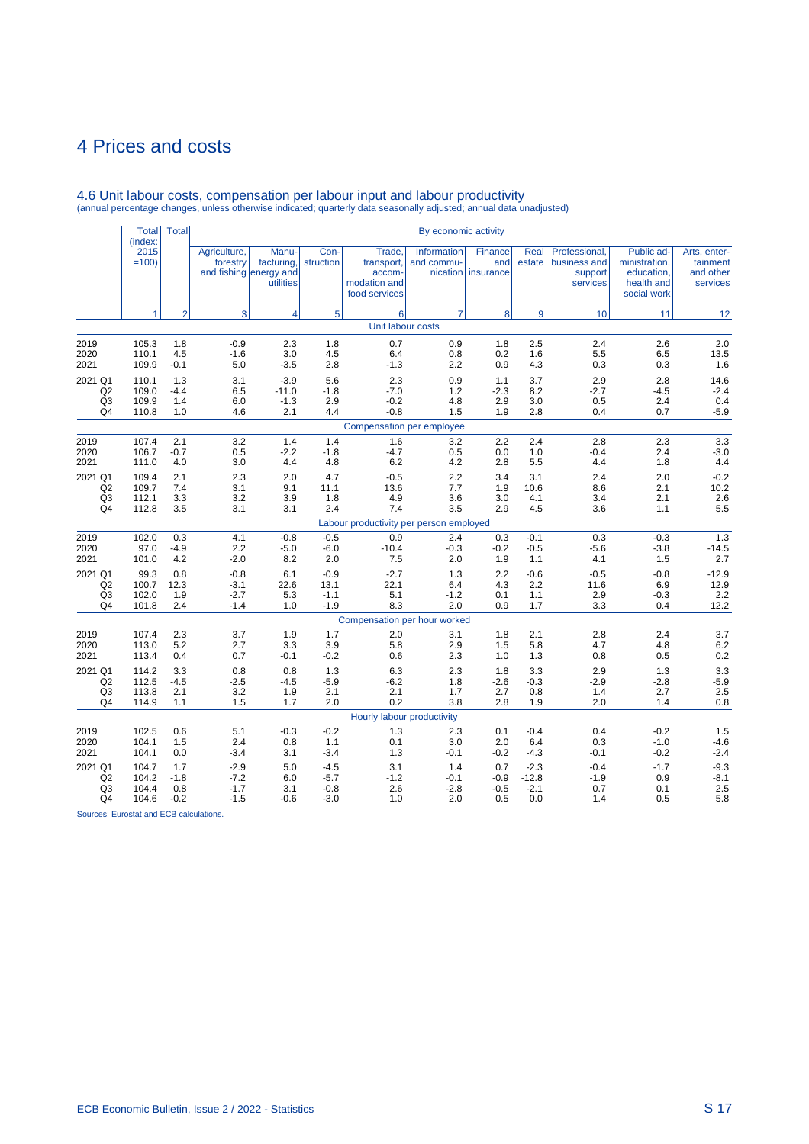|                | <b>Total</b><br>(index: | <b>Total</b>   |                          |                                                            |                   |                                                                 | By economic activity      |                                        |                |                                                      |                                                                        |                                                   |
|----------------|-------------------------|----------------|--------------------------|------------------------------------------------------------|-------------------|-----------------------------------------------------------------|---------------------------|----------------------------------------|----------------|------------------------------------------------------|------------------------------------------------------------------------|---------------------------------------------------|
|                | 2015<br>$=100$          |                | Agriculture,<br>forestry | Manu-<br>facturing,<br>and fishing energy and<br>utilities | Con-<br>struction | Trade,<br>transport,<br>accom-<br>modation and<br>food services | Information<br>and commu- | Finance<br>and<br>nication   insurance | Real<br>estate | Professional,<br>business and<br>support<br>services | Public ad-<br>ministration,<br>education,<br>health and<br>social work | Arts, enter-<br>tainment<br>and other<br>services |
|                | 1                       | $\overline{2}$ | 3                        | 4                                                          | 5                 | 6<br>Unit labour costs                                          | $\overline{7}$            | 8                                      | 9              | 10                                                   | 11                                                                     | 12                                                |
|                |                         |                |                          |                                                            |                   |                                                                 |                           |                                        |                |                                                      |                                                                        |                                                   |
| 2019           | 105.3                   | 1.8            | $-0.9$                   | 2.3                                                        | 1.8               | 0.7                                                             | 0.9                       | 1.8                                    | 2.5            | 2.4                                                  | 2.6                                                                    | 2.0                                               |
| 2020           | 110.1                   | 4.5            | $-1.6$                   | 3.0                                                        | 4.5               | 6.4                                                             | 0.8                       | 0.2                                    | 1.6            | 5.5                                                  | 6.5                                                                    | 13.5                                              |
| 2021           | 109.9                   | $-0.1$         | 5.0                      | $-3.5$                                                     | 2.8               | $-1.3$                                                          | 2.2                       | 0.9                                    | 4.3            | 0.3                                                  | 0.3                                                                    | 1.6                                               |
| 2021 Q1        | 110.1                   | 1.3            | 3.1                      | $-3.9$                                                     | 5.6               | 2.3                                                             | 0.9                       | 1.1                                    | 3.7            | 2.9                                                  | 2.8                                                                    | 14.6                                              |
| Q <sub>2</sub> | 109.0                   | $-4.4$         | 6.5                      | $-11.0$                                                    | $-1.8$            | $-7.0$                                                          | 1.2                       | $-2.3$                                 | 8.2            | $-2.7$                                               | $-4.5$                                                                 | $-2.4$                                            |
| Q <sub>3</sub> | 109.9                   | 1.4            | 6.0                      | $-1.3$                                                     | 2.9               | $-0.2$                                                          | 4.8                       | 2.9                                    | 3.0            | 0.5                                                  | 2.4                                                                    | 0.4                                               |
| Q4             | 110.8                   | 1.0            | 4.6                      | 2.1                                                        | 4.4               | $-0.8$                                                          | 1.5                       | 1.9                                    | 2.8            | 0.4                                                  | 0.7                                                                    | $-5.9$                                            |
|                |                         |                |                          |                                                            |                   | Compensation per employee                                       |                           |                                        |                |                                                      |                                                                        |                                                   |
| 2019           | 107.4                   | 2.1            | 3.2                      | 1.4                                                        | 1.4               | 1.6                                                             | 3.2                       | 2.2                                    | 2.4            | 2.8                                                  | 2.3                                                                    | 3.3                                               |
| 2020           | 106.7                   | $-0.7$         | 0.5                      | $-2.2$                                                     | $-1.8$            | $-4.7$                                                          | 0.5                       | 0.0                                    | 1.0            | $-0.4$                                               | 2.4                                                                    | $-3.0$                                            |
| 2021           | 111.0                   | 4.0            | 3.0                      | 4.4                                                        | 4.8               | 6.2                                                             | 4.2                       | 2.8                                    | 5.5            | 4.4                                                  | 1.8                                                                    | 4.4                                               |
| 2021 Q1        | 109.4                   | 2.1            | 2.3                      | 2.0                                                        | 4.7               | $-0.5$                                                          | 2.2                       | 3.4                                    | 3.1            | 2.4                                                  | 2.0                                                                    | $-0.2$                                            |
| Q2             | 109.7                   | 7.4            | 3.1                      | 9.1                                                        | 11.1              | 13.6                                                            | 7.7                       | 1.9                                    | 10.6           | 8.6                                                  | 2.1                                                                    | 10.2                                              |
| Q <sub>3</sub> | 112.1                   | 3.3            | 3.2                      | 3.9                                                        | 1.8               | 4.9                                                             | 3.6                       | 3.0                                    | 4.1            | 3.4                                                  | 2.1                                                                    | 2.6                                               |
| Q4             | 112.8                   | 3.5            | 3.1                      | 3.1                                                        | 2.4               | 7.4                                                             | 3.5                       | 2.9                                    | 4.5            | 3.6                                                  | 1.1                                                                    | 5.5                                               |
| 2019           | 102.0                   | 0.3            | 4.1                      | $-0.8$                                                     | $-0.5$            | Labour productivity per person employed<br>0.9                  | 2.4                       | 0.3                                    | $-0.1$         | 0.3                                                  | $-0.3$                                                                 | 1.3                                               |
| 2020           | 97.0                    | $-4.9$         | 2.2                      | $-5.0$                                                     | $-6.0$            | $-10.4$                                                         | $-0.3$                    | $-0.2$                                 | $-0.5$         | $-5.6$                                               | $-3.8$                                                                 | $-14.5$                                           |
| 2021           | 101.0                   | 4.2            | $-2.0$                   | 8.2                                                        | 2.0               | 7.5                                                             | 2.0                       | 1.9                                    | 1.1            | 4.1                                                  | 1.5                                                                    | 2.7                                               |
| 2021 Q1        | 99.3                    | 0.8            | $-0.8$                   | 6.1                                                        | $-0.9$            | $-2.7$                                                          | 1.3                       | 2.2                                    | $-0.6$         | $-0.5$                                               | $-0.8$                                                                 | $-12.9$                                           |
| Q <sub>2</sub> | 100.7                   | 12.3           | $-3.1$                   | 22.6                                                       | 13.1              | 22.1                                                            | 6.4                       | 4.3                                    | 2.2            | 11.6                                                 | 6.9                                                                    | 12.9                                              |
| Q <sub>3</sub> | 102.0                   | 1.9            | $-2.7$                   | 5.3                                                        | $-1.1$            | 5.1                                                             | $-1.2$                    | 0.1                                    | 1.1            | 2.9                                                  | $-0.3$                                                                 | 2.2                                               |
| Q4             | 101.8                   | 2.4            | $-1.4$                   | 1.0                                                        | $-1.9$            | 8.3                                                             | 2.0                       | 0.9                                    | 1.7            | 3.3                                                  | 0.4                                                                    | 12.2                                              |
|                |                         |                |                          |                                                            |                   | Compensation per hour worked                                    |                           |                                        |                |                                                      |                                                                        |                                                   |
| 2019           | 107.4                   | 2.3            | 3.7                      | 1.9                                                        | 1.7               | 2.0                                                             | 3.1                       | 1.8                                    | 2.1            | 2.8                                                  | 2.4                                                                    | 3.7                                               |
| 2020           | 113.0                   | 5.2            | 2.7                      | 3.3                                                        | 3.9               | 5.8                                                             | 2.9                       | 1.5                                    | 5.8            | 4.7                                                  | 4.8                                                                    | 6.2                                               |
| 2021           | 113.4                   | 0.4            | 0.7                      | $-0.1$                                                     | $-0.2$            | 0.6                                                             | 2.3                       | 1.0                                    | 1.3            | 0.8                                                  | 0.5                                                                    | 0.2                                               |
| 2021 Q1        | 114.2                   | 3.3            | 0.8                      | 0.8                                                        | 1.3               | 6.3                                                             | 2.3                       | 1.8                                    | 3.3            | 2.9                                                  | 1.3                                                                    | $3.3\,$                                           |
| Q2             | 112.5                   | $-4.5$         | $-2.5$                   | $-4.5$                                                     | $-5.9$            | $-6.2$                                                          | 1.8                       | $-2.6$                                 | $-0.3$         | $-2.9$                                               | $-2.8$                                                                 | $-5.9$                                            |
| Q3             | 113.8                   | 2.1            | 3.2                      | 1.9                                                        | 2.1               | 2.1                                                             | 1.7                       | 2.7                                    | 0.8            | 1.4                                                  | 2.7                                                                    | 2.5                                               |
| Q4             | 114.9                   | 1.1            | 1.5                      | 1.7                                                        | 2.0               | 0.2                                                             | 3.8                       | 2.8                                    | 1.9            | 2.0                                                  | 1.4                                                                    | 0.8                                               |
|                |                         |                |                          |                                                            |                   | Hourly labour productivity                                      |                           |                                        |                |                                                      |                                                                        |                                                   |
| 2019           | 102.5                   | 0.6            | 5.1                      | $-0.3$                                                     | $-0.2$            | 1.3                                                             | 2.3                       | 0.1                                    | $-0.4$         | 0.4                                                  | $-0.2$                                                                 | 1.5                                               |
| 2020           | 104.1                   | 1.5            | 2.4                      | 0.8                                                        | 1.1               | 0.1                                                             | 3.0                       | 2.0                                    | 6.4            | 0.3                                                  | $-1.0$                                                                 | $-4.6$                                            |
| 2021           | 104.1                   | 0.0            | $-3.4$                   | 3.1                                                        | $-3.4$            | 1.3                                                             | $-0.1$                    | $-0.2$                                 | $-4.3$         | $-0.1$                                               | $-0.2$                                                                 | $-2.4$                                            |
| 2021 Q1        | 104.7                   | 1.7            | $-2.9$                   | 5.0                                                        | $-4.5$            | 3.1                                                             | 1.4                       | 0.7                                    | $-2.3$         | $-0.4$                                               | $-1.7$                                                                 | $-9.3$                                            |
| Q <sub>2</sub> | 104.2                   | $-1.8$         | $-7.2$                   | 6.0                                                        | $-5.7$            | $-1.2$                                                          | -0.1                      | $-0.9$                                 | $-12.8$        | $-1.9$                                               | 0.9                                                                    | $-8.1$                                            |
| Q <sub>3</sub> | 104.4                   | 0.8            | $-1.7$                   | 3.1                                                        | $-0.8$            | 2.6                                                             | $-2.8$                    | $-0.5$                                 | $-2.1$         | 0.7                                                  | 0.1                                                                    | 2.5                                               |
| Q4             | 104.6                   | $-0.2$         | $-1.5$                   | $-0.6$                                                     | $-3.0$            | 1.0                                                             | 2.0                       | 0.5                                    | 0.0            | 1.4                                                  | 0.5                                                                    | 5.8                                               |

# 4.6 Unit labour costs, compensation per labour input and labour productivity (annual percentage changes, unless otherwise indicated; quarterly data seasonally adjusted; annual data unadjusted)

Sources: Eurostat and ECB calculations.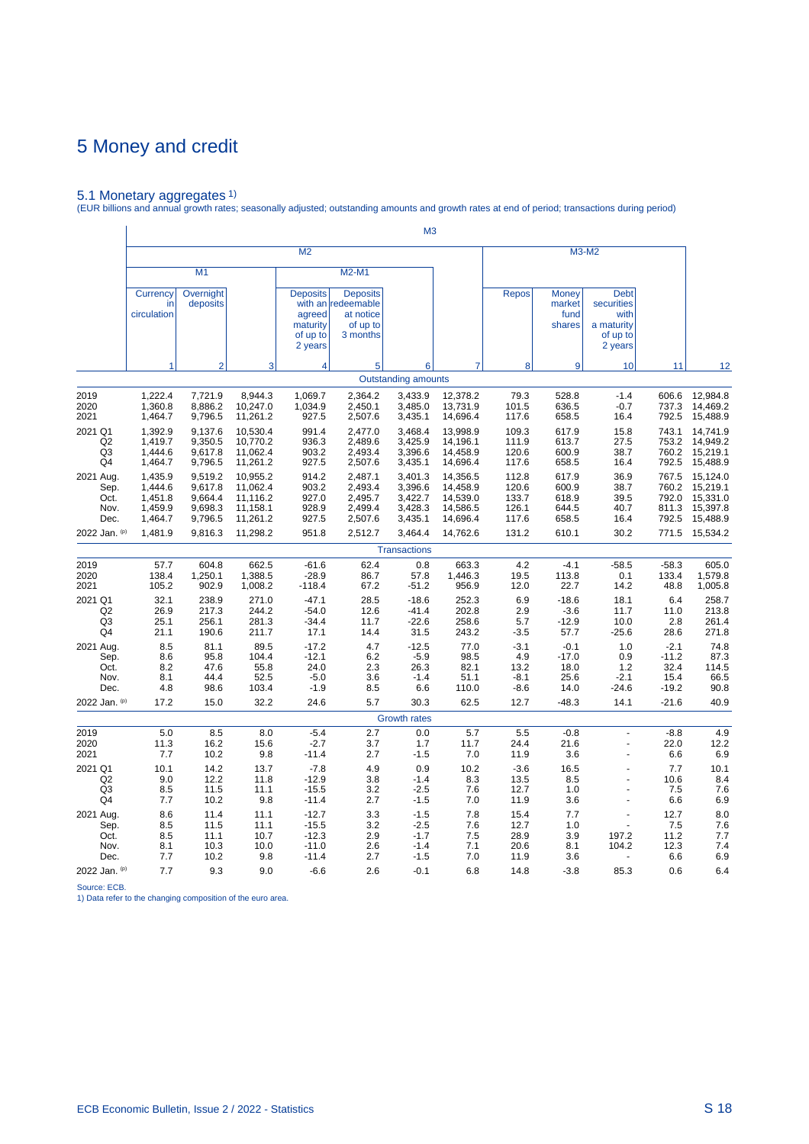5.1 Monetary aggregates 1) (EUR billions and annual growth rates; seasonally adjusted; outstanding amounts and growth rates at end of period; transactions during period)

|                                                   |                                                     |                                                     |                                                          |                                                              |                                                                            | M <sub>3</sub>                                      |                                                          |                                           |                                           |                                                                        |                                              |                                                          |
|---------------------------------------------------|-----------------------------------------------------|-----------------------------------------------------|----------------------------------------------------------|--------------------------------------------------------------|----------------------------------------------------------------------------|-----------------------------------------------------|----------------------------------------------------------|-------------------------------------------|-------------------------------------------|------------------------------------------------------------------------|----------------------------------------------|----------------------------------------------------------|
|                                                   |                                                     |                                                     |                                                          | M <sub>2</sub>                                               |                                                                            |                                                     |                                                          |                                           |                                           | M3-M2                                                                  |                                              |                                                          |
|                                                   |                                                     | M1                                                  |                                                          |                                                              | M2-M1                                                                      |                                                     |                                                          |                                           |                                           |                                                                        |                                              |                                                          |
|                                                   | Currency<br>in<br>circulation                       | Overnight<br>deposits                               |                                                          | <b>Deposits</b><br>agreed<br>maturity<br>of up to<br>2 years | <b>Deposits</b><br>with an redeemable<br>at notice<br>of up to<br>3 months |                                                     |                                                          | <b>Repos</b>                              | Money<br>market<br>fund<br>shares         | <b>Debt</b><br>securities<br>with<br>a maturity<br>of up to<br>2 years |                                              |                                                          |
|                                                   | 1                                                   | $\overline{2}$                                      | 3                                                        | 4                                                            | 5                                                                          | 6                                                   |                                                          | 8                                         | 9                                         | 10                                                                     | 11                                           | 12                                                       |
|                                                   |                                                     |                                                     |                                                          |                                                              |                                                                            | <b>Outstanding amounts</b>                          |                                                          |                                           |                                           |                                                                        |                                              |                                                          |
| 2019<br>2020<br>2021                              | 1,222.4<br>1,360.8<br>1,464.7                       | 7,721.9<br>8,886.2<br>9,796.5                       | 8,944.3<br>10,247.0<br>11,261.2                          | 1,069.7<br>1,034.9<br>927.5                                  | 2,364.2<br>2,450.1<br>2,507.6                                              | 3,433.9<br>3,485.0<br>3,435.1                       | 12,378.2<br>13,731.9<br>14,696.4                         | 79.3<br>101.5<br>117.6                    | 528.8<br>636.5<br>658.5                   | $-1.4$<br>$-0.7$<br>16.4                                               | 606.6<br>737.3<br>792.5                      | 12,984.8<br>14,469.2<br>15,488.9                         |
| 2021 Q1<br>Q2<br>Q3<br>Q4                         | 1,392.9<br>1,419.7<br>1,444.6<br>1,464.7            | 9,137.6<br>9,350.5<br>9,617.8<br>9,796.5            | 10,530.4<br>10,770.2<br>11,062.4<br>11,261.2             | 991.4<br>936.3<br>903.2<br>927.5                             | 2,477.0<br>2,489.6<br>2,493.4<br>2,507.6                                   | 3,468.4<br>3,425.9<br>3,396.6<br>3,435.1            | 13,998.9<br>14,196.1<br>14,458.9<br>14,696.4             | 109.3<br>111.9<br>120.6<br>117.6          | 617.9<br>613.7<br>600.9<br>658.5          | 15.8<br>27.5<br>38.7<br>16.4                                           | 743.1<br>753.2<br>760.2<br>792.5             | 14,741.9<br>14,949.2<br>15,219.1<br>15,488.9             |
| 2021 Aug.<br>Sep.<br>Oct.<br>Nov.<br>Dec.         | 1,435.9<br>1,444.6<br>1,451.8<br>1,459.9<br>1,464.7 | 9,519.2<br>9,617.8<br>9,664.4<br>9,698.3<br>9,796.5 | 10,955.2<br>11,062.4<br>11,116.2<br>11,158.1<br>11,261.2 | 914.2<br>903.2<br>927.0<br>928.9<br>927.5                    | 2,487.1<br>2,493.4<br>2,495.7<br>2,499.4<br>2,507.6                        | 3,401.3<br>3,396.6<br>3,422.7<br>3,428.3<br>3,435.1 | 14,356.5<br>14,458.9<br>14,539.0<br>14,586.5<br>14,696.4 | 112.8<br>120.6<br>133.7<br>126.1<br>117.6 | 617.9<br>600.9<br>618.9<br>644.5<br>658.5 | 36.9<br>38.7<br>39.5<br>40.7<br>16.4                                   | 767.5<br>760.2<br>792.0<br>811.3<br>792.5    | 15,124.0<br>15,219.1<br>15,331.0<br>15,397.8<br>15,488.9 |
| 2022 Jan. (p)                                     | 1,481.9                                             | 9,816.3                                             | 11,298.2                                                 | 951.8                                                        | 2,512.7                                                                    | 3,464.4                                             | 14,762.6                                                 | 131.2                                     | 610.1                                     | 30.2                                                                   | 771.5                                        | 15,534.2                                                 |
|                                                   |                                                     |                                                     |                                                          |                                                              |                                                                            | <b>Transactions</b>                                 |                                                          |                                           |                                           |                                                                        |                                              |                                                          |
| 2019<br>2020<br>2021                              | 57.7<br>138.4<br>105.2                              | 604.8<br>1,250.1<br>902.9                           | 662.5<br>1,388.5<br>1,008.2                              | $-61.6$<br>$-28.9$<br>$-118.4$                               | 62.4<br>86.7<br>67.2                                                       | 0.8<br>57.8<br>$-51.2$                              | 663.3<br>1,446.3<br>956.9                                | 4.2<br>19.5<br>12.0                       | $-4.1$<br>113.8<br>22.7                   | $-58.5$<br>0.1<br>14.2                                                 | $-58.3$<br>133.4<br>48.8                     | 605.0<br>1,579.8<br>1,005.8                              |
| 2021 Q1<br>Q2<br>Q <sub>3</sub><br>Q4             | 32.1<br>26.9<br>25.1<br>21.1                        | 238.9<br>217.3<br>256.1<br>190.6                    | 271.0<br>244.2<br>281.3<br>211.7                         | $-47.1$<br>$-54.0$<br>$-34.4$<br>17.1                        | 28.5<br>12.6<br>11.7<br>14.4                                               | $-18.6$<br>$-41.4$<br>$-22.6$<br>31.5               | 252.3<br>202.8<br>258.6<br>243.2                         | 6.9<br>2.9<br>5.7<br>$-3.5$               | $-18.6$<br>$-3.6$<br>$-12.9$<br>57.7      | 18.1<br>11.7<br>10.0<br>$-25.6$                                        | 6.4<br>11.0<br>2.8<br>28.6                   | 258.7<br>213.8<br>261.4<br>271.8                         |
| 2021 Aug.<br>Sep.<br>Oct.<br>Nov.<br>Dec.         | 8.5<br>8.6<br>8.2<br>8.1<br>4.8                     | 81.1<br>95.8<br>47.6<br>44.4<br>98.6                | 89.5<br>104.4<br>55.8<br>52.5<br>103.4                   | $-17.2$<br>$-12.1$<br>24.0<br>$-5.0$<br>$-1.9$               | 4.7<br>6.2<br>2.3<br>3.6<br>8.5                                            | $-12.5$<br>$-5.9$<br>26.3<br>$-1.4$<br>6.6          | 77.0<br>98.5<br>82.1<br>51.1<br>110.0                    | $-3.1$<br>4.9<br>13.2<br>$-8.1$<br>$-8.6$ | $-0.1$<br>$-17.0$<br>18.0<br>25.6<br>14.0 | 1.0<br>0.9<br>1.2<br>$-2.1$<br>-24.6                                   | $-2.1$<br>$-11.2$<br>32.4<br>15.4<br>$-19.2$ | 74.8<br>87.3<br>114.5<br>66.5<br>90.8                    |
| 2022 Jan. (p)                                     | 17.2                                                | 15.0                                                | 32.2                                                     | 24.6                                                         | 5.7                                                                        | 30.3                                                | 62.5                                                     | 12.7                                      | $-48.3$                                   | 14.1                                                                   | $-21.6$                                      | 40.9                                                     |
|                                                   |                                                     |                                                     |                                                          |                                                              |                                                                            | <b>Growth rates</b>                                 |                                                          |                                           |                                           |                                                                        |                                              |                                                          |
| 2019<br>2020<br>2021                              | 5.0<br>11.3<br>7.7                                  | 8.5<br>16.2<br>10.2                                 | 8.0<br>15.6<br>9.8                                       | $-5.4$<br>$-2.7$<br>$-11.4$                                  | 2.7<br>3.7<br>2.7                                                          | 0.0<br>1.7<br>$-1.5$                                | 5.7<br>11.7<br>7.0                                       | 5.5<br>24.4<br>11.9                       | $-0.8$<br>21.6<br>3.6                     | ÷,<br>$\overline{a}$<br>$\ddot{\phantom{1}}$                           | $-8.8$<br>22.0<br>6.6                        | 4.9<br>12.2<br>6.9                                       |
| 2021 Q1<br>Q <sub>2</sub><br>Q3<br>Q <sub>4</sub> | 10.1<br>9.0<br>8.5<br>7.7                           | 14.2<br>12.2<br>11.5<br>10.2                        | 13.7<br>11.8<br>11.1<br>9.8                              | $-7.8$<br>$-12.9$<br>$-15.5$<br>$-11.4$                      | 4.9<br>3.8<br>3.2<br>2.7                                                   | 0.9<br>$-1.4$<br>$-2.5$<br>$-1.5$                   | 10.2<br>8.3<br>7.6<br>7.0                                | $-3.6$<br>13.5<br>12.7<br>11.9            | 16.5<br>8.5<br>1.0<br>3.6                 | $\overline{a}$<br>ä,                                                   | 7.7<br>10.6<br>7.5<br>6.6                    | 10.1<br>8.4<br>7.6<br>6.9                                |
| 2021 Aug.<br>Sep.<br>Oct.<br>Nov.<br>Dec.         | 8.6<br>8.5<br>8.5<br>8.1<br>7.7                     | 11.4<br>11.5<br>11.1<br>10.3<br>10.2                | 11.1<br>11.1<br>10.7<br>10.0<br>9.8                      | $-12.7$<br>$-15.5$<br>$-12.3$<br>$-11.0$<br>$-11.4$          | 3.3<br>3.2<br>2.9<br>2.6<br>2.7                                            | $-1.5$<br>$-2.5$<br>$-1.7$<br>$-1.4$<br>$-1.5$      | 7.8<br>7.6<br>7.5<br>7.1<br>7.0                          | 15.4<br>12.7<br>28.9<br>20.6<br>11.9      | 7.7<br>1.0<br>3.9<br>8.1<br>3.6           | ä,<br>197.2<br>104.2                                                   | 12.7<br>7.5<br>11.2<br>12.3<br>6.6           | 8.0<br>7.6<br>7.7<br>7.4<br>6.9                          |
| 2022 Jan. (p)                                     | 7.7                                                 | 9.3                                                 | 9.0                                                      | $-6.6$                                                       | 2.6                                                                        | $-0.1$                                              | 6.8                                                      | 14.8                                      | $-3.8$                                    | 85.3                                                                   | 0.6                                          | 6.4                                                      |

Source: ECB. 1) Data refer to the changing composition of the euro area.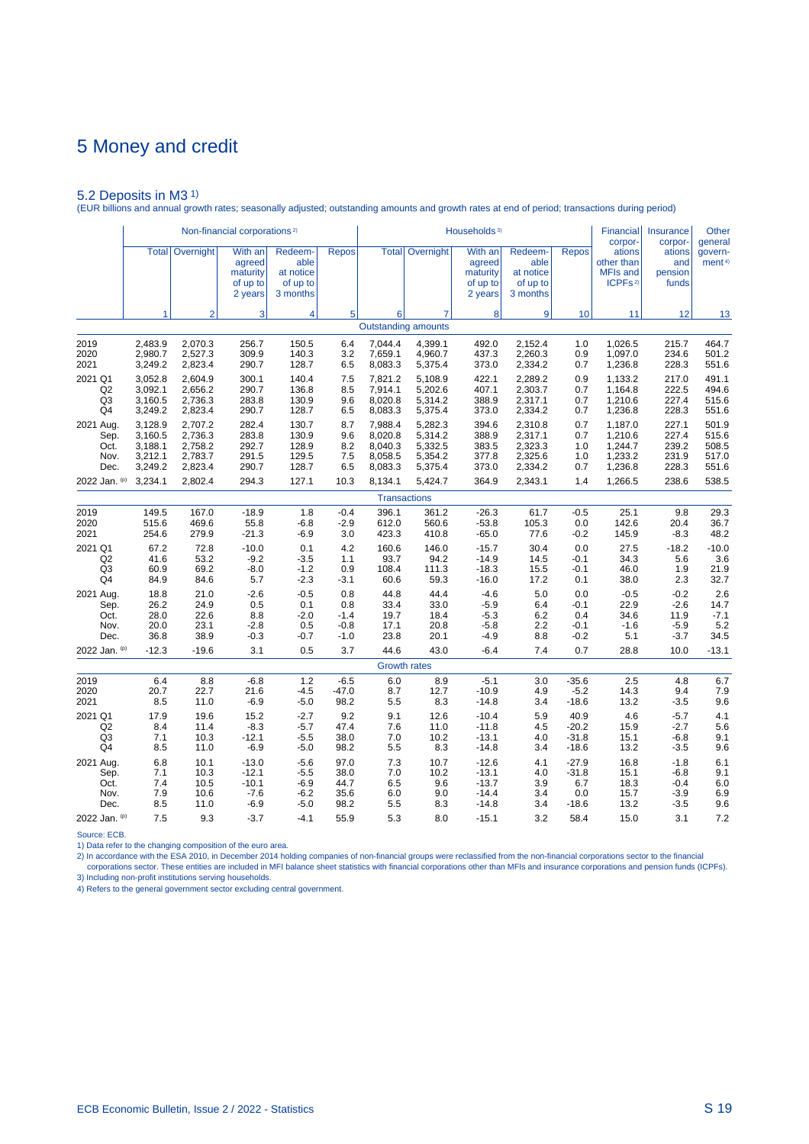5.2 Deposits in M3 1) (EUR billions and annual growth rates; seasonally adjusted; outstanding amounts and growth rates at end of period; transactions during period)

|                | Non-financial corporations <sup>2)</sup> |                        |                                                      |                                                      |              | Households <sup>3)</sup> |                                              |                                                      |                                                      |              | <b>Financial</b><br>corpor-                                               | Insurance<br>corpor-              | Other<br>general              |
|----------------|------------------------------------------|------------------------|------------------------------------------------------|------------------------------------------------------|--------------|--------------------------|----------------------------------------------|------------------------------------------------------|------------------------------------------------------|--------------|---------------------------------------------------------------------------|-----------------------------------|-------------------------------|
|                |                                          | <b>Total Overnight</b> | With an<br>agreed<br>maturity<br>of up to<br>2 years | Redeem-<br>able<br>at notice<br>of up to<br>3 months | <b>Repos</b> |                          | <b>Total   Overnight  </b>                   | With an<br>agreed<br>maturity<br>of up to<br>2 years | Redeem-<br>able<br>at notice<br>of up to<br>3 months | <b>Repos</b> | ations<br>other than<br><b>MFIs and</b><br>ICPF <sub>S<sup>2)</sup></sub> | ations<br>and<br>pension<br>funds | govern-<br>ment <sup>4)</sup> |
|                | 1                                        | $\overline{2}$         | 3                                                    | 4                                                    | 5            | 6                        | $\overline{7}$<br><b>Outstanding amounts</b> | 8                                                    | 9                                                    | 10           | 11                                                                        | 12                                | 13                            |
|                |                                          |                        |                                                      |                                                      |              |                          |                                              |                                                      |                                                      |              |                                                                           |                                   |                               |
| 2019           | 2,483.9                                  | 2,070.3                | 256.7                                                | 150.5                                                | 6.4          | 7,044.4                  | 4,399.1                                      | 492.0                                                | 2,152.4                                              | 1.0          | 1,026.5                                                                   | 215.7                             | 464.7                         |
| 2020           | 2,980.7                                  | 2,527.3                | 309.9                                                | 140.3                                                | 3.2          | 7,659.1                  | 4,960.7                                      | 437.3                                                | 2,260.3                                              | 0.9          | 1,097.0                                                                   | 234.6                             | 501.2                         |
| 2021           | 3,249.2                                  | 2,823.4                | 290.7                                                | 128.7                                                | 6.5          | 8,083.3                  | 5,375.4                                      | 373.0                                                | 2,334.2                                              | 0.7          | 1,236.8                                                                   | 228.3                             | 551.6                         |
| 2021 Q1        | 3,052.8                                  | 2,604.9                | 300.1                                                | 140.4                                                | 7.5          | 7,821.2                  | 5,108.9                                      | 422.1                                                | 2,289.2                                              | 0.9          | 1,133.2                                                                   | 217.0                             | 491.1                         |
| Q <sub>2</sub> | 3,092.1                                  | 2,656.2                | 290.7                                                | 136.8                                                | 8.5          | 7,914.1                  | 5,202.6                                      | 407.1                                                | 2,303.7                                              | 0.7          | 1,164.8                                                                   | 222.5                             | 494.6                         |
| Q <sub>3</sub> | 3,160.5                                  | 2,736.3                | 283.8                                                | 130.9                                                | 9.6          | 8,020.8                  | 5,314.2                                      | 388.9                                                | 2,317.1                                              | 0.7          | 1,210.6                                                                   | 227.4                             | 515.6                         |
| Q4             | 3,249.2                                  | 2,823.4                | 290.7                                                | 128.7                                                | 6.5          | 8,083.3                  | 5,375.4                                      | 373.0                                                | 2,334.2                                              | 0.7          | 1,236.8                                                                   | 228.3                             | 551.6                         |
| 2021 Aug.      | 3,128.9                                  | 2,707.2                | 282.4                                                | 130.7                                                | 8.7          | 7,988.4                  | 5,282.3                                      | 394.6                                                | 2,310.8                                              | 0.7          | 1,187.0                                                                   | 227.1                             | 501.9                         |
| Sep.           | 3,160.5                                  | 2,736.3                | 283.8                                                | 130.9                                                | 9.6          | 8,020.8                  | 5,314.2                                      | 388.9                                                | 2,317.1                                              | 0.7          | 1,210.6                                                                   | 227.4                             | 515.6                         |
| Oct.           | 3,188.1                                  | 2,758.2                | 292.7                                                | 128.9                                                | 8.2          | 8,040.3                  | 5,332.5                                      | 383.5                                                | 2,323.3                                              | 1.0          | 1,244.7                                                                   | 239.2                             | 508.5                         |
| Nov.           | 3,212.1                                  | 2,783.7                | 291.5                                                | 129.5                                                | 7.5          | 8,058.5                  | 5,354.2                                      | 377.8                                                | 2,325.6                                              | 1.0          | 1,233.2                                                                   | 231.9                             | 517.0                         |
| Dec.           | 3,249.2                                  | 2,823.4                | 290.7                                                | 128.7                                                | 6.5          | 8,083.3                  | 5,375.4                                      | 373.0                                                | 2,334.2                                              | 0.7          | 1,236.8                                                                   | 228.3                             | 551.6                         |
| 2022 Jan. (p)  | 3,234.1                                  | 2,802.4                | 294.3                                                | 127.1                                                | 10.3         | 8,134.1                  | 5,424.7                                      | 364.9                                                | 2,343.1                                              | 1.4          | 1,266.5                                                                   | 238.6                             | 538.5                         |
|                |                                          |                        |                                                      |                                                      |              |                          | <b>Transactions</b>                          |                                                      |                                                      |              |                                                                           |                                   |                               |
| 2019           | 149.5                                    | 167.0                  | $-18.9$                                              | 1.8                                                  | $-0.4$       | 396.1                    | 361.2                                        | $-26.3$                                              | 61.7                                                 | $-0.5$       | 25.1                                                                      | 9.8                               | 29.3                          |
| 2020           | 515.6                                    | 469.6                  | 55.8                                                 | $-6.8$                                               | $-2.9$       | 612.0                    | 560.6                                        | $-53.8$                                              | 105.3                                                | 0.0          | 142.6                                                                     | 20.4                              | 36.7                          |
| 2021           | 254.6                                    | 279.9                  | $-21.3$                                              | $-6.9$                                               | 3.0          | 423.3                    | 410.8                                        | $-65.0$                                              | 77.6                                                 | $-0.2$       | 145.9                                                                     | $-8.3$                            | 48.2                          |
| 2021 Q1        | 67.2                                     | 72.8                   | $-10.0$                                              | 0.1                                                  | 4.2          | 160.6                    | 146.0                                        | $-15.7$                                              | 30.4                                                 | 0.0          | 27.5                                                                      | $-18.2$                           | $-10.0$                       |
| Q <sub>2</sub> | 41.6                                     | 53.2                   | $-9.2$                                               | $-3.5$                                               | 1.1          | 93.7                     | 94.2                                         | $-14.9$                                              | 14.5                                                 | $-0.1$       | 34.3                                                                      | 5.6                               | 3.6                           |
| Q3             | 60.9                                     | 69.2                   | $-8.0$                                               | $-1.2$                                               | 0.9          | 108.4                    | 111.3                                        | $-18.3$                                              | 15.5                                                 | -0.1         | 46.0                                                                      | 1.9                               | 21.9                          |
| Q4             | 84.9                                     | 84.6                   | 5.7                                                  | $-2.3$                                               | $-3.1$       | 60.6                     | 59.3                                         | $-16.0$                                              | 17.2                                                 | 0.1          | 38.0                                                                      | 2.3                               | 32.7                          |
| 2021 Aug.      | 18.8                                     | 21.0                   | $-2.6$                                               | $-0.5$                                               | 0.8          | 44.8                     | 44.4                                         | $-4.6$                                               | 5.0                                                  | 0.0          | $-0.5$                                                                    | $-0.2$                            | 2.6                           |
| Sep.           | 26.2                                     | 24.9                   | 0.5                                                  | 0.1                                                  | 0.8          | 33.4                     | 33.0                                         | $-5.9$                                               | 6.4                                                  | $-0.1$       | 22.9                                                                      | $-2.6$                            | 14.7                          |
| Oct.           | 28.0                                     | 22.6                   | 8.8                                                  | $-2.0$                                               | $-1.4$       | 19.7                     | 18.4                                         | $-5.3$                                               | 6.2                                                  | 0.4          | 34.6                                                                      | 11.9                              | $-7.1$                        |
| Nov.           | 20.0                                     | 23.1                   | $-2.8$                                               | 0.5                                                  | $-0.8$       | 17.1                     | 20.8                                         | $-5.8$                                               | 2.2                                                  | $-0.1$       | $-1.6$                                                                    | $-5.9$                            | 5.2                           |
| Dec.           | 36.8                                     | 38.9                   | $-0.3$                                               | -0.7                                                 | $-1.0$       | 23.8                     | 20.1                                         | $-4.9$                                               | 8.8                                                  | -0.2         | 5.1                                                                       | $-3.7$                            | 34.5                          |
| 2022 Jan. (p)  | $-12.3$                                  | $-19.6$                | 3.1                                                  | 0.5                                                  | 3.7          | 44.6                     | 43.0                                         | $-6.4$                                               | 7.4                                                  | 0.7          | 28.8                                                                      | 10.0                              | $-13.1$                       |
|                |                                          |                        |                                                      |                                                      |              |                          | <b>Growth rates</b>                          |                                                      |                                                      |              |                                                                           |                                   |                               |
| 2019           | 6.4                                      | 8.8                    | $-6.8$                                               | 1.2                                                  | $-6.5$       | 6.0                      | 8.9                                          | $-5.1$                                               | 3.0                                                  | $-35.6$      | 2.5                                                                       | 4.8                               | 6.7                           |
| 2020           | 20.7                                     | 22.7                   | 21.6                                                 | $-4.5$                                               | $-47.0$      | 8.7                      | 12.7                                         | $-10.9$                                              | 4.9                                                  | $-5.2$       | 14.3                                                                      | 9.4                               | 7.9                           |
| 2021           | 8.5                                      | 11.0                   | $-6.9$                                               | $-5.0$                                               | 98.2         | 5.5                      | 8.3                                          | $-14.8$                                              | 3.4                                                  | $-18.6$      | 13.2                                                                      | $-3.5$                            | 9.6                           |
| 2021 Q1        | 17.9                                     | 19.6                   | 15.2                                                 | $-2.7$                                               | 9.2          | 9.1                      | 12.6                                         | $-10.4$                                              | 5.9                                                  | 40.9         | 4.6                                                                       | $-5.7$                            | 4.1                           |
| Q <sub>2</sub> | 8.4                                      | 11.4                   | $-8.3$                                               | $-5.7$                                               | 47.4         | 7.6                      | 11.0                                         | $-11.8$                                              | 4.5                                                  | $-20.2$      | 15.9                                                                      | $-2.7$                            | 5.6                           |
| Q3             | 7.1                                      | 10.3                   | $-12.1$                                              | -5.5                                                 | 38.0         | 7.0                      | 10.2                                         | $-13.1$                                              | 4.0                                                  | $-31.8$      | 15.1                                                                      | $-6.8$                            | 9.1                           |
| Q4             | 8.5                                      | 11.0                   | $-6.9$                                               | $-5.0$                                               | 98.2         | 5.5                      | 8.3                                          | $-14.8$                                              | 3.4                                                  | $-18.6$      | 13.2                                                                      | $-3.5$                            | 9.6                           |
| 2021 Aug.      | 6.8                                      | 10.1                   | $-13.0$                                              | $-5.6$                                               | 97.0         | 7.3                      | 10.7                                         | $-12.6$                                              | 4.1                                                  | $-27.9$      | 16.8                                                                      | $-1.8$                            | 6.1                           |
| Sep.           | 7.1                                      | 10.3                   | $-12.1$                                              | $-5.5$                                               | 38.0         | 7.0                      | 10.2                                         | $-13.1$                                              | 4.0                                                  | $-31.8$      | 15.1                                                                      | $-6.8$                            | 9.1                           |
| Oct.           | 7.4                                      | 10.5                   | $-10.1$                                              | $-6.9$                                               | 44.7         | 6.5                      | 9.6                                          | $-13.7$                                              | 3.9                                                  | 6.7          | 18.3                                                                      | $-0.4$                            | 6.0                           |
| Nov.           | 7.9                                      | 10.6                   | $-7.6$                                               | $-6.2$                                               | 35.6         | 6.0                      | 9.0                                          | $-14.4$                                              | 3.4                                                  | 0.0          | 15.7                                                                      | $-3.9$                            | 6.9                           |
| Dec.           | 8.5                                      | 11.0                   | $-6.9$                                               | $-5.0$                                               | 98.2         | 5.5                      | 8.3                                          | $-14.8$                                              | 3.4                                                  | $-18.6$      | 13.2                                                                      | $-3.5$                            | 9.6                           |
| 2022 Jan. (p)  | 7.5                                      | 9.3                    | $-3.7$                                               | $-4.1$                                               | 55.9         | 5.3                      | 8.0                                          | $-15.1$                                              | 3.2                                                  | 58.4         | 15.0                                                                      | 3.1                               | 7.2                           |

Source: ECB.

1) Data refer to the changing composition of the euro area.

2) In accordance with the ESA 2010, in December 2014 holding companies of non-financial groups were reclassified from the non-financial corporations sector to the financial<br>- corporations sector. These entities are include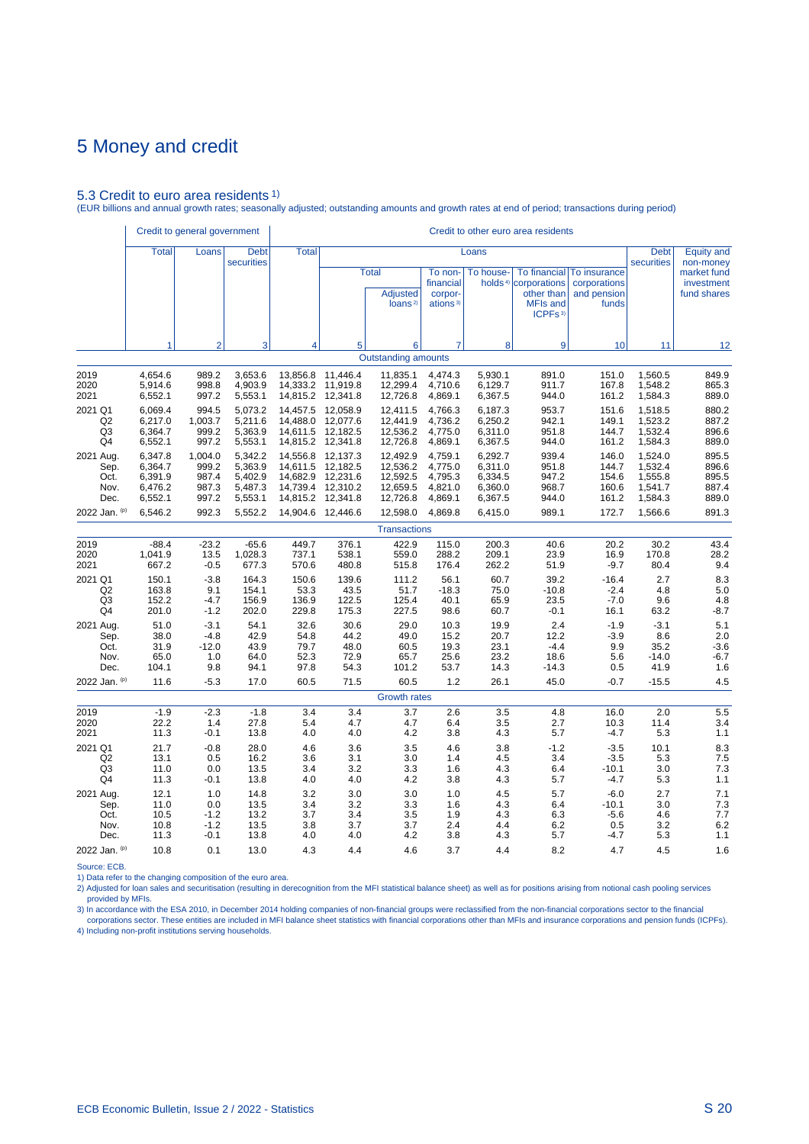### 5.3 Credit to euro area residents 1)

(EUR billions and annual growth rates; seasonally adjusted; outstanding amounts and growth rates at end of period; transactions during period)

|                |              | Credit to general government |                           |              |          |                                                        |                                                         |           |                                                                                                                 |                                                      |                           |                                          |
|----------------|--------------|------------------------------|---------------------------|--------------|----------|--------------------------------------------------------|---------------------------------------------------------|-----------|-----------------------------------------------------------------------------------------------------------------|------------------------------------------------------|---------------------------|------------------------------------------|
|                | <b>Total</b> | Loans                        | <b>Debt</b><br>securities | <b>Total</b> |          |                                                        |                                                         | Loans     |                                                                                                                 |                                                      | <b>Debt</b><br>securities | <b>Equity and</b><br>non-money           |
|                |              |                              |                           |              |          | <b>Total</b><br><b>Adjusted</b><br>loans <sup>2)</sup> | To non-<br>financial<br>corpor-<br>ations <sup>3)</sup> | To house- | <b>To financial</b><br>holds <sup>4)</sup> corporations<br>other than<br><b>MFIs and</b><br>ICPFs <sup>3)</sup> | To insurance<br>corporations<br>and pension<br>funds |                           | market fund<br>investment<br>fund shares |
|                | 1            | $\overline{2}$               | 3                         | 4            | 5        | 6                                                      | 7                                                       | 8         | 9                                                                                                               | 10 <sup>1</sup>                                      | 11                        | 12                                       |
|                |              |                              |                           |              |          | <b>Outstanding amounts</b>                             |                                                         |           |                                                                                                                 |                                                      |                           |                                          |
| 2019           | 4,654.6      | 989.2                        | 3,653.6                   | 13,856.8     | 11,446.4 | 11,835.1                                               | 4,474.3                                                 | 5,930.1   | 891.0                                                                                                           | 151.0                                                | 1,560.5                   | 849.9                                    |
| 2020           | 5,914.6      | 998.8                        | 4,903.9                   | 14,333.2     | 11,919.8 | 12,299.4                                               | 4,710.6                                                 | 6,129.7   | 911.7                                                                                                           | 167.8                                                | 1,548.2                   | 865.3                                    |
| 2021           | 6,552.1      | 997.2                        | 5,553.1                   | 14,815.2     | 12,341.8 | 12,726.8                                               | 4,869.1                                                 | 6,367.5   | 944.0                                                                                                           | 161.2                                                | 1,584.3                   | 889.0                                    |
| 2021 Q1        | 6.069.4      | 994.5                        | 5.073.2                   | 14,457.5     | 12,058.9 | 12,411.5                                               | 4.766.3                                                 | 6,187.3   | 953.7                                                                                                           | 151.6                                                | 1,518.5                   | 880.2                                    |
| Q <sub>2</sub> | 6,217.0      | 1,003.7                      | 5,211.6                   | 14,488.0     | 12,077.6 | 12,441.9                                               | 4,736.2                                                 | 6,250.2   | 942.1                                                                                                           | 149.1                                                | 1,523.2                   | 887.2                                    |
| Q3             | 6,364.7      | 999.2                        | 5,363.9                   | 14,611.5     | 12,182.5 | 12,536.2                                               | 4,775.0                                                 | 6,311.0   | 951.8                                                                                                           | 144.7                                                | 1,532.4                   | 896.6                                    |
| Q4             | 6,552.1      | 997.2                        | 5,553.1                   | 14,815.2     | 12,341.8 | 12,726.8                                               | 4,869.1                                                 | 6,367.5   | 944.0                                                                                                           | 161.2                                                | 1,584.3                   | 889.0                                    |
| 2021 Aug.      | 6,347.8      | 1,004.0                      | 5.342.2                   | 14,556.8     | 12,137.3 | 12,492.9                                               | 4.759.1                                                 | 6,292.7   | 939.4                                                                                                           | 146.0                                                | 1,524.0                   | 895.5                                    |
| Sep.           | 6,364.7      | 999.2                        | 5,363.9                   | 14,611.5     | 12,182.5 | 12,536.2                                               | 4,775.0                                                 | 6,311.0   | 951.8                                                                                                           | 144.7                                                | 1,532.4                   | 896.6                                    |
| Oct.           | 6,391.9      | 987.4                        | 5,402.9                   | 14,682.9     | 12,231.6 | 12,592.5                                               | 4,795.3                                                 | 6,334.5   | 947.2                                                                                                           | 154.6                                                | 1,555.8                   | 895.5                                    |
| Nov.           | 6,476.2      | 987.3                        | 5,487.3                   | 14.739.4     | 12.310.2 | 12,659.5                                               | 4.821.0                                                 | 6,360.0   | 968.7                                                                                                           | 160.6                                                | 1,541.7                   | 887.4                                    |
| Dec.           | 6,552.1      | 997.2                        | 5,553.1                   | 14,815.2     | 12,341.8 | 12,726.8                                               | 4,869.1                                                 | 6,367.5   | 944.0                                                                                                           | 161.2                                                | 1,584.3                   | 889.0                                    |
| 2022 Jan. (p)  | 6,546.2      | 992.3                        | 5,552.2                   | 14,904.6     | 12,446.6 | 12,598.0                                               | 4,869.8                                                 | 6,415.0   | 989.1                                                                                                           | 172.7                                                | 1,566.6                   | 891.3                                    |
|                |              |                              |                           |              |          | <b>Transactions</b>                                    |                                                         |           |                                                                                                                 |                                                      |                           |                                          |
| 2019           | $-88.4$      | $-23.2$                      | $-65.6$                   | 449.7        | 376.1    | 422.9                                                  | 115.0                                                   | 200.3     | 40.6                                                                                                            | 20.2                                                 | 30.2                      | 43.4                                     |
| 2020           | 1,041.9      | 13.5                         | 1,028.3                   | 737.1        | 538.1    | 559.0                                                  | 288.2                                                   | 209.1     | 23.9                                                                                                            | 16.9                                                 | 170.8                     | 28.2                                     |
| 2021           | 667.2        | $-0.5$                       | 677.3                     | 570.6        | 480.8    | 515.8                                                  | 176.4                                                   | 262.2     | 51.9                                                                                                            | $-9.7$                                               | 80.4                      | 9.4                                      |
| 2021 Q1        | 150.1        | $-3.8$                       | 164.3                     | 150.6        | 139.6    | 111.2                                                  | 56.1                                                    | 60.7      | 39.2                                                                                                            | $-16.4$                                              | 2.7                       | 8.3                                      |
| Q <sub>2</sub> | 163.8        | 9.1                          | 154.1                     | 53.3         | 43.5     | 51.7                                                   | $-18.3$                                                 | 75.0      | $-10.8$                                                                                                         | $-2.4$                                               | 4.8                       | 5.0                                      |
| Q3             | 152.2        | $-4.7$                       | 156.9                     | 136.9        | 122.5    | 125.4                                                  | 40.1                                                    | 65.9      | 23.5                                                                                                            | $-7.0$                                               | 9.6                       | 4.8                                      |
| Q4             | 201.0        | $-1.2$                       | 202.0                     | 229.8        | 175.3    | 227.5                                                  | 98.6                                                    | 60.7      | $-0.1$                                                                                                          | 16.1                                                 | 63.2                      | $-8.7$                                   |
| 2021 Aug.      | 51.0         | $-3.1$                       | 54.1                      | 32.6         | 30.6     | 29.0                                                   | 10.3                                                    | 19.9      | 2.4                                                                                                             | $-1.9$                                               | $-3.1$                    | 5.1                                      |
| Sep.           | 38.0         | $-4.8$                       | 42.9                      | 54.8         | 44.2     | 49.0                                                   | 15.2                                                    | 20.7      | 12.2                                                                                                            | $-3.9$                                               | 8.6                       | 2.0                                      |
| Oct.           | 31.9         | $-12.0$                      | 43.9                      | 79.7         | 48.0     | 60.5                                                   | 19.3                                                    | 23.1      | $-4.4$                                                                                                          | 9.9                                                  | 35.2                      | $-3.6$                                   |
| Nov.           | 65.0         | 1.0                          | 64.0                      | 52.3         | 72.9     | 65.7                                                   | 25.6                                                    | 23.2      | 18.6                                                                                                            | 5.6                                                  | $-14.0$                   | $-6.7$                                   |
| Dec.           | 104.1        | 9.8                          | 94.1                      | 97.8         | 54.3     | 101.2                                                  | 53.7                                                    | 14.3      | $-14.3$                                                                                                         | 0.5                                                  | 41.9                      | 1.6                                      |
| 2022 Jan. (p)  | 11.6         | $-5.3$                       | 17.0                      | 60.5         | 71.5     | 60.5                                                   | 1.2                                                     | 26.1      | 45.0                                                                                                            | $-0.7$                                               | $-15.5$                   | 4.5                                      |
|                |              |                              |                           |              |          | <b>Growth rates</b>                                    |                                                         |           |                                                                                                                 |                                                      |                           |                                          |
| 2019           | $-1.9$       | $-2.3$                       | $-1.8$                    | 3.4          | 3.4      | 3.7                                                    | 2.6                                                     | 3.5       | 4.8                                                                                                             | 16.0                                                 | 2.0                       | 5.5                                      |
| 2020           | 22.2         | 1.4                          | 27.8                      | 5.4          | 4.7      | 4.7                                                    | 6.4                                                     | 3.5       | 2.7                                                                                                             | 10.3                                                 | 11.4                      | 3.4                                      |
| 2021           | 11.3         | $-0.1$                       | 13.8                      | 4.0          | 4.0      | 4.2                                                    | 3.8                                                     | 4.3       | 5.7                                                                                                             | $-4.7$                                               | 5.3                       | 1.1                                      |
| 2021 Q1        | 21.7         | $-0.8$                       | 28.0                      | 4.6          | 3.6      | 3.5                                                    | 4.6                                                     | 3.8       | $-1.2$                                                                                                          | $-3.5$                                               | 10.1                      | 8.3                                      |
| Q2             | 13.1         | 0.5                          | 16.2                      | 3.6          | 3.1      | 3.0                                                    | 1.4                                                     | 4.5       | 3.4                                                                                                             | $-3.5$                                               | 5.3                       | 7.5                                      |
| Q <sub>3</sub> | 11.0         | 0.0                          | 13.5                      | 3.4          | 3.2      | 3.3                                                    | 1.6                                                     | 4.3       | 6.4                                                                                                             | $-10.1$                                              | 3.0                       | 7.3                                      |
| Q4             | 11.3         | $-0.1$                       | 13.8                      | 4.0          | 4.0      | 4.2                                                    | 3.8                                                     | 4.3       | 5.7                                                                                                             | $-4.7$                                               | 5.3                       | 1.1                                      |
| 2021 Aug.      | 12.1         | 1.0                          | 14.8                      | 3.2          | 3.0      | 3.0                                                    | 1.0                                                     | 4.5       | 5.7                                                                                                             | $-6.0$                                               | 2.7                       | 7.1                                      |
| Sep.           | 11.0         | 0.0                          | 13.5                      | 3.4          | 3.2      | 3.3                                                    | 1.6                                                     | 4.3       | 6.4                                                                                                             | $-10.1$                                              | 3.0                       | 7.3                                      |
| Oct.           | 10.5         | $-1.2$                       | 13.2                      | 3.7          | 3.4      | 3.5                                                    | 1.9                                                     | 4.3       | 6.3                                                                                                             | $-5.6$                                               | 4.6                       | 7.7                                      |
| Nov.           | 10.8         | $-1.2$                       | 13.5                      | 3.8          | 3.7      | 3.7                                                    | 2.4                                                     | 4.4       | 6.2                                                                                                             | 0.5                                                  | 3.2                       | 6.2                                      |
| Dec.           | 11.3         | $-0.1$                       | 13.8                      | 4.0          | 4.0      | 4.2                                                    | 3.8                                                     | 4.3       | 5.7                                                                                                             | $-4.7$                                               | 5.3                       | 1.1                                      |
| 2022 Jan. (p)  | 10.8         | 0.1                          | 13.0                      | 4.3          | 4.4      | 4.6                                                    | 3.7                                                     | 4.4       | 8.2                                                                                                             | 4.7                                                  | 4.5                       | 1.6                                      |

Source: ECB.

1) Data refer to the changing composition of the euro area.

2) Adjusted for loan sales and securitisation (resulting in derecognition from the MFI statistical balance sheet) as well as for positions arising from notional cash pooling services provided by MFIs.

3) In accordance with the ESA 2010, in December 2014 holding companies of non-financial groups were reclassified from the non-financial corporations sector to the financial<br>Corporations sector. These entities are included 4) Including non-profit institutions serving households.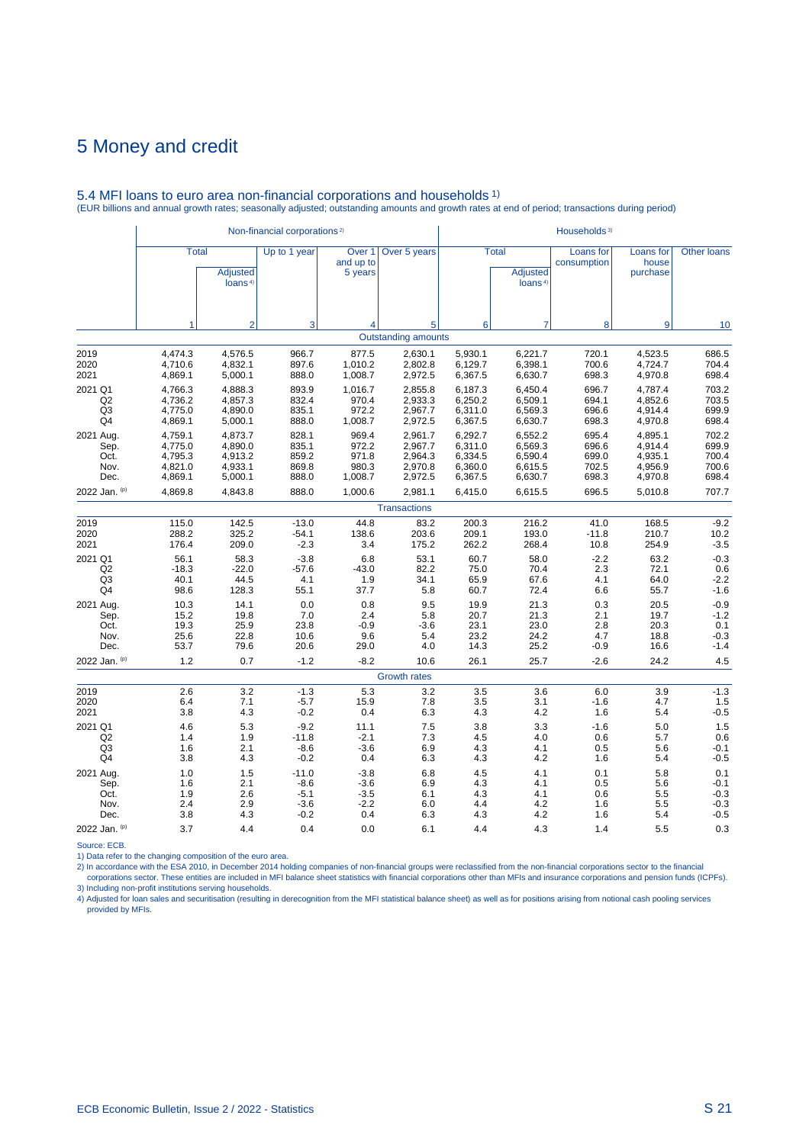|                |              |                                        | Non-financial corporations <sup>2)</sup> |                                           |                            | Households <sup>3)</sup> |                                                        |                          |                                |             |  |
|----------------|--------------|----------------------------------------|------------------------------------------|-------------------------------------------|----------------------------|--------------------------|--------------------------------------------------------|--------------------------|--------------------------------|-------------|--|
|                | <b>Total</b> | <b>Adjusted</b><br>loans <sup>4)</sup> | Up to 1 year                             | Over <sub>1</sub><br>and up to<br>5 years | Over 5 years               |                          | <b>Total</b><br><b>Adjusted</b><br>loans <sup>4)</sup> | Loans for<br>consumption | Loans for<br>house<br>purchase | Other loans |  |
|                | 1            | $\overline{2}$                         | 3                                        | 4                                         | 5                          | 6                        | $\overline{7}$                                         | 8                        | 9                              | 10          |  |
|                |              |                                        |                                          |                                           | <b>Outstanding amounts</b> |                          |                                                        |                          |                                |             |  |
| 2019           | 4,474.3      | 4,576.5                                | 966.7                                    | 877.5                                     | 2,630.1                    | 5,930.1                  | 6,221.7                                                | 720.1                    | 4,523.5                        | 686.5       |  |
| 2020           | 4,710.6      | 4,832.1                                | 897.6                                    | 1,010.2                                   | 2,802.8                    | 6,129.7                  | 6,398.1                                                | 700.6                    | 4,724.7                        | 704.4       |  |
| 2021           | 4,869.1      | 5,000.1                                | 888.0                                    | 1,008.7                                   | 2,972.5                    | 6,367.5                  | 6,630.7                                                | 698.3                    | 4,970.8                        | 698.4       |  |
| 2021 Q1        | 4,766.3      | 4,888.3                                | 893.9                                    | 1,016.7                                   | 2,855.8                    | 6,187.3                  | 6,450.4                                                | 696.7                    | 4,787.4                        | 703.2       |  |
| Q2             | 4,736.2      | 4,857.3                                | 832.4                                    | 970.4                                     | 2,933.3                    | 6,250.2                  | 6,509.1                                                | 694.1                    | 4,852.6                        | 703.5       |  |
| Q3             | 4,775.0      | 4,890.0                                | 835.1                                    | 972.2                                     | 2,967.7                    | 6,311.0                  | 6,569.3                                                | 696.6                    | 4,914.4                        | 699.9       |  |
| Q4             | 4,869.1      | 5,000.1                                | 888.0                                    | 1,008.7                                   | 2,972.5                    | 6,367.5                  | 6,630.7                                                | 698.3                    | 4,970.8                        | 698.4       |  |
| 2021 Aug.      | 4,759.1      | 4,873.7                                | 828.1                                    | 969.4                                     | 2.961.7                    | 6,292.7                  | 6,552.2                                                | 695.4                    | 4,895.1                        | 702.2       |  |
| Sep.           | 4,775.0      | 4,890.0                                | 835.1                                    | 972.2                                     | 2,967.7                    | 6,311.0                  | 6,569.3                                                | 696.6                    | 4,914.4                        | 699.9       |  |
| Oct.           | 4,795.3      | 4,913.2                                | 859.2                                    | 971.8                                     | 2,964.3                    | 6,334.5                  | 6,590.4                                                | 699.0                    | 4,935.1                        | 700.4       |  |
| Nov.           | 4,821.0      | 4,933.1                                | 869.8                                    | 980.3                                     | 2,970.8                    | 6,360.0                  | 6,615.5                                                | 702.5                    | 4,956.9                        | 700.6       |  |
| Dec.           | 4,869.1      | 5,000.1                                | 888.0                                    | 1,008.7                                   | 2,972.5                    | 6,367.5                  | 6,630.7                                                | 698.3                    | 4,970.8                        | 698.4       |  |
| 2022 Jan. (p)  | 4,869.8      | 4,843.8                                | 888.0                                    | 1,000.6                                   | 2,981.1                    | 6,415.0                  | 6,615.5                                                | 696.5                    | 5,010.8                        | 707.7       |  |
|                |              |                                        |                                          |                                           | <b>Transactions</b>        |                          |                                                        |                          |                                |             |  |
| 2019           | 115.0        | 142.5                                  | $-13.0$                                  | 44.8                                      | 83.2                       | 200.3                    | 216.2                                                  | 41.0                     | 168.5                          | $-9.2$      |  |
| 2020           | 288.2        | 325.2                                  | $-54.1$                                  | 138.6                                     | 203.6                      | 209.1                    | 193.0                                                  | $-11.8$                  | 210.7                          | 10.2        |  |
| 2021           | 176.4        | 209.0                                  | $-2.3$                                   | 3.4                                       | 175.2                      | 262.2                    | 268.4                                                  | 10.8                     | 254.9                          | $-3.5$      |  |
| 2021 Q1        | 56.1         | 58.3                                   | $-3.8$                                   | 6.8                                       | 53.1                       | 60.7                     | 58.0                                                   | $-2.2$                   | 63.2                           | $-0.3$      |  |
| Q <sub>2</sub> | $-18.3$      | $-22.0$                                | $-57.6$                                  | $-43.0$                                   | 82.2                       | 75.0                     | 70.4                                                   | 2.3                      | 72.1                           | $0.6\,$     |  |
| Q <sub>3</sub> | 40.1         | 44.5                                   | 4.1                                      | 1.9                                       | 34.1                       | 65.9                     | 67.6                                                   | 4.1                      | 64.0                           | $-2.2$      |  |
| Q4             | 98.6         | 128.3                                  | 55.1                                     | 37.7                                      | 5.8                        | 60.7                     | 72.4                                                   | 6.6                      | 55.7                           | $-1.6$      |  |
| 2021 Aug.      | 10.3         | 14.1                                   | 0.0                                      | 0.8                                       | 9.5                        | 19.9                     | 21.3                                                   | 0.3                      | 20.5                           | $-0.9$      |  |
| Sep.           | 15.2         | 19.8                                   | 7.0                                      | 2.4                                       | 5.8                        | 20.7                     | 21.3                                                   | 2.1                      | 19.7                           | $-1.2$      |  |
| Oct.           | 19.3         | 25.9                                   | 23.8                                     | $-0.9$                                    | $-3.6$                     | 23.1                     | 23.0                                                   | 2.8                      | 20.3                           | 0.1         |  |
| Nov.           | 25.6         | 22.8                                   | 10.6                                     | 9.6                                       | 5.4                        | 23.2                     | 24.2                                                   | 4.7                      | 18.8                           | $-0.3$      |  |
| Dec.           | 53.7         | 79.6                                   | 20.6                                     | 29.0                                      | 4.0                        | 14.3                     | 25.2                                                   | $-0.9$                   | 16.6                           | $-1.4$      |  |
| 2022 Jan. (p)  | 1.2          | 0.7                                    | $-1.2$                                   | $-8.2$                                    | 10.6                       | 26.1                     | 25.7                                                   | $-2.6$                   | 24.2                           | 4.5         |  |
|                |              |                                        |                                          |                                           | <b>Growth rates</b>        |                          |                                                        |                          |                                |             |  |
| 2019           | 2.6          | 3.2                                    | $-1.3$                                   | 5.3                                       | 3.2                        | 3.5                      | 3.6                                                    | 6.0                      | 3.9                            | $-1.3$      |  |
| 2020           | 6.4          | 7.1                                    | $-5.7$                                   | 15.9                                      | 7.8                        | 3.5                      | 3.1                                                    | $-1.6$                   | 4.7                            | 1.5         |  |
| 2021           | 3.8          | 4.3                                    | $-0.2$                                   | 0.4                                       | 6.3                        | 4.3                      | 4.2                                                    | 1.6                      | 5.4                            | $-0.5$      |  |
| 2021 Q1        | 4.6          | 5.3                                    | $-9.2$                                   | 11.1                                      | 7.5                        | 3.8                      | 3.3                                                    | $-1.6$                   | 5.0                            | 1.5         |  |
| Q2             | 1.4          | 1.9                                    | $-11.8$                                  | $-2.1$                                    | 7.3                        | 4.5                      | 4.0                                                    | 0.6                      | 5.7                            | 0.6         |  |
| Q3             | 1.6          | 2.1                                    | $-8.6$                                   | $-3.6$                                    | 6.9                        | 4.3                      | 4.1                                                    | 0.5                      | 5.6                            | $-0.1$      |  |
| Q <sub>4</sub> | 3.8          | 4.3                                    | $-0.2$                                   | 0.4                                       | 6.3                        | 4.3                      | 4.2                                                    | 1.6                      | 5.4                            | $-0.5$      |  |
| 2021 Aug.      | 1.0          | 1.5                                    | $-11.0$                                  | $-3.8$                                    | 6.8                        | 4.5                      | 4.1                                                    | 0.1                      | 5.8                            | 0.1         |  |
| Sep.           | 1.6          | 2.1                                    | $-8.6$                                   | $-3.6$                                    | 6.9                        | 4.3                      | 4.1                                                    | 0.5                      | 5.6                            | $-0.1$      |  |
| Oct.           | 1.9          | 2.6                                    | $-5.1$                                   | $-3.5$                                    | 6.1                        | 4.3                      | 4.1                                                    | 0.6                      | 5.5                            | $-0.3$      |  |
| Nov.           | 2.4          | 2.9                                    | $-3.6$                                   | $-2.2$                                    | 6.0                        | 4.4                      | 4.2                                                    | 1.6                      | 5.5                            | $-0.3$      |  |
| Dec.           | 3.8          | 4.3                                    | $-0.2$                                   | 0.4                                       | 6.3                        | 4.3                      | 4.2                                                    | 1.6                      | 5.4                            | $-0.5$      |  |
| 2022 Jan. (p)  | 3.7          | 4.4                                    | 0.4                                      | 0.0                                       | 6.1                        | 4.4                      | 4.3                                                    | 1.4                      | 5.5                            | 0.3         |  |

### 5.4 MFI loans to euro area non-financial corporations and households 1) (EUR billions and annual growth rates; seasonally adjusted; outstanding amounts and growth rates at end of period; transactions during period)

Source: ECB.<br>2) Data refer to the changing composition of the euro area.<br>2) In accordance with the ESA 2010, in December 2014 holding companies of non-financial groups were reclassified from the non-financial corporations 3) Including non-profit institutions serving households.

4) Adjusted for loan sales and securitisation (resulting in derecognition from the MFI statistical balance sheet) as well as for positions arising from notional cash pooling services provided by MFIs.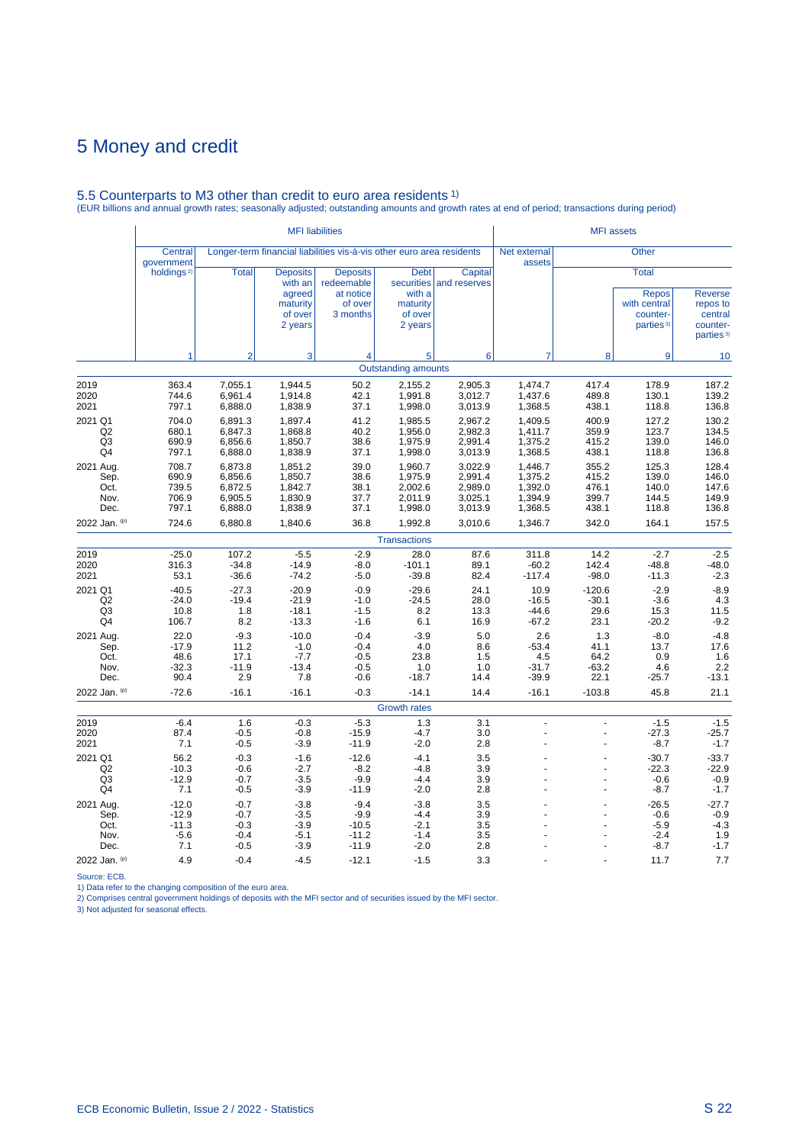# 5.5 Counterparts to M3 other than credit to euro area residents 1) (EUR billions and annual growth rates; seasonally adjusted; outstanding amounts and growth rates at end of period; transactions during period)

|                                           |                                            |                                                     | <b>MFI</b> liabilities                                                 |                                                                       |                                                         | <b>MFI</b> assets                                   |                                                     |                                           |                                                                                   |                                                                            |
|-------------------------------------------|--------------------------------------------|-----------------------------------------------------|------------------------------------------------------------------------|-----------------------------------------------------------------------|---------------------------------------------------------|-----------------------------------------------------|-----------------------------------------------------|-------------------------------------------|-----------------------------------------------------------------------------------|----------------------------------------------------------------------------|
|                                           | Central<br>government                      |                                                     |                                                                        | Longer-term financial liabilities vis-à-vis other euro area residents |                                                         |                                                     | Net external<br>assets                              |                                           | <b>Other</b>                                                                      |                                                                            |
|                                           | holdings <sup>2)</sup>                     | <b>Total</b>                                        | <b>Deposits</b><br>with an<br>agreed<br>maturity<br>of over<br>2 years | <b>Deposits</b><br>redeemable<br>at notice<br>of over<br>3 months     | <b>Debt</b><br>with a<br>maturity<br>of over<br>2 years | Capital<br>securities and reserves                  |                                                     |                                           | <b>Total</b><br><b>Repos</b><br>with central<br>counter-<br>parties <sup>3)</sup> | <b>Reverse</b><br>repos to<br>central<br>counter-<br>parties <sup>3)</sup> |
|                                           | 1                                          | $\overline{2}$                                      | 3                                                                      | $\overline{4}$                                                        | 5                                                       | 6                                                   | $\overline{7}$                                      | 8                                         | 9                                                                                 | 10                                                                         |
|                                           |                                            |                                                     |                                                                        |                                                                       | <b>Outstanding amounts</b>                              |                                                     |                                                     |                                           |                                                                                   |                                                                            |
| 2019<br>2020<br>2021                      | 363.4<br>744.6<br>797.1                    | 7,055.1<br>6.961.4<br>6,888.0                       | 1,944.5<br>1,914.8<br>1,838.9                                          | 50.2<br>42.1<br>37.1                                                  | 2,155.2<br>1.991.8<br>1,998.0                           | 2,905.3<br>3,012.7<br>3,013.9                       | 1,474.7<br>1,437.6<br>1,368.5                       | 417.4<br>489.8<br>438.1                   | 178.9<br>130.1<br>118.8                                                           | 187.2<br>139.2<br>136.8                                                    |
| 2021 Q1<br>Q2<br>Q <sub>3</sub><br>Q4     | 704.0<br>680.1<br>690.9<br>797.1           | 6,891.3<br>6,847.3<br>6,856.6<br>6,888.0            | 1,897.4<br>1,868.8<br>1,850.7<br>1,838.9                               | 41.2<br>40.2<br>38.6<br>37.1                                          | 1,985.5<br>1,956.0<br>1,975.9<br>1,998.0                | 2,967.2<br>2,982.3<br>2,991.4<br>3,013.9            | 1,409.5<br>1,411.7<br>1,375.2<br>1,368.5            | 400.9<br>359.9<br>415.2<br>438.1          | 127.2<br>123.7<br>139.0<br>118.8                                                  | 130.2<br>134.5<br>146.0<br>136.8                                           |
| 2021 Aug.<br>Sep.<br>Oct.<br>Nov.<br>Dec. | 708.7<br>690.9<br>739.5<br>706.9<br>797.1  | 6.873.8<br>6,856.6<br>6,872.5<br>6,905.5<br>6,888.0 | 1,851.2<br>1,850.7<br>1,842.7<br>1,830.9<br>1,838.9                    | 39.0<br>38.6<br>38.1<br>37.7<br>37.1                                  | 1,960.7<br>1,975.9<br>2,002.6<br>2,011.9<br>1,998.0     | 3,022.9<br>2,991.4<br>2,989.0<br>3,025.1<br>3,013.9 | 1.446.7<br>1,375.2<br>1,392.0<br>1,394.9<br>1,368.5 | 355.2<br>415.2<br>476.1<br>399.7<br>438.1 | 125.3<br>139.0<br>140.0<br>144.5<br>118.8                                         | 128.4<br>146.0<br>147.6<br>149.9<br>136.8                                  |
| 2022 Jan. (p)                             | 724.6                                      | 6,880.8                                             | 1,840.6                                                                | 36.8                                                                  | 1,992.8                                                 | 3,010.6                                             | 1,346.7                                             | 342.0                                     | 164.1                                                                             | 157.5                                                                      |
|                                           |                                            |                                                     |                                                                        |                                                                       | <b>Transactions</b>                                     |                                                     |                                                     |                                           |                                                                                   |                                                                            |
| 2019<br>2020<br>2021                      | $-25.0$<br>316.3<br>53.1                   | 107.2<br>$-34.8$<br>$-36.6$                         | $-5.5$<br>$-14.9$<br>$-74.2$                                           | $-2.9$<br>$-8.0$<br>$-5.0$                                            | 28.0<br>$-101.1$<br>$-39.8$                             | 87.6<br>89.1<br>82.4                                | 311.8<br>$-60.2$<br>$-117.4$                        | 14.2<br>142.4<br>$-98.0$                  | $-2.7$<br>$-48.8$<br>$-11.3$                                                      | $-2.5$<br>$-48.0$<br>$-2.3$                                                |
| 2021 Q1<br>Q2<br>Q <sub>3</sub><br>Q4     | $-40.5$<br>$-24.0$<br>10.8<br>106.7        | $-27.3$<br>$-19.4$<br>1.8<br>8.2                    | $-20.9$<br>$-21.9$<br>$-18.1$<br>$-13.3$                               | $-0.9$<br>$-1.0$<br>$-1.5$<br>$-1.6$                                  | $-29.6$<br>$-24.5$<br>8.2<br>6.1                        | 24.1<br>28.0<br>13.3<br>16.9                        | 10.9<br>$-16.5$<br>$-44.6$<br>$-67.2$               | $-120.6$<br>$-30.1$<br>29.6<br>23.1       | $-2.9$<br>$-3.6$<br>15.3<br>$-20.2$                                               | $-8.9$<br>4.3<br>11.5<br>$-9.2$                                            |
| 2021 Aug.<br>Sep.<br>Oct.<br>Nov.<br>Dec. | 22.0<br>$-17.9$<br>48.6<br>$-32.3$<br>90.4 | $-9.3$<br>11.2<br>17.1<br>$-11.9$<br>2.9            | $-10.0$<br>$-1.0$<br>$-7.7$<br>$-13.4$<br>7.8                          | $-0.4$<br>$-0.4$<br>$-0.5$<br>$-0.5$<br>$-0.6$                        | $-3.9$<br>4.0<br>23.8<br>1.0<br>$-18.7$                 | 5.0<br>8.6<br>1.5<br>1.0<br>14.4                    | 2.6<br>$-53.4$<br>4.5<br>$-31.7$<br>$-39.9$         | 1.3<br>41.1<br>64.2<br>$-63.2$<br>22.1    | $-8.0$<br>13.7<br>0.9<br>4.6<br>$-25.7$                                           | $-4.8$<br>17.6<br>1.6<br>$2.\overline{2}$<br>$-13.1$                       |
| 2022 Jan. (p)                             | $-72.6$                                    | $-16.1$                                             | $-16.1$                                                                | $-0.3$                                                                | $-14.1$                                                 | 14.4                                                | $-16.1$                                             | $-103.8$                                  | 45.8                                                                              | 21.1                                                                       |
|                                           |                                            |                                                     |                                                                        |                                                                       | Growth rates                                            |                                                     |                                                     |                                           |                                                                                   |                                                                            |
| 2019<br>2020<br>2021                      | $-6.4$<br>87.4<br>7.1                      | 1.6<br>$-0.5$<br>$-0.5$                             | $-0.3$<br>$-0.8$<br>$-3.9$                                             | $-5.3$<br>$-15.9$<br>$-11.9$                                          | 1.3<br>$-4.7$<br>$-2.0$                                 | 3.1<br>3.0<br>2.8                                   | $\overline{a}$<br>$\overline{a}$<br>L.              | L.<br>ä,                                  | $-1.5$<br>$-27.3$<br>-8.7                                                         | $-1.5$<br>$-25.7$<br>$-1.7$                                                |
| 2021 Q1<br>Q2<br>Q3<br>Q4                 | 56.2<br>$-10.3$<br>$-12.9$<br>7.1          | $-0.3$<br>$-0.6$<br>$-0.7$<br>$-0.5$                | $-1.6$<br>$-2.7$<br>$-3.5$<br>$-3.9$                                   | $-12.6$<br>$-8.2$<br>$-9.9$<br>$-11.9$                                | $-4.1$<br>$-4.8$<br>$-4.4$<br>$-2.0$                    | 3.5<br>3.9<br>3.9<br>2.8                            | $\overline{a}$                                      |                                           | $-30.7$<br>$-22.3$<br>$-0.6$<br>$-8.7$                                            | $-33.7$<br>$-22.9$<br>$-0.9$<br>$-1.7$                                     |
| 2021 Aug.<br>Sep.<br>Oct.<br>Nov.         | $-12.0$<br>$-12.9$<br>$-11.3$<br>$-5.6$    | $-0.7$<br>$-0.7$<br>$-0.3$<br>$-0.4$                | $-3.8$<br>$-3.5$<br>$-3.9$<br>$-5.1$                                   | $-9.4$<br>$-9.9$<br>$-10.5$<br>$-11.2$                                | $-3.8$<br>$-4.4$<br>$-2.1$<br>$-1.4$                    | 3.5<br>3.9<br>3.5<br>3.5                            |                                                     |                                           | $-26.5$<br>$-0.6$<br>$-5.9$<br>$-2.4$                                             | $-27.7$<br>$-0.9$<br>$-4.3$<br>1.9                                         |
| Dec.<br>2022 Jan. (p)                     | 7.1<br>4.9                                 | $-0.5$<br>$-0.4$                                    | $-3.9$<br>$-4.5$                                                       | $-11.9$<br>$-12.1$                                                    | $-2.0$<br>$-1.5$                                        | 2.8<br>3.3                                          |                                                     |                                           | $-8.7$<br>11.7                                                                    | $-1.7$<br>7.7                                                              |

Source: ECB.<br>1) Data refer to the changing composition of the euro area.<br>2) Comprises central government holdings of deposits with the MFI sector and of securities issued by the MFI sector.<br>3) Not adjusted for seasonal eff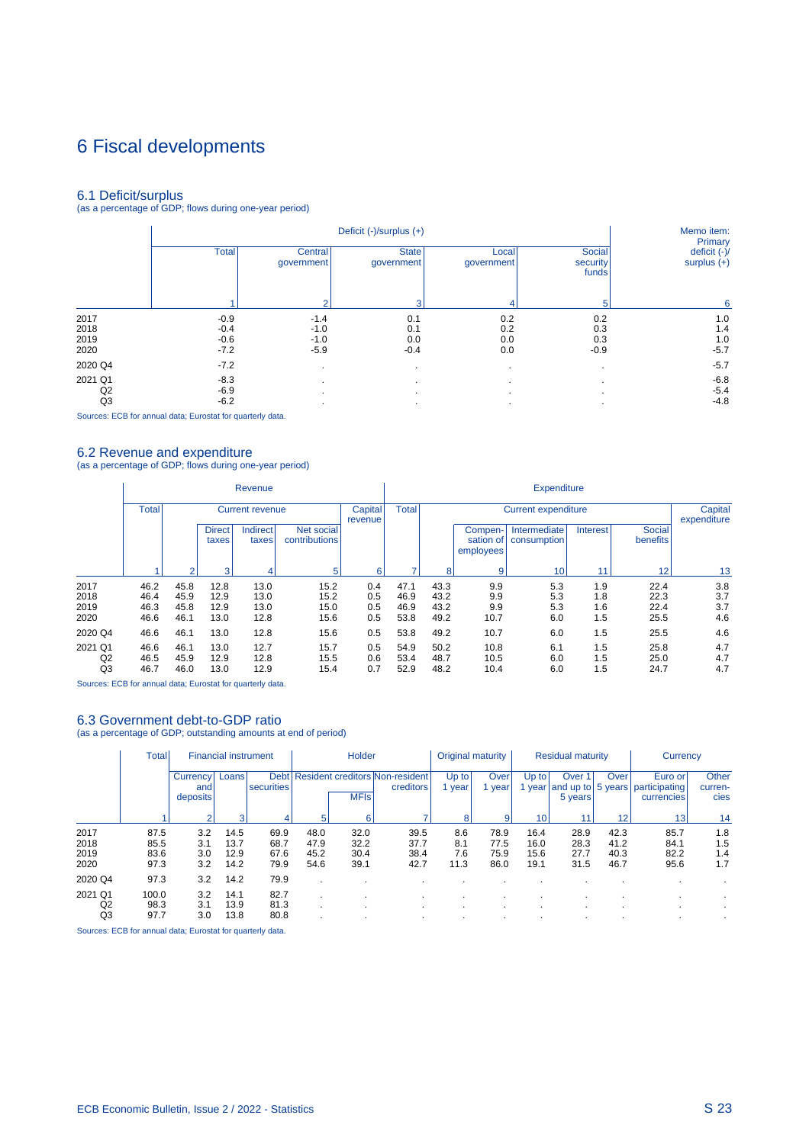# 6 Fiscal developments

6.1 Deficit/surplus (as a percentage of GDP; flows during one-year period)

|         |              |                       | Memo item:<br>Primary      |                     |                             |                               |
|---------|--------------|-----------------------|----------------------------|---------------------|-----------------------------|-------------------------------|
|         | <b>Total</b> | Central<br>qovernment | <b>State</b><br>government | Local<br>government | Social<br>security<br>funds | deficit (-)/<br>surplus $(+)$ |
|         |              | $\mathcal{D}$         | з                          |                     | 5                           | 6                             |
| 2017    | $-0.9$       | $-1.4$                | 0.1                        | 0.2                 | 0.2                         | 1.0                           |
| 2018    | $-0.4$       | $-1.0$                | 0.1                        | 0.2                 | 0.3                         | 1.4                           |
| 2019    | $-0.6$       | $-1.0$                | 0.0                        | 0.0                 | 0.3                         | 1.0                           |
| 2020    | $-7.2$       | $-5.9$                | $-0.4$                     | 0.0                 | $-0.9$                      | $-5.7$                        |
| 2020 Q4 | $-7.2$       | $\mathbf{r}$          |                            | $\cdot$             |                             | $-5.7$                        |
| 2021 Q1 | $-8.3$       | $\mathbf{r}$          |                            | $\cdot$             |                             | $-6.8$                        |
| Q2      | $-6.9$       | $\mathbf{r}$          |                            | $\cdot$             |                             | $-5.4$                        |
| Q3      | $-6.2$       |                       |                            | ٠                   |                             | $-4.8$                        |

Sources: ECB for annual data; Eurostat for quarterly data.

i.

6.2 Revenue and expenditure (as a percentage of GDP; flows during one-year period)

|                                 |                      |                      |                        | Revenue                  |                             |                    | <b>Expenditure</b>   |                            |                                   |                             |                   |                           |                   |  |
|---------------------------------|----------------------|----------------------|------------------------|--------------------------|-----------------------------|--------------------|----------------------|----------------------------|-----------------------------------|-----------------------------|-------------------|---------------------------|-------------------|--|
|                                 | <b>Total</b>         |                      |                        | <b>Current revenue</b>   |                             | Capital<br>revenue | <b>Total</b>         | <b>Current expenditure</b> |                                   |                             |                   |                           |                   |  |
|                                 |                      |                      | <b>Direct</b><br>taxes | <b>Indirect</b><br>taxes | Net social<br>contributions |                    |                      |                            | Compen-<br>sation of<br>employees | Intermediate<br>consumption | Interest          | <b>Social</b><br>benefits |                   |  |
|                                 |                      |                      | 3                      |                          | 5                           | 6                  |                      | 8                          | 9                                 | 10 <sub>1</sub>             | 11                | 12 <sub>1</sub>           | 13                |  |
| 2017                            | 46.2                 | 45.8                 | 12.8                   | 13.0                     | 15.2                        | 0.4                | 47.1                 | 43.3                       | 9.9                               | 5.3                         | 1.9               | 22.4                      | 3.8               |  |
| 2018                            | 46.4                 | 45.9                 | 12.9                   | 13.0                     | 15.2                        | 0.5                | 46.9                 | 43.2                       | 9.9                               | 5.3                         | 1.8               | 22.3                      | 3.7               |  |
| 2019<br>2020                    | 46.3<br>46.6         | 45.8<br>46.1         | 12.9<br>13.0           | 13.0<br>12.8             | 15.0<br>15.6                | 0.5<br>0.5         | 46.9<br>53.8         | 43.2<br>49.2               | 9.9<br>10.7                       | 5.3<br>6.0                  | 1.6<br>1.5        | 22.4<br>25.5              | 3.7<br>4.6        |  |
| 2020 Q4                         | 46.6                 | 46.1                 | 13.0                   | 12.8                     | 15.6                        | 0.5                | 53.8                 | 49.2                       | 10.7                              | 6.0                         | 1.5               | 25.5                      | 4.6               |  |
| 2021 Q1<br>Q <sub>2</sub><br>Q3 | 46.6<br>46.5<br>46.7 | 46.1<br>45.9<br>46.0 | 13.0<br>12.9<br>13.0   | 12.7<br>12.8<br>12.9     | 15.7<br>15.5<br>15.4        | 0.5<br>0.6<br>0.7  | 54.9<br>53.4<br>52.9 | 50.2<br>48.7<br>48.2       | 10.8<br>10.5<br>10.4              | 6.1<br>6.0<br>6.0           | 1.5<br>1.5<br>1.5 | 25.8<br>25.0<br>24.7      | 4.7<br>4.7<br>4.7 |  |

Sources: ECB for annual data; Eurostat for quarterly data.

### 6.3 Government debt-to-GDP ratio

(as a percentage of GDP; outstanding amounts at end of period)

|                              | <b>Total</b>                 | <b>Financial instrument</b> |                              |                              | Holder                       |                              |                                                     | Original maturity         |                              | <b>Residual maturity</b>     |                                        |                              | Currency                                |                          |
|------------------------------|------------------------------|-----------------------------|------------------------------|------------------------------|------------------------------|------------------------------|-----------------------------------------------------|---------------------------|------------------------------|------------------------------|----------------------------------------|------------------------------|-----------------------------------------|--------------------------|
|                              |                              | Currency<br>and<br>deposits | Loans                        | <b>Debt</b><br>securities    |                              | <b>MFIs</b>                  | <b>Resident creditors Non-resident</b><br>creditors | Up to<br>year             | Over<br>year                 | Up to<br>year                | Over 1<br>and up to 5 years<br>5 years | Over                         | Euro or'<br>participating<br>currencies | Other<br>curren-<br>cies |
|                              |                              | ົ                           | 3                            | 4                            | 5                            | 6                            |                                                     | 8                         | 9                            | 10                           |                                        | 12                           | 13                                      | 14                       |
| 2017<br>2018<br>2019<br>2020 | 87.5<br>85.5<br>83.6<br>97.3 | 3.2<br>3.1<br>3.0<br>3.2    | 14.5<br>13.7<br>12.9<br>14.2 | 69.9<br>68.7<br>67.6<br>79.9 | 48.0<br>47.9<br>45.2<br>54.6 | 32.0<br>32.2<br>30.4<br>39.1 | 39.5<br>37.7<br>38.4<br>42.7                        | 8.6<br>8.1<br>7.6<br>11.3 | 78.9<br>77.5<br>75.9<br>86.0 | 16.4<br>16.0<br>15.6<br>19.1 | 28.9<br>28.3<br>27.7<br>31.5           | 42.3<br>41.2<br>40.3<br>46.7 | 85.7<br>84.1<br>82.2<br>95.6            | 1.8<br>1.5<br>1.4<br>1.7 |
| 2020 Q4                      | 97.3                         | 3.2                         | 14.2                         | 79.9                         |                              |                              |                                                     |                           |                              |                              |                                        |                              |                                         |                          |
| 2021 Q1<br>Q2<br>Q3          | 100.0<br>98.3<br>97.7        | 3.2<br>3.1<br>3.0           | 14.1<br>13.9<br>13.8         | 82.7<br>81.3<br>80.8         |                              |                              | $\cdot$<br>$\cdot$                                  |                           |                              |                              |                                        |                              |                                         |                          |

Sources: ECB for annual data; Eurostat for quarterly data.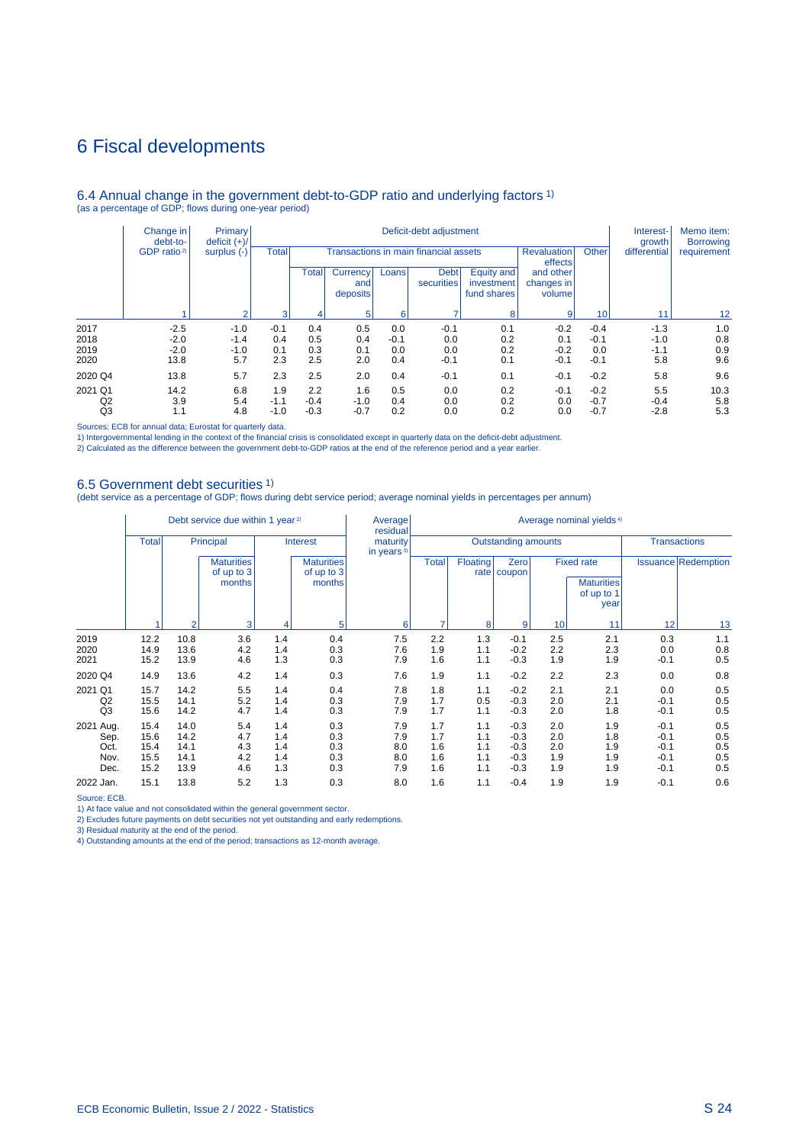## 6 Fiscal developments

#### 6.4 Annual change in the government debt-to-GDP ratio and underlying factors 1) (as a percentage of GDP; flows during one-year period)

|                | Change in<br>debt-to-   | Primary<br>deficit $(+)/$ |        |              | Interest-<br>growth         | Memo item:<br><b>Borrowing</b> |                           |                                         |                                   |                               |        |                 |             |
|----------------|-------------------------|---------------------------|--------|--------------|-----------------------------|--------------------------------|---------------------------|-----------------------------------------|-----------------------------------|-------------------------------|--------|-----------------|-------------|
|                | GDP ratio <sup>2)</sup> | surplus $(-)$             |        | <b>Total</b> |                             |                                |                           | Transactions in main financial assets   |                                   | <b>Revaluation</b><br>effects | Other  | differential    | requirement |
|                |                         |                           |        | Total        | Currency<br>and<br>deposits | Loans                          | <b>Debt</b><br>securities | Equity and<br>investment<br>fund shares | and other<br>changes in<br>volume |                               |        |                 |             |
|                |                         | $\sim$                    | 3      |              |                             | 6                              |                           | 8                                       | $\overline{9}$                    | 10                            | 11     | 12 <sup>2</sup> |             |
| 2017           | $-2.5$                  | $-1.0$                    | $-0.1$ | 0.4          | 0.5                         | 0.0                            | $-0.1$                    | 0.1                                     | $-0.2$                            | $-0.4$                        | $-1.3$ | 1.0             |             |
| 2018           | $-2.0$                  | $-1.4$                    | 0.4    | 0.5          | 0.4                         | $-0.1$                         | 0.0                       | 0.2                                     | 0.1                               | $-0.1$                        | $-1.0$ | 0.8             |             |
| 2019           | $-2.0$                  | $-1.0$                    | 0.1    | 0.3          | 0.1                         | 0.0                            | 0.0                       | 0.2                                     | $-0.2$                            | 0.0                           | $-1.1$ | 0.9             |             |
| 2020           | 13.8                    | 5.7                       | 2.3    | 2.5          | 2.0                         | 0.4                            | $-0.1$                    | 0.1                                     | $-0.1$                            | $-0.1$                        | 5.8    | 9.6             |             |
| 2020 Q4        | 13.8                    | 5.7                       | 2.3    | 2.5          | 2.0                         | 0.4                            | $-0.1$                    | 0.1                                     | $-0.1$                            | $-0.2$                        | 5.8    | 9.6             |             |
| 2021 Q1        | 14.2                    | 6.8                       | 1.9    | 2.2          | 1.6                         | 0.5                            | 0.0                       | 0.2                                     | $-0.1$                            | $-0.2$                        | 5.5    | 10.3            |             |
| Q <sub>2</sub> | 3.9                     | 5.4                       | $-1.1$ | $-0.4$       | $-1.0$                      | 0.4                            | 0.0                       | 0.2                                     | 0.0                               | $-0.7$                        | $-0.4$ | 5.8             |             |
| Q <sub>3</sub> | 1.1                     | 4.8                       | $-1.0$ | $-0.3$       | $-0.7$                      | 0.2                            | 0.0                       | 0.2                                     | 0.0                               | $-0.7$                        | $-2.8$ | 5.3             |             |

Sources: ECB for annual data; Eurostat for quarterly data.

1) Intergovernmental lending in the context of the financial crisis is consolidated except in quarterly data on the deficit-debt adjustment.<br>2) Calculated as the difference between the government debt-to-GDP ratios at the

#### 6.5 Government debt securities 1)

(debt service as a percentage of GDP; flows during debt service period; average nominal yields in percentages per annum)

|                                           |                                      |                                      | Debt service due within 1 year <sup>2)</sup> |                                           |                                 | Average<br>residual                | Average nominal yields <sup>4)</sup>              |                                 |                                                |                                                              |                                 |                                                |                                 |  |
|-------------------------------------------|--------------------------------------|--------------------------------------|----------------------------------------------|-------------------------------------------|---------------------------------|------------------------------------|---------------------------------------------------|---------------------------------|------------------------------------------------|--------------------------------------------------------------|---------------------------------|------------------------------------------------|---------------------------------|--|
|                                           | <b>Total</b>                         |                                      | Principal                                    |                                           | Interest                        | maturity<br>in years <sup>3)</sup> | <b>Outstanding amounts</b><br><b>Transactions</b> |                                 |                                                |                                                              |                                 |                                                |                                 |  |
|                                           |                                      |                                      | <b>Maturities</b><br>of up to 3<br>months    | <b>Maturities</b><br>of up to 3<br>months |                                 |                                    | <b>Total</b>                                      | Floating                        | Zero<br>rate   coupon                          | <b>Fixed rate</b><br><b>Maturities</b><br>of up to 1<br>year |                                 |                                                | <b>Issuance Redemption</b>      |  |
|                                           |                                      | $\overline{2}$                       | 3                                            | 4                                         | 5                               | 6                                  |                                                   | 8                               | 9                                              | 10                                                           | 11                              | 12                                             | 13                              |  |
| 2019<br>2020<br>2021                      | 12.2<br>14.9<br>15.2                 | 10.8<br>13.6<br>13.9                 | 3.6<br>4.2<br>4.6                            | 1.4<br>1.4<br>1.3                         | 0.4<br>0.3<br>0.3               | 7.5<br>7.6<br>7.9                  | 2.2<br>1.9<br>1.6                                 | 1.3<br>1.1<br>1.1               | $-0.1$<br>$-0.2$<br>$-0.3$                     | 2.5<br>2.2<br>1.9                                            | 2.1<br>2.3<br>1.9               | 0.3<br>0.0<br>$-0.1$                           | 1.1<br>0.8<br>0.5               |  |
| 2020 Q4                                   | 14.9                                 | 13.6                                 | 4.2                                          | 1.4                                       | 0.3                             | 7.6                                | 1.9                                               | 1.1                             | $-0.2$                                         | 2.2                                                          | 2.3                             | 0.0                                            | 0.8                             |  |
| 2021 Q1<br>Q2<br>Q3                       | 15.7<br>15.5<br>15.6                 | 14.2<br>14.1<br>14.2                 | 5.5<br>5.2<br>4.7                            | 1.4<br>1.4<br>1.4                         | 0.4<br>0.3<br>0.3               | 7.8<br>7.9<br>7.9                  | 1.8<br>1.7<br>1.7                                 | 1.1<br>0.5<br>1.1               | $-0.2$<br>$-0.3$<br>$-0.3$                     | 2.1<br>2.0<br>2.0                                            | 2.1<br>2.1<br>1.8               | 0.0<br>$-0.1$<br>$-0.1$                        | 0.5<br>0.5<br>0.5               |  |
| 2021 Aug.<br>Sep.<br>Oct.<br>Nov.<br>Dec. | 15.4<br>15.6<br>15.4<br>15.5<br>15.2 | 14.0<br>14.2<br>14.1<br>14.1<br>13.9 | 5.4<br>4.7<br>4.3<br>4.2<br>4.6              | 1.4<br>1.4<br>1.4<br>1.4<br>1.3           | 0.3<br>0.3<br>0.3<br>0.3<br>0.3 | 7.9<br>7.9<br>8.0<br>8.0<br>7.9    | 1.7<br>1.7<br>1.6<br>1.6<br>1.6                   | 1.1<br>1.1<br>1.1<br>1.1<br>1.1 | $-0.3$<br>$-0.3$<br>$-0.3$<br>$-0.3$<br>$-0.3$ | 2.0<br>2.0<br>2.0<br>1.9<br>1.9                              | 1.9<br>1.8<br>1.9<br>1.9<br>1.9 | $-0.1$<br>$-0.1$<br>$-0.1$<br>$-0.1$<br>$-0.1$ | 0.5<br>0.5<br>0.5<br>0.5<br>0.5 |  |
| 2022 Jan.                                 | 15.1                                 | 13.8                                 | 5.2                                          | 1.3                                       | 0.3                             | 8.0                                | 1.6                                               | 1.1                             | $-0.4$                                         | 1.9                                                          | 1.9                             | $-0.1$                                         | 0.6                             |  |

Source: ECB.

1) At face value and not consolidated within the general government sector.

2) Excludes future payments on debt securities not yet outstanding and early redemptions.

3) Residual maturity at the end of the period.

4) Outstanding amounts at the end of the period; transactions as 12-month average.